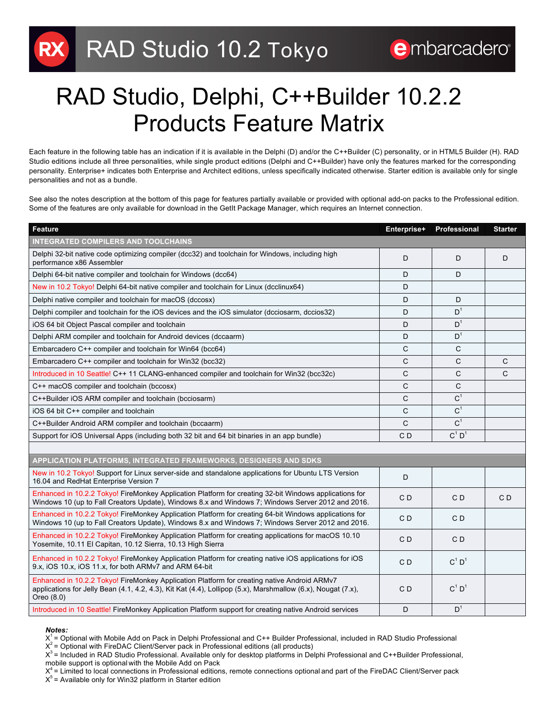## RAD Studio, Delphi, C++Builder 10.2.2 Products Feature Matrix

Each feature in the following table has an indication if it is available in the Delphi (D) and/or the C++Builder (C) personality, or in HTML5 Builder (H). RAD Studio editions include all three personalities, while single product editions (Delphi and C++Builder) have only the features marked for the corresponding personality. Enterprise+ indicates both Enterprise and Architect editions, unless specifically indicated otherwise. Starter edition is available only for single personalities and not as a bundle.

See also the notes description at the bottom of this page for features partially available or provided with optional add-on packs to the Professional edition. Some of the features are only available for download in the GetIt Package Manager, which requires an Internet connection.

| <b>Feature</b>                                                                                                                                                                                                                           | Enterprise+  | Professional         | <b>Starter</b> |
|------------------------------------------------------------------------------------------------------------------------------------------------------------------------------------------------------------------------------------------|--------------|----------------------|----------------|
| <b>INTEGRATED COMPILERS AND TOOLCHAINS</b>                                                                                                                                                                                               |              |                      |                |
| Delphi 32-bit native code optimizing compiler (dcc32) and toolchain for Windows, including high<br>performance x86 Assembler                                                                                                             | D            | D                    | D              |
| Delphi 64-bit native compiler and toolchain for Windows (dcc64)                                                                                                                                                                          | D            | D                    |                |
| New in 10.2 Tokyo! Delphi 64-bit native compiler and toolchain for Linux (dcclinux64)                                                                                                                                                    | D            |                      |                |
| Delphi native compiler and toolchain for macOS (dccosx)                                                                                                                                                                                  | D            | D                    |                |
| Delphi compiler and toolchain for the iOS devices and the iOS simulator (dcciosarm, dccios32)                                                                                                                                            | D            | D <sup>1</sup>       |                |
| iOS 64 bit Object Pascal compiler and toolchain                                                                                                                                                                                          | D            | D <sup>1</sup>       |                |
| Delphi ARM compiler and toolchain for Android devices (dccaarm)                                                                                                                                                                          | D            | D <sup>1</sup>       |                |
| Embarcadero C++ compiler and toolchain for Win64 (bcc64)                                                                                                                                                                                 | C            | C                    |                |
| Embarcadero C++ compiler and toolchain for Win32 (bcc32)                                                                                                                                                                                 | $\mathsf{C}$ | C                    | C              |
| Introduced in 10 Seattle! C++ 11 CLANG-enhanced compiler and toolchain for Win32 (bcc32c)                                                                                                                                                | $\mathsf{C}$ | C                    | $\mathsf{C}$   |
| C++ macOS compiler and toolchain (bccosx)                                                                                                                                                                                                | $\mathsf{C}$ | C                    |                |
| C++Builder iOS ARM compiler and toolchain (bcciosarm)                                                                                                                                                                                    | C            | C <sup>1</sup>       |                |
| iOS 64 bit C++ compiler and toolchain                                                                                                                                                                                                    | $\mathsf{C}$ | C <sup>1</sup>       |                |
| C++Builder Android ARM compiler and toolchain (bccaarm)                                                                                                                                                                                  | $\mathsf{C}$ | C <sup>1</sup>       |                |
| Support for iOS Universal Apps (including both 32 bit and 64 bit binaries in an app bundle)                                                                                                                                              | CD           | $C^1$ D <sup>1</sup> |                |
|                                                                                                                                                                                                                                          |              |                      |                |
| APPLICATION PLATFORMS, INTEGRATED FRAMEWORKS, DESIGNERS AND SDKS                                                                                                                                                                         |              |                      |                |
| New in 10.2 Tokyo! Support for Linux server-side and standalone applications for Ubuntu LTS Version<br>16.04 and RedHat Enterprise Version 7                                                                                             | D            |                      |                |
| Enhanced in 10.2.2 Tokyo! FireMonkey Application Platform for creating 32-bit Windows applications for<br>Windows 10 (up to Fall Creators Update), Windows 8.x and Windows 7; Windows Server 2012 and 2016.                              | CD           | CD                   | C <sub>D</sub> |
| Enhanced in 10.2.2 Tokyo! FireMonkey Application Platform for creating 64-bit Windows applications for<br>Windows 10 (up to Fall Creators Update), Windows 8.x and Windows 7; Windows Server 2012 and 2016.                              | CD           | CD                   |                |
| Enhanced in 10.2.2 Tokyo! FireMonkey Application Platform for creating applications for macOS 10.10<br>Yosemite, 10.11 El Capitan, 10.12 Sierra, 10.13 High Sierra                                                                       | CD           | CD                   |                |
| Enhanced in 10.2.2 Tokyo! FireMonkey Application Platform for creating native iOS applications for iOS<br>9.x, iOS 10.x, iOS 11.x, for both ARMv7 and ARM 64-bit                                                                         | CD           | $C^1$ D <sup>1</sup> |                |
| Enhanced in 10.2.2 Tokyo! FireMonkey Application Platform for creating native Android ARMv7<br>applications for Jelly Bean $(4.1, 4.2, 4.3)$ , Kit Kat $(4.4)$ , Lollipop $(5.x)$ , Marshmallow $(6.x)$ , Nougat $(7.x)$ ,<br>Oreo (8.0) | CD           | $C^1$ D <sup>1</sup> |                |
| Introduced in 10 Seattle! FireMonkey Application Platform support for creating native Android services                                                                                                                                   | D            | D <sup>1</sup>       |                |

## *Notes:*

 $X<sup>1</sup>$  = Optional with Mobile Add on Pack in Delphi Professional and C++ Builder Professional, included in RAD Studio Professional

 $X^2$  = Optional with FireDAC Client/Server pack in Professional editions (all products)

 $X<sup>3</sup>$  = Included in RAD Studio Professional. Available only for desktop platforms in Delphi Professional and C++Builder Professional, mobile support is optional with the Mobile Add on Pack

 $X<sup>4</sup>$  = Limited to local connections in Professional editions, remote connections optional and part of the FireDAC Client/Server pack  $X<sup>5</sup>$  = Available only for Win32 platform in Starter edition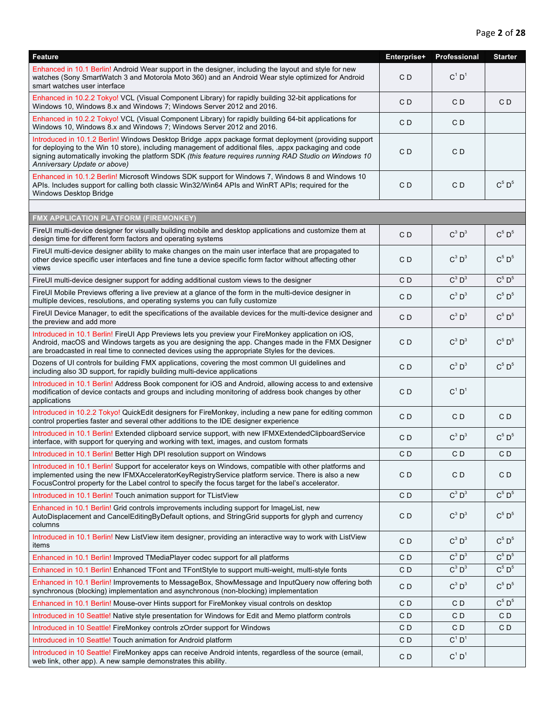| <b>Feature</b>                                                                                                                                                                                                                                                                                                                                             | Enterprise+    | Professional         | <b>Starter</b> |
|------------------------------------------------------------------------------------------------------------------------------------------------------------------------------------------------------------------------------------------------------------------------------------------------------------------------------------------------------------|----------------|----------------------|----------------|
| Enhanced in 10.1 Berlin! Android Wear support in the designer, including the layout and style for new<br>watches (Sony SmartWatch 3 and Motorola Moto 360) and an Android Wear style optimized for Android<br>smart watches user interface                                                                                                                 | C <sub>D</sub> | $C^1$ D <sup>1</sup> |                |
| Enhanced in 10.2.2 Tokyo! VCL (Visual Component Library) for rapidly building 32-bit applications for<br>Windows 10, Windows 8.x and Windows 7; Windows Server 2012 and 2016.                                                                                                                                                                              | C <sub>D</sub> | CD                   | CD             |
| Enhanced in 10.2.2 Tokyo! VCL (Visual Component Library) for rapidly building 64-bit applications for<br>Windows 10, Windows 8.x and Windows 7; Windows Server 2012 and 2016.                                                                                                                                                                              | CD             | CD                   |                |
| Introduced in 10.1.2 Berlin! Windows Desktop Bridge .appx package format deployment (providing support<br>for deploying to the Win 10 store), including management of additional files, appx packaging and code<br>signing automatically invoking the platform SDK (this feature requires running RAD Studio on Windows 10<br>Anniversary Update or above) | C <sub>D</sub> | CD                   |                |
| Enhanced in 10.1.2 Berlin! Microsoft Windows SDK support for Windows 7, Windows 8 and Windows 10<br>APIs. Includes support for calling both classic Win32/Win64 APIs and WinRT APIs; required for the<br>Windows Desktop Bridge                                                                                                                            | CD             | CD                   | $C^5$ $D^5$    |
|                                                                                                                                                                                                                                                                                                                                                            |                |                      |                |
| FMX APPLICATION PLATFORM (FIREMONKEY)                                                                                                                                                                                                                                                                                                                      |                |                      |                |
| FireUI multi-device designer for visually building mobile and desktop applications and customize them at<br>design time for different form factors and operating systems                                                                                                                                                                                   | C <sub>D</sub> | $C^3$ $D^3$          | $C^5$ $D^5$    |
| FireUI multi-device designer ability to make changes on the main user interface that are propagated to<br>other device specific user interfaces and fine tune a device specific form factor without affecting other<br>views                                                                                                                               | CD             | $C^3$ $D^3$          | $C^5$ $D^5$    |
| FireUI multi-device designer support for adding additional custom views to the designer                                                                                                                                                                                                                                                                    | CD             | $C^3$ $D^3$          | $C^5$ $D^5$    |
| FireUI Mobile Previews offering a live preview at a glance of the form in the multi-device designer in<br>multiple devices, resolutions, and operating systems you can fully customize                                                                                                                                                                     | CD             | $C^3$ $D^3$          | $C^5$ $D^5$    |
| FireUI Device Manager, to edit the specifications of the available devices for the multi-device designer and<br>the preview and add more                                                                                                                                                                                                                   | C <sub>D</sub> | $C^3$ $D^3$          | $C^5$ $D^5$    |
| Introduced in 10.1 Berlin! FireUI App Previews lets you preview your FireMonkey application on iOS,<br>Android, macOS and Windows targets as you are designing the app. Changes made in the FMX Designer<br>are broadcasted in real time to connected devices using the appropriate Styles for the devices.                                                | CD             | $C^3$ $D^3$          | $C^5$ $D^5$    |
| Dozens of UI controls for building FMX applications, covering the most common UI guidelines and<br>including also 3D support, for rapidly building multi-device applications                                                                                                                                                                               | CD             | $C^3$ $D^3$          | $C^5$ $D^5$    |
| Introduced in 10.1 Berlin! Address Book component for iOS and Android, allowing access to and extensive<br>modification of device contacts and groups and including monitoring of address book changes by other<br>applications                                                                                                                            | CD             | $C^1$ D <sup>1</sup> |                |
| Introduced in 10.2.2 Tokyo! QuickEdit designers for FireMonkey, including a new pane for editing common<br>control properties faster and several other additions to the IDE designer experience                                                                                                                                                            | CD             | CD                   | CD             |
| Introduced in 10.1 Berlin! Extended clipboard service support, with new IFMXExtendedClipboardService<br>interface, with support for querying and working with text, images, and custom formats                                                                                                                                                             | CD             | $C^3$ $D^3$          | $C^5$ $D^5$    |
| Introduced in 10.1 Berlin! Better High DPI resolution support on Windows                                                                                                                                                                                                                                                                                   | CD             | CD                   | CD             |
| Introduced in 10.1 Berlin! Support for accelerator keys on Windows, compatible with other platforms and<br>implemented using the new IFMXAcceleratorKeyRegistryService platform service. There is also a new<br>FocusControl property for the Label control to specify the focus target for the label's accelerator.                                       | CD             | C D                  | CD             |
| Introduced in 10.1 Berlin! Touch animation support for TListView                                                                                                                                                                                                                                                                                           | CD             | $C^3$ $D^3$          | $C^5$ $D^5$    |
| Enhanced in 10.1 Berlin! Grid controls improvements including support for ImageList, new<br>AutoDisplacement and CancelEditingByDefault options, and StringGrid supports for glyph and currency<br>columns                                                                                                                                                 | CD             | $C^3$ $D^3$          | $C^5$ $D^5$    |
| Introduced in 10.1 Berlin! New ListView item designer, providing an interactive way to work with ListView<br>items                                                                                                                                                                                                                                         | CD             | $C^3$ $D^3$          | $C^5$ $D^5$    |
| Enhanced in 10.1 Berlin! Improved TMediaPlayer codec support for all platforms                                                                                                                                                                                                                                                                             | CD             | $C^3$ $D^3$          | $C^5$ $D^5$    |
| Enhanced in 10.1 Berlin! Enhanced TFont and TFontStyle to support multi-weight, multi-style fonts                                                                                                                                                                                                                                                          | CD             | $C^3$ $D^3$          | $C^5$ $D^5$    |
| Enhanced in 10.1 Berlin! Improvements to MessageBox, ShowMessage and InputQuery now offering both<br>synchronous (blocking) implementation and asynchronous (non-blocking) implementation                                                                                                                                                                  | CD             | $C^3$ $D^3$          | $C^5$ $D^5$    |
| Enhanced in 10.1 Berlin! Mouse-over Hints support for FireMonkey visual controls on desktop                                                                                                                                                                                                                                                                | CD             | CD                   | $C^5$ $D^5$    |
| Introduced in 10 Seattle! Native style presentation for Windows for Edit and Memo platform controls                                                                                                                                                                                                                                                        | CD             | C D                  | CD             |
| Introduced in 10 Seattle! FireMonkey controls zOrder support for Windows                                                                                                                                                                                                                                                                                   | CD             | CD                   | C <sub>D</sub> |
| Introduced in 10 Seattle! Touch animation for Android platform                                                                                                                                                                                                                                                                                             | CD             | $C^1$ D <sup>1</sup> |                |
| Introduced in 10 Seattle! FireMonkey apps can receive Android intents, regardless of the source (email,<br>web link, other app). A new sample demonstrates this ability.                                                                                                                                                                                   | CD             | $C^1$ D <sup>1</sup> |                |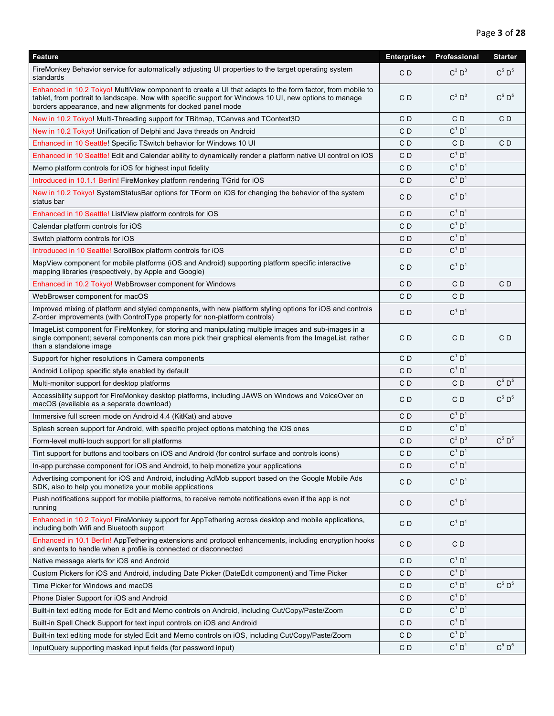| Feature                                                                                                                                                                                                                                                                             | Enterprise+    | Professional         | <b>Starter</b>            |
|-------------------------------------------------------------------------------------------------------------------------------------------------------------------------------------------------------------------------------------------------------------------------------------|----------------|----------------------|---------------------------|
| FireMonkey Behavior service for automatically adjusting UI properties to the target operating system<br>standards                                                                                                                                                                   | C <sub>D</sub> | $C^3 D^3$            | $C^5$ $D^5$               |
| Enhanced in 10.2 Tokyo! MultiView component to create a UI that adapts to the form factor, from mobile to<br>tablet, from portrait to landscape. Now with specific support for Windows 10 UI, new options to manage<br>borders appearance, and new alignments for docked panel mode | CD             | $C^3$ $D^3$          | $C^5$ $D^5$               |
| New in 10.2 Tokyo! Multi-Threading support for TBitmap, TCanvas and TContext3D                                                                                                                                                                                                      | CD             | CD                   | CD                        |
| New in 10.2 Tokyo! Unification of Delphi and Java threads on Android                                                                                                                                                                                                                | CD             | $C^1$ $D^1$          |                           |
| Enhanced in 10 Seattle! Specific TSwitch behavior for Windows 10 UI                                                                                                                                                                                                                 | C D            | CD                   | CD                        |
| Enhanced in 10 Seattle! Edit and Calendar ability to dynamically render a platform native UI control on iOS                                                                                                                                                                         | C D            | $C^1$ D <sup>1</sup> |                           |
| Memo platform controls for iOS for highest input fidelity                                                                                                                                                                                                                           | CD             | $C^1$ D <sup>1</sup> |                           |
| Introduced in 10.1.1 Berlin! FireMonkey platform rendering TGrid for iOS                                                                                                                                                                                                            | CD             | $C^1 D^1$            |                           |
| New in 10.2 Tokyo! SystemStatusBar options for TForm on iOS for changing the behavior of the system<br>status bar                                                                                                                                                                   | C D            | $C^1$ D <sup>1</sup> |                           |
| Enhanced in 10 Seattle! ListView platform controls for iOS                                                                                                                                                                                                                          | CD             | $C^1 D^1$            |                           |
| Calendar platform controls for iOS                                                                                                                                                                                                                                                  | C D            | $C^1$ $D^1$          |                           |
| Switch platform controls for iOS                                                                                                                                                                                                                                                    | C <sub>D</sub> | $C^1$ D <sup>1</sup> |                           |
| Introduced in 10 Seattle! ScrollBox platform controls for iOS                                                                                                                                                                                                                       | CD             | $C^1 D^1$            |                           |
| MapView component for mobile platforms (iOS and Android) supporting platform specific interactive<br>mapping libraries (respectively, by Apple and Google)                                                                                                                          | CD             | $C^1$ D <sup>1</sup> |                           |
| Enhanced in 10.2 Tokyo! WebBrowser component for Windows                                                                                                                                                                                                                            | CD             | CD                   | C <sub>D</sub>            |
| WebBrowser component for macOS                                                                                                                                                                                                                                                      | CD             | CD                   |                           |
| Improved mixing of platform and styled components, with new platform styling options for iOS and controls<br>Z-order improvements (with ControlType property for non-platform controls)                                                                                             | CD             | $C^1$ D <sup>1</sup> |                           |
| ImageList component for FireMonkey, for storing and manipulating multiple images and sub-images in a<br>single component; several components can more pick their graphical elements from the ImageList, rather<br>than a standalone image                                           | CD             | CD                   | C <sub>D</sub>            |
| Support for higher resolutions in Camera components                                                                                                                                                                                                                                 | C <sub>D</sub> | $C^1 D^1$            |                           |
| Android Lollipop specific style enabled by default                                                                                                                                                                                                                                  | CD             | $C^1$ $D^1$          |                           |
| Multi-monitor support for desktop platforms                                                                                                                                                                                                                                         | C D            | CD                   | $C^5$ $D^5$               |
| Accessibility support for FireMonkey desktop platforms, including JAWS on Windows and VoiceOver on<br>macOS (available as a separate download)                                                                                                                                      | C D            | CD                   | $C^5$ $D^5$               |
| Immersive full screen mode on Android 4.4 (KitKat) and above                                                                                                                                                                                                                        | CD             | $C^1$ $D^1$          |                           |
| Splash screen support for Android, with specific project options matching the iOS ones                                                                                                                                                                                              | CD             | $C^1$ D <sup>1</sup> |                           |
| Form-level multi-touch support for all platforms                                                                                                                                                                                                                                    | CD             | $C^3$ $D^3$          | $C^5$ $D^5$               |
| Tint support for buttons and toolbars on iOS and Android (for control surface and controls icons)                                                                                                                                                                                   | CD             | $C^1 D^1$            |                           |
| In-app purchase component for iOS and Android, to help monetize your applications                                                                                                                                                                                                   | C <sub>D</sub> | $C^1 D^1$            |                           |
| Advertising component for iOS and Android, including AdMob support based on the Google Mobile Ads<br>SDK, also to help you monetize your mobile applications                                                                                                                        | C <sub>D</sub> | $C^1$ $D^1$          |                           |
| Push notifications support for mobile platforms, to receive remote notifications even if the app is not<br>running                                                                                                                                                                  | CD             | $C^1$ D <sup>1</sup> |                           |
| Enhanced in 10.2 Tokyo! FireMonkey support for AppTethering across desktop and mobile applications,<br>including both Wifi and Bluetooth support                                                                                                                                    | CD             | $C^1 D^1$            |                           |
| Enhanced in 10.1 Berlin! AppTethering extensions and protocol enhancements, including encryption hooks<br>and events to handle when a profile is connected or disconnected                                                                                                          | CD             | C <sub>D</sub>       |                           |
| Native message alerts for iOS and Android                                                                                                                                                                                                                                           | C <sub>D</sub> | $C^1$ $D^1$          |                           |
| Custom Pickers for iOS and Android, including Date Picker (DateEdit component) and Time Picker                                                                                                                                                                                      | CD             | $C^1$ D <sup>1</sup> |                           |
| Time Picker for Windows and macOS                                                                                                                                                                                                                                                   | CD             | $C^1$ $D^1$          | $C^5$ $D^5$               |
| Phone Dialer Support for iOS and Android                                                                                                                                                                                                                                            | CD             | $C^1$ $D^1$          |                           |
| Built-in text editing mode for Edit and Memo controls on Android, including Cut/Copy/Paste/Zoom                                                                                                                                                                                     | CD             | $C^1$ D <sup>1</sup> |                           |
| Built-in Spell Check Support for text input controls on iOS and Android                                                                                                                                                                                                             | CD             | $C^1 D^1$            |                           |
| Built-in text editing mode for styled Edit and Memo controls on iOS, including Cut/Copy/Paste/Zoom                                                                                                                                                                                  | CD             | $C^1$ $D^1$          |                           |
| InputQuery supporting masked input fields (for password input)                                                                                                                                                                                                                      | CD             | $C^1 D^1$            | $\text{C}^5$ $\text{D}^5$ |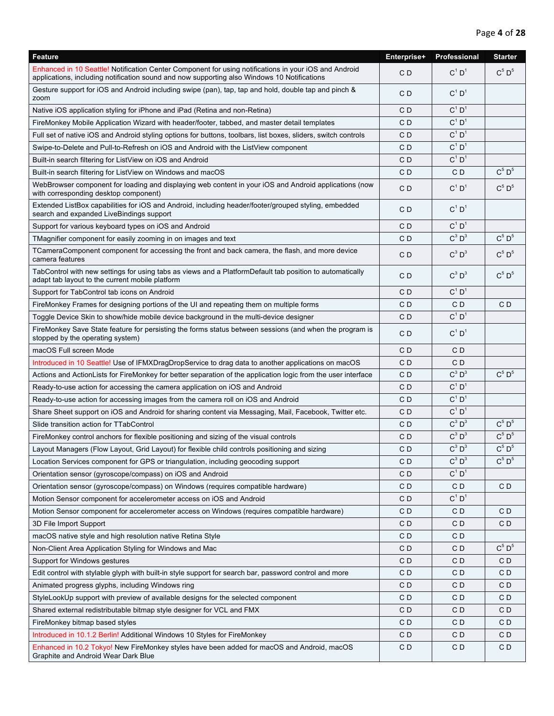| <b>Feature</b>                                                                                                                                                                                       | Enterprise+    | Professional         | <b>Starter</b>               |
|------------------------------------------------------------------------------------------------------------------------------------------------------------------------------------------------------|----------------|----------------------|------------------------------|
| Enhanced in 10 Seattle! Notification Center Component for using notifications in your iOS and Android<br>applications, including notification sound and now supporting also Windows 10 Notifications | CD             | $C^1$ D <sup>1</sup> | $C^5$ $D^5$                  |
| Gesture support for iOS and Android including swipe (pan), tap, tap and hold, double tap and pinch &<br>zoom                                                                                         | CD             | $C^1 D^1$            |                              |
| Native iOS application styling for iPhone and iPad (Retina and non-Retina)                                                                                                                           | CD             | $C^1$ D <sup>1</sup> |                              |
| FireMonkey Mobile Application Wizard with header/footer, tabbed, and master detail templates                                                                                                         | CD             | $C^1$ D <sup>1</sup> |                              |
| Full set of native iOS and Android styling options for buttons, toolbars, list boxes, sliders, switch controls                                                                                       | CD             | $C^1$ D <sup>1</sup> |                              |
| Swipe-to-Delete and Pull-to-Refresh on iOS and Android with the ListView component                                                                                                                   | CD             | $C^1$ D <sup>1</sup> |                              |
| Built-in search filtering for ListView on iOS and Android                                                                                                                                            | CD             | $C^1$ D <sup>1</sup> |                              |
| Built-in search filtering for ListView on Windows and macOS                                                                                                                                          | CD             | CD                   | $C^5$ $D^5$                  |
| WebBrowser component for loading and displaying web content in your iOS and Android applications (now<br>with corresponding desktop component)                                                       | CD             | $C^1$ D <sup>1</sup> | $C^5$ $D^5$                  |
| Extended ListBox capabilities for iOS and Android, including header/footer/grouped styling, embedded<br>search and expanded LiveBindings support                                                     | CD             | $C^1$ D <sup>1</sup> |                              |
| Support for various keyboard types on iOS and Android                                                                                                                                                | CD             | $C^1$ D <sup>1</sup> |                              |
| TMagnifier component for easily zooming in on images and text                                                                                                                                        | CD             | $C^3$ $D^3$          | $C^5$ $D^5$                  |
| TCameraComponent component for accessing the front and back camera, the flash, and more device<br>camera features                                                                                    | CD             | $C^3$ $D^3$          | $C^5$ $D^5$                  |
| TabControl with new settings for using tabs as views and a PlatformDefault tab position to automatically<br>adapt tab layout to the current mobile platform                                          | CD             | $C^3$ $D^3$          | $C^5$ $D^5$                  |
| Support for TabControl tab icons on Android                                                                                                                                                          | CD             | $C^1$ $D^1$          |                              |
| FireMonkey Frames for designing portions of the UI and repeating them on multiple forms                                                                                                              | CD             | C <sub>D</sub>       | CD                           |
| Toggle Device Skin to show/hide mobile device background in the multi-device designer                                                                                                                | CD             | $C^1$ D <sup>1</sup> |                              |
| FireMonkey Save State feature for persisting the forms status between sessions (and when the program is<br>stopped by the operating system)                                                          | CD             | $C^1$ D <sup>1</sup> |                              |
| macOS Full screen Mode                                                                                                                                                                               | CD             | CD                   |                              |
| Introduced in 10 Seattle! Use of IFMXDragDropService to drag data to another applications on macOS                                                                                                   | CD             | C D                  |                              |
| Actions and ActionLists for FireMonkey for better separation of the application logic from the user interface                                                                                        | CD             | $C^3$ $D^3$          | $C^5$ $D^5$                  |
| Ready-to-use action for accessing the camera application on iOS and Android                                                                                                                          | CD             | $C^1$ D <sup>1</sup> |                              |
| Ready-to-use action for accessing images from the camera roll on iOS and Android                                                                                                                     | CD             | $C^1$ D <sup>1</sup> |                              |
| Share Sheet support on iOS and Android for sharing content via Messaging, Mail, Facebook, Twitter etc.                                                                                               | CD             | $C^1$ D <sup>1</sup> |                              |
| Slide transition action for TTabControl                                                                                                                                                              | CD             | $C^3$ $D^3$          | $C^5$ D <sup>5</sup>         |
| FireMonkey control anchors for flexible positioning and sizing of the visual controls                                                                                                                | CD             | $C^3$ $D^3$          | $C^5$ $D^5$                  |
| Layout Managers (Flow Layout, Grid Layout) for flexible child controls positioning and sizing                                                                                                        | CD             | $C^3$ $D^3$          | $\textsf{C}^5\:\textsf{D}^5$ |
| Location Services component for GPS or triangulation, including geocoding support                                                                                                                    | C <sub>D</sub> | C, D,                | $C_{\circ}$ D <sub>2</sub>   |
| Orientation sensor (gyroscope/compass) on iOS and Android                                                                                                                                            | CD             | $C^1$ D <sup>1</sup> |                              |
| Orientation sensor (gyroscope/compass) on Windows (requires compatible hardware)                                                                                                                     | CD             | CD                   | CD                           |
| Motion Sensor component for accelerometer access on iOS and Android                                                                                                                                  | CD             | $C^1$ D <sup>1</sup> |                              |
| Motion Sensor component for accelerometer access on Windows (requires compatible hardware)                                                                                                           | CD             | C D                  | C D                          |
| 3D File Import Support                                                                                                                                                                               | CD             | C D                  | C D                          |
| macOS native style and high resolution native Retina Style                                                                                                                                           | CD             | C D                  |                              |
| Non-Client Area Application Styling for Windows and Mac                                                                                                                                              | CD             | CD                   | $C^5$ $D^5$                  |
| Support for Windows gestures                                                                                                                                                                         | CD             | CD                   | C <sub>D</sub>               |
| Edit control with stylable glyph with built-in style support for search bar, password control and more                                                                                               | CD             | C D                  | C D                          |
| Animated progress glyphs, including Windows ring                                                                                                                                                     | CD             | C D                  | CD                           |
| StyleLookUp support with preview of available designs for the selected component                                                                                                                     | CD             | C D                  | C <sub>D</sub>               |
| Shared external redistributable bitmap style designer for VCL and FMX                                                                                                                                | CD             | C D                  | C D                          |
| FireMonkey bitmap based styles                                                                                                                                                                       | CD             | C D                  | C D                          |
| Introduced in 10.1.2 Berlin! Additional Windows 10 Styles for FireMonkey                                                                                                                             | CD             | C D                  | C D                          |
| Enhanced in 10.2 Tokyo! New FireMonkey styles have been added for macOS and Android, macOS<br>Graphite and Android Wear Dark Blue                                                                    | CD             | CD                   | C <sub>D</sub>               |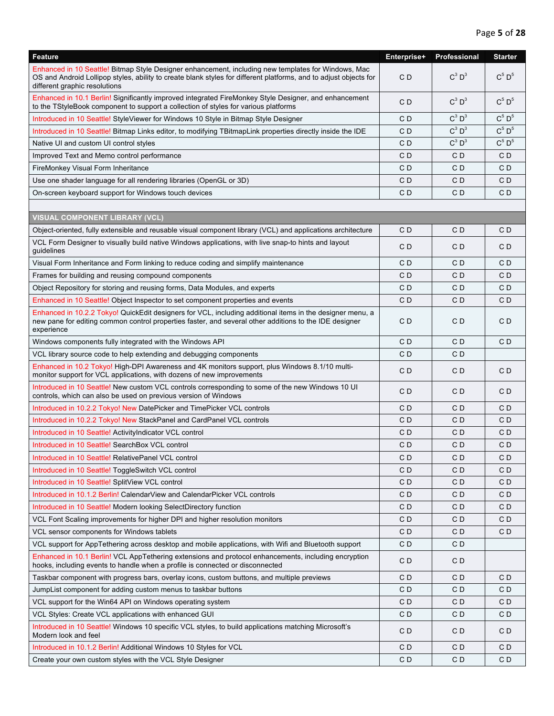| <b>Feature</b>                                                                                                                                                                                                                                            | Enterprise+    | Professional   | <b>Starter</b> |
|-----------------------------------------------------------------------------------------------------------------------------------------------------------------------------------------------------------------------------------------------------------|----------------|----------------|----------------|
| Enhanced in 10 Seattle! Bitmap Style Designer enhancement, including new templates for Windows, Mac<br>OS and Android Lollipop styles, ability to create blank styles for different platforms, and to adjust objects for<br>different graphic resolutions | C <sub>D</sub> | $C^3$ $D^3$    | $C^5$ $D^5$    |
| Enhanced in 10.1 Berlin! Significantly improved integrated FireMonkey Style Designer, and enhancement<br>to the TStyleBook component to support a collection of styles for various platforms                                                              | CD             | $C^3$ $D^3$    | $C^5$ $D^5$    |
| Introduced in 10 Seattle! StyleViewer for Windows 10 Style in Bitmap Style Designer                                                                                                                                                                       | CD             | $C^3$ $D^3$    | $C^5$ $D^5$    |
| Introduced in 10 Seattle! Bitmap Links editor, to modifying TBitmapLink properties directly inside the IDE                                                                                                                                                | CD             | $C^3$ $D^3$    | $C^5 D^5$      |
| Native UI and custom UI control styles                                                                                                                                                                                                                    | CD             | $C^3$ $D^3$    | $C^5$ $D^5$    |
| Improved Text and Memo control performance                                                                                                                                                                                                                | CD             | CD             | CD             |
| FireMonkey Visual Form Inheritance                                                                                                                                                                                                                        | CD             | CD             | CD             |
| Use one shader language for all rendering libraries (OpenGL or 3D)                                                                                                                                                                                        | CD             | C D            | C D            |
| On-screen keyboard support for Windows touch devices                                                                                                                                                                                                      | CD             | CD             | C D            |
|                                                                                                                                                                                                                                                           |                |                |                |
| <b>VISUAL COMPONENT LIBRARY (VCL)</b>                                                                                                                                                                                                                     |                |                |                |
| Object-oriented, fully extensible and reusable visual component library (VCL) and applications architecture                                                                                                                                               | CD             | CD             | C D            |
| VCL Form Designer to visually build native Windows applications, with live snap-to hints and layout<br>guidelines                                                                                                                                         | CD             | CD             | C D            |
| Visual Form Inheritance and Form linking to reduce coding and simplify maintenance                                                                                                                                                                        | CD             | CD             | C D            |
| Frames for building and reusing compound components                                                                                                                                                                                                       | CD             | C D            | C D            |
| Object Repository for storing and reusing forms, Data Modules, and experts                                                                                                                                                                                | CD             | CD             | C D            |
| Enhanced in 10 Seattle! Object Inspector to set component properties and events                                                                                                                                                                           | C <sub>D</sub> | CD             | C D            |
| Enhanced in 10.2.2 Tokyo! QuickEdit designers for VCL, including additional items in the designer menu, a<br>new pane for editing common control properties faster, and several other additions to the IDE designer<br>experience                         | CD             | CD             | CD             |
| Windows components fully integrated with the Windows API                                                                                                                                                                                                  | CD             | CD             | CD             |
| VCL library source code to help extending and debugging components                                                                                                                                                                                        | CD             | C D            |                |
| Enhanced in 10.2 Tokyo! High-DPI Awareness and 4K monitors support, plus Windows 8.1/10 multi-<br>monitor support for VCL applications, with dozens of new improvements                                                                                   | CD             | CD             | C D            |
| Introduced in 10 Seattle! New custom VCL controls corresponding to some of the new Windows 10 UI<br>controls, which can also be used on previous version of Windows                                                                                       | CD             | C D            | C D            |
| Introduced in 10.2.2 Tokyo! New DatePicker and TimePicker VCL controls                                                                                                                                                                                    | CD             | CD             | CD             |
| Introduced in 10.2.2 Tokyo! New StackPanel and CardPanel VCL controls                                                                                                                                                                                     | CD             | C D            | C D            |
| Introduced in 10 Seattle! ActivityIndicator VCL control                                                                                                                                                                                                   | C <sub>D</sub> | CD             | CD             |
| Introduced in 10 Seattle! SearchBox VCL control                                                                                                                                                                                                           | CD             | C D            | C D            |
| Introduced in 10 Seattle! RelativePanel VCL control                                                                                                                                                                                                       | C <sub>D</sub> | C <sub>D</sub> | C <sub>D</sub> |
| Introduced in 10 Seattle! ToggleSwitch VCL control                                                                                                                                                                                                        | CD             | C D            | C D            |
| Introduced in 10 Seattle! SplitView VCL control                                                                                                                                                                                                           | CD             | C D            | C <sub>D</sub> |
| Introduced in 10.1.2 Berlin! CalendarView and CalendarPicker VCL controls                                                                                                                                                                                 | CD             | C D            | C D            |
| Introduced in 10 Seattle! Modern looking SelectDirectory function                                                                                                                                                                                         | CD             | C D            | C D            |
| VCL Font Scaling improvements for higher DPI and higher resolution monitors                                                                                                                                                                               | CD             | C D            | C <sub>D</sub> |
| VCL sensor components for Windows tablets                                                                                                                                                                                                                 | CD             | C D            | C D            |
| VCL support for AppTethering across desktop and mobile applications, with Wifi and Bluetooth support                                                                                                                                                      | CD             | CD             |                |
| Enhanced in 10.1 Berlin! VCL AppTethering extensions and protocol enhancements, including encryption<br>hooks, including events to handle when a profile is connected or disconnected                                                                     | CD             | CD             |                |
| Taskbar component with progress bars, overlay icons, custom buttons, and multiple previews                                                                                                                                                                | CD             | CD             | C D            |
| JumpList component for adding custom menus to taskbar buttons                                                                                                                                                                                             | CD             | C D            | CD             |
| VCL support for the Win64 API on Windows operating system                                                                                                                                                                                                 | CD             | C D            | CD             |
| VCL Styles: Create VCL applications with enhanced GUI                                                                                                                                                                                                     | CD             | C D            | C D            |
| Introduced in 10 Seattle! Windows 10 specific VCL styles, to build applications matching Microsoft's<br>Modern look and feel                                                                                                                              | CD             | CD             | CD             |
| Introduced in 10.1.2 Berlin! Additional Windows 10 Styles for VCL                                                                                                                                                                                         | CD             | CD             | CD             |
| Create your own custom styles with the VCL Style Designer                                                                                                                                                                                                 | C <sub>D</sub> | CD             | C <sub>D</sub> |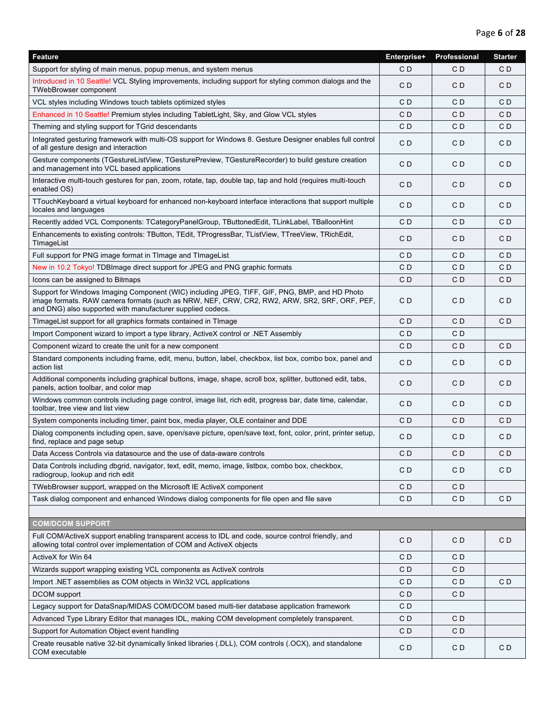| Feature                                                                                                                                                                                                                                                     | Enterprise+    | Professional   | <b>Starter</b> |
|-------------------------------------------------------------------------------------------------------------------------------------------------------------------------------------------------------------------------------------------------------------|----------------|----------------|----------------|
| Support for styling of main menus, popup menus, and system menus                                                                                                                                                                                            | CD             | CD             | CD             |
| Introduced in 10 Seattle! VCL Styling improvements, including support for styling common dialogs and the<br>TWebBrowser component                                                                                                                           | CD             | CD             | CD             |
| VCL styles including Windows touch tablets optimized styles                                                                                                                                                                                                 | CD             | CD             | CD             |
| Enhanced in 10 Seattle! Premium styles including TabletLight, Sky, and Glow VCL styles                                                                                                                                                                      | C <sub>D</sub> | CD             | CD             |
| Theming and styling support for TGrid descendants                                                                                                                                                                                                           | CD             | CD             | C D            |
| Integrated gesturing framework with multi-OS support for Windows 8. Gesture Designer enables full control<br>of all gesture design and interaction                                                                                                          | C D            | CD             | CD             |
| Gesture components (TGestureListView, TGesturePreview, TGestureRecorder) to build gesture creation<br>and management into VCL based applications                                                                                                            | C <sub>D</sub> | CD             | CD             |
| Interactive multi-touch gestures for pan, zoom, rotate, tap, double tap, tap and hold (requires multi-touch<br>enabled OS)                                                                                                                                  | C <sub>D</sub> | CD             | CD             |
| TTouchKeyboard a virtual keyboard for enhanced non-keyboard interface interactions that support multiple<br>locales and languages                                                                                                                           | CD             | CD             | CD             |
| Recently added VCL Components: TCategoryPanelGroup, TButtonedEdit, TLinkLabel, TBalloonHint                                                                                                                                                                 | CD             | CD             | CD             |
| Enhancements to existing controls: TButton, TEdit, TProgressBar, TListView, TTreeView, TRichEdit,<br>TImageList                                                                                                                                             | CD             | CD             | CD             |
| Full support for PNG image format in TImage and TImageList                                                                                                                                                                                                  | C <sub>D</sub> | CD             | CD             |
| New in 10.2 Tokyo! TDBImage direct support for JPEG and PNG graphic formats                                                                                                                                                                                 | CD             | CD             | C D            |
| Icons can be assigned to Bitmaps                                                                                                                                                                                                                            | CD             | CD             | CD             |
| Support for Windows Imaging Component (WIC) including JPEG, TIFF, GIF, PNG, BMP, and HD Photo<br>image formats. RAW camera formats (such as NRW, NEF, CRW, CR2, RW2, ARW, SR2, SRF, ORF, PEF,<br>and DNG) also supported with manufacturer supplied codecs. | CD             | CD             | CD             |
| TImageList support for all graphics formats contained in TImage                                                                                                                                                                                             | C D            | CD             | CD             |
| Import Component wizard to import a type library, ActiveX control or .NET Assembly                                                                                                                                                                          | CD             | CD             |                |
| Component wizard to create the unit for a new component                                                                                                                                                                                                     | CD             | CD             | CD             |
| Standard components including frame, edit, menu, button, label, checkbox, list box, combo box, panel and<br>action list                                                                                                                                     | CD             | CD             | C D            |
| Additional components including graphical buttons, image, shape, scroll box, splitter, buttoned edit, tabs,<br>panels, action toolbar, and color map                                                                                                        | CD             | CD             | CD             |
| Windows common controls including page control, image list, rich edit, progress bar, date time, calendar,<br>toolbar, tree view and list view                                                                                                               | CD             | CD             | CD             |
| System components including timer, paint box, media player, OLE container and DDE                                                                                                                                                                           | C <sub>D</sub> | CD             | CD             |
| Dialog components including open, save, open/save picture, open/save text, font, color, print, printer setup,<br>find, replace and page setup                                                                                                               | CD             | CD             | C D            |
| Data Access Controls via datasource and the use of data-aware controls                                                                                                                                                                                      | CD             | CD             | CD             |
| Data Controls including dbgrid, navigator, text, edit, memo, image, listbox, combo box, checkbox,<br>radiogroup, lookup and rich edit                                                                                                                       | CD             | CD             | C D            |
| TWebBrowser support, wrapped on the Microsoft IE ActiveX component                                                                                                                                                                                          | CD             | CD             |                |
| Task dialog component and enhanced Windows dialog components for file open and file save                                                                                                                                                                    | C <sub>D</sub> | C <sub>D</sub> | C D            |
| <b>COM/DCOM SUPPORT</b>                                                                                                                                                                                                                                     |                |                |                |
| Full COM/ActiveX support enabling transparent access to IDL and code, source control friendly, and<br>allowing total control over implementation of COM and ActiveX objects                                                                                 | CD             | CD             | CD             |
| ActiveX for Win 64                                                                                                                                                                                                                                          | CD             | CD             |                |
| Wizards support wrapping existing VCL components as ActiveX controls                                                                                                                                                                                        | CD             | C <sub>D</sub> |                |
| Import .NET assemblies as COM objects in Win32 VCL applications                                                                                                                                                                                             | CD             | C <sub>D</sub> | CD             |
| DCOM support                                                                                                                                                                                                                                                | CD             | CD             |                |
| Legacy support for DataSnap/MIDAS COM/DCOM based multi-tier database application framework                                                                                                                                                                  | CD             |                |                |
| Advanced Type Library Editor that manages IDL, making COM development completely transparent.                                                                                                                                                               | CD             | CD             |                |
| Support for Automation Object event handling                                                                                                                                                                                                                | CD             | CD             |                |
| Create reusable native 32-bit dynamically linked libraries (.DLL), COM controls (.OCX), and standalone<br>COM executable                                                                                                                                    | CD             | CD             | C D            |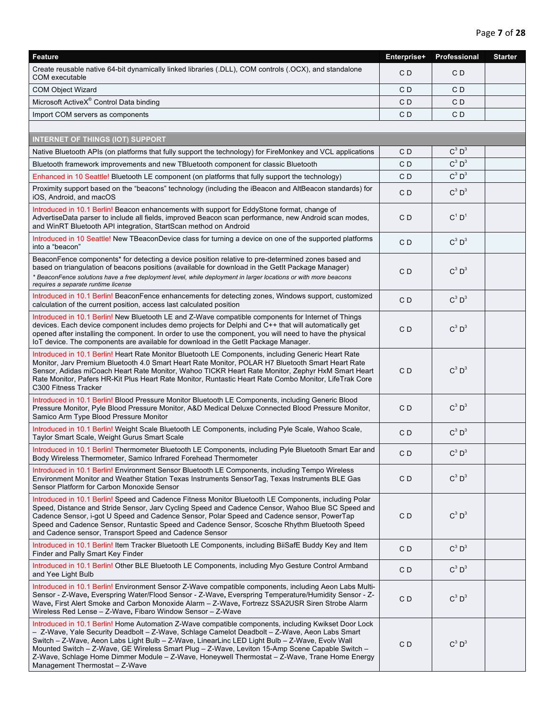| Feature                                                                                                                                                                                                                                                                                                                                                                                                                                                                                                                                       | Enterprise+ | Professional         | <b>Starter</b> |
|-----------------------------------------------------------------------------------------------------------------------------------------------------------------------------------------------------------------------------------------------------------------------------------------------------------------------------------------------------------------------------------------------------------------------------------------------------------------------------------------------------------------------------------------------|-------------|----------------------|----------------|
| Create reusable native 64-bit dynamically linked libraries (.DLL), COM controls (.OCX), and standalone<br>COM executable                                                                                                                                                                                                                                                                                                                                                                                                                      | CD          | C D                  |                |
| <b>COM Object Wizard</b>                                                                                                                                                                                                                                                                                                                                                                                                                                                                                                                      | CD          | C D                  |                |
| Microsoft ActiveX® Control Data binding                                                                                                                                                                                                                                                                                                                                                                                                                                                                                                       | CD          | CD                   |                |
| Import COM servers as components                                                                                                                                                                                                                                                                                                                                                                                                                                                                                                              | CD          | CD                   |                |
|                                                                                                                                                                                                                                                                                                                                                                                                                                                                                                                                               |             |                      |                |
| <b>INTERNET OF THINGS (IOT) SUPPORT</b>                                                                                                                                                                                                                                                                                                                                                                                                                                                                                                       |             |                      |                |
| Native Bluetooth APIs (on platforms that fully support the technology) for FireMonkey and VCL applications                                                                                                                                                                                                                                                                                                                                                                                                                                    | CD          | $C^3$ $D^3$          |                |
| Bluetooth framework improvements and new TBluetooth component for classic Bluetooth                                                                                                                                                                                                                                                                                                                                                                                                                                                           | CD          | $C^3$ $D^3$          |                |
| Enhanced in 10 Seattle! Bluetooth LE component (on platforms that fully support the technology)                                                                                                                                                                                                                                                                                                                                                                                                                                               | CD          | $C^3$ $D^3$          |                |
| Proximity support based on the "beacons" technology (including the iBeacon and AltBeacon standards) for<br>iOS, Android, and macOS                                                                                                                                                                                                                                                                                                                                                                                                            | CD          | $C^3$ $D^3$          |                |
| Introduced in 10.1 Berlin! Beacon enhancements with support for EddyStone format, change of<br>AdvertiseData parser to include all fields, improved Beacon scan performance, new Android scan modes,<br>and WinRT Bluetooth API integration, StartScan method on Android                                                                                                                                                                                                                                                                      | CD          | $C^1$ D <sup>1</sup> |                |
| Introduced in 10 Seattle! New TBeaconDevice class for turning a device on one of the supported platforms<br>into a "beacon"                                                                                                                                                                                                                                                                                                                                                                                                                   | CD          | $C^3$ $D^3$          |                |
| BeaconFence components* for detecting a device position relative to pre-determined zones based and<br>based on triangulation of beacons positions (available for download in the GetIt Package Manager)<br>* BeaconFence solutions have a free deployment level, while deployment in larger locations or with more beacons<br>requires a separate runtime license                                                                                                                                                                             | CD          | $C^3$ $D^3$          |                |
| Introduced in 10.1 Berlin! BeaconFence enhancements for detecting zones, Windows support, customized<br>calculation of the current position, access last calculated position                                                                                                                                                                                                                                                                                                                                                                  | CD          | $C^3$ $D^3$          |                |
| Introduced in 10.1 Berlin! New Bluetooth LE and Z-Wave compatible components for Internet of Things<br>devices. Each device component includes demo projects for Delphi and C++ that will automatically get<br>opened after installing the component. In order to use the component, you will need to have the physical<br>loT device. The components are available for download in the GetIt Package Manager.                                                                                                                                | CD          | $C^3$ $D^3$          |                |
| Introduced in 10.1 Berlin! Heart Rate Monitor Bluetooth LE Components, including Generic Heart Rate<br>Monitor, Jarv Premium Bluetooth 4.0 Smart Heart Rate Monitor, POLAR H7 Bluetooth Smart Heart Rate<br>Sensor, Adidas miCoach Heart Rate Monitor, Wahoo TICKR Heart Rate Monitor, Zephyr HxM Smart Heart<br>Rate Monitor, Pafers HR-Kit Plus Heart Rate Monitor, Runtastic Heart Rate Combo Monitor, LifeTrak Core<br>C300 Fitness Tracker                                                                                               | CD          | $C^3$ $D^3$          |                |
| Introduced in 10.1 Berlin! Blood Pressure Monitor Bluetooth LE Components, including Generic Blood<br>Pressure Monitor, Pyle Blood Pressure Monitor, A&D Medical Deluxe Connected Blood Pressure Monitor,<br>Samico Arm Type Blood Pressure Monitor                                                                                                                                                                                                                                                                                           | CD          | $C^3$ $D^3$          |                |
| Introduced in 10.1 Berlin! Weight Scale Bluetooth LE Components, including Pyle Scale, Wahoo Scale,<br>Taylor Smart Scale, Weight Gurus Smart Scale                                                                                                                                                                                                                                                                                                                                                                                           | CD          | $C^3$ $D^3$          |                |
| Introduced in 10.1 Berlin! Thermometer Bluetooth LE Components, including Pyle Bluetooth Smart Ear and<br>Body Wireless Thermometer, Samico Infrared Forehead Thermometer                                                                                                                                                                                                                                                                                                                                                                     | CD          | $C^3$ $D^3$          |                |
| Introduced in 10.1 Berlin! Environment Sensor Bluetooth LE Components, including Tempo Wireless<br>Environment Monitor and Weather Station Texas Instruments SensorTag, Texas Instruments BLE Gas<br>Sensor Platform for Carbon Monoxide Sensor                                                                                                                                                                                                                                                                                               | CD          | $C^3$ $D^3$          |                |
| Introduced in 10.1 Berlin! Speed and Cadence Fitness Monitor Bluetooth LE Components, including Polar<br>Speed, Distance and Stride Sensor, Jarv Cycling Speed and Cadence Censor, Wahoo Blue SC Speed and<br>Cadence Sensor, i-got U Speed and Cadence Sensor, Polar Speed and Cadence sensor, PowerTap<br>Speed and Cadence Sensor, Runtastic Speed and Cadence Sensor, Scosche Rhythm Bluetooth Speed<br>and Cadence sensor, Transport Speed and Cadence Sensor                                                                            | CD          | $C^3$ $D^3$          |                |
| Introduced in 10.1 Berlin! Item Tracker Bluetooth LE Components, including BijSafE Buddy Key and Item<br>Finder and Pally Smart Key Finder                                                                                                                                                                                                                                                                                                                                                                                                    | CD          | $C^3$ $D^3$          |                |
| Introduced in 10.1 Berlin! Other BLE Bluetooth LE Components, including Myo Gesture Control Armband<br>and Yee Light Bulb                                                                                                                                                                                                                                                                                                                                                                                                                     | CD          | $C^3$ $D^3$          |                |
| Introduced in 10.1 Berlin! Environment Sensor Z-Wave compatible components, including Aeon Labs Multi-<br>Sensor - Z-Wave, Everspring Water/Flood Sensor - Z-Wave, Everspring Temperature/Humidity Sensor - Z-<br>Wave, First Alert Smoke and Carbon Monoxide Alarm - Z-Wave, Fortrezz SSA2USR Siren Strobe Alarm<br>Wireless Red Lense - Z-Wave, Fibaro Window Sensor - Z-Wave                                                                                                                                                               | CD          | $C^3$ $D^3$          |                |
| Introduced in 10.1 Berlin! Home Automation Z-Wave compatible components, including Kwikset Door Lock<br>- Z-Wave, Yale Security Deadbolt - Z-Wave, Schlage Camelot Deadbolt - Z-Wave, Aeon Labs Smart<br>Switch - Z-Wave, Aeon Labs Light Bulb - Z-Wave, LinearLinc LED Light Bulb - Z-Wave, Evolv Wall<br>Mounted Switch - Z-Wave, GE Wireless Smart Plug - Z-Wave, Leviton 15-Amp Scene Capable Switch -<br>Z-Wave, Schlage Home Dimmer Module - Z-Wave, Honeywell Thermostat - Z-Wave, Trane Home Energy<br>Management Thermostat - Z-Wave | CD          | $C^3$ $D^3$          |                |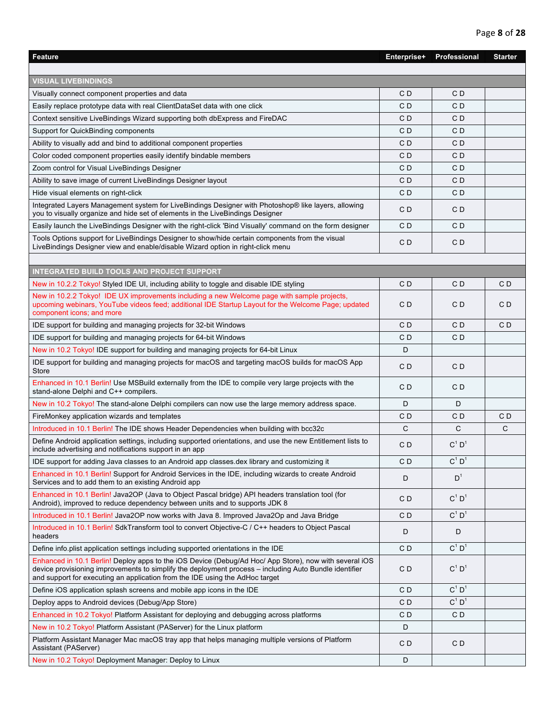| <b>Feature</b>                                                                                                                                                                                                                                                                                   | Enterprise+    | Professional         | <b>Starter</b> |
|--------------------------------------------------------------------------------------------------------------------------------------------------------------------------------------------------------------------------------------------------------------------------------------------------|----------------|----------------------|----------------|
|                                                                                                                                                                                                                                                                                                  |                |                      |                |
| <b>VISUAL LIVEBINDINGS</b>                                                                                                                                                                                                                                                                       |                |                      |                |
| Visually connect component properties and data                                                                                                                                                                                                                                                   | C <sub>D</sub> | CD                   |                |
| Easily replace prototype data with real ClientDataSet data with one click                                                                                                                                                                                                                        | CD             | CD                   |                |
| Context sensitive LiveBindings Wizard supporting both dbExpress and FireDAC                                                                                                                                                                                                                      | CD             | CD                   |                |
| Support for QuickBinding components                                                                                                                                                                                                                                                              | CD             | CD                   |                |
| Ability to visually add and bind to additional component properties                                                                                                                                                                                                                              | CD             | CD                   |                |
| Color coded component properties easily identify bindable members                                                                                                                                                                                                                                | CD             | CD                   |                |
| Zoom control for Visual LiveBindings Designer                                                                                                                                                                                                                                                    | CD             | CD                   |                |
| Ability to save image of current LiveBindings Designer layout                                                                                                                                                                                                                                    | C <sub>D</sub> | CD                   |                |
| Hide visual elements on right-click                                                                                                                                                                                                                                                              | C D            | CD                   |                |
| Integrated Layers Management system for LiveBindings Designer with Photoshop® like layers, allowing<br>you to visually organize and hide set of elements in the LiveBindings Designer                                                                                                            | C D            | CD                   |                |
| Easily launch the LiveBindings Designer with the right-click 'Bind Visually' command on the form designer                                                                                                                                                                                        | CD             | CD                   |                |
| Tools Options support for LiveBindings Designer to show/hide certain components from the visual<br>LiveBindings Designer view and enable/disable Wizard option in right-click menu                                                                                                               | CD             | CD                   |                |
|                                                                                                                                                                                                                                                                                                  |                |                      |                |
| <b>INTEGRATED BUILD TOOLS AND PROJECT SUPPORT</b>                                                                                                                                                                                                                                                |                |                      |                |
| New in 10.2.2 Tokyo! Styled IDE UI, including ability to toggle and disable IDE styling                                                                                                                                                                                                          | CD             | CD                   | C <sub>D</sub> |
| New in 10.2.2 Tokyo! IDE UX improvements including a new Welcome page with sample projects,<br>upcoming webinars, YouTube videos feed; additional IDE Startup Layout for the Welcome Page; updated<br>component icons; and more                                                                  | C D            | CD                   | CD             |
| IDE support for building and managing projects for 32-bit Windows                                                                                                                                                                                                                                | CD             | CD                   | C <sub>D</sub> |
| IDE support for building and managing projects for 64-bit Windows                                                                                                                                                                                                                                | CD             | CD                   |                |
| New in 10.2 Tokyo! IDE support for building and managing projects for 64-bit Linux                                                                                                                                                                                                               | D              |                      |                |
| IDE support for building and managing projects for macOS and targeting macOS builds for macOS App<br><b>Store</b>                                                                                                                                                                                | C <sub>D</sub> | CD                   |                |
| Enhanced in 10.1 Berlin! Use MSBuild externally from the IDE to compile very large projects with the<br>stand-alone Delphi and C++ compilers.                                                                                                                                                    | CD             | CD                   |                |
| New in 10.2 Tokyo! The stand-alone Delphi compilers can now use the large memory address space.                                                                                                                                                                                                  | D              | D                    |                |
| FireMonkey application wizards and templates                                                                                                                                                                                                                                                     | CD             | CD                   | CD             |
| Introduced in 10.1 Berlin! The IDE shows Header Dependencies when building with bcc32c                                                                                                                                                                                                           | C              | C                    | C              |
| Define Android application settings, including supported orientations, and use the new Entitlement lists to<br>include advertising and notifications support in an app                                                                                                                           | C D            | $C^1$ D <sup>1</sup> |                |
| IDE support for adding Java classes to an Android app classes.dex library and customizing it                                                                                                                                                                                                     | C <sub>D</sub> | $C^1$ D <sup>1</sup> |                |
| Enhanced in 10.1 Berlin! Support for Android Services in the IDE, including wizards to create Android<br>Services and to add them to an existing Android app                                                                                                                                     | D              | $D^1$                |                |
| Enhanced in 10.1 Berlin! Java2OP (Java to Object Pascal bridge) API headers translation tool (for<br>Android), improved to reduce dependency between units and to supports JDK 8                                                                                                                 | CD             | $C^1$ D <sup>1</sup> |                |
| Introduced in 10.1 Berlin! Java2OP now works with Java 8. Improved Java2Op and Java Bridge                                                                                                                                                                                                       | C <sub>D</sub> | $C^1 D^1$            |                |
| Introduced in 10.1 Berlin! SdkTransform tool to convert Objective-C / C++ headers to Object Pascal<br>headers                                                                                                                                                                                    | D              | D                    |                |
| Define info plist application settings including supported orientations in the IDE                                                                                                                                                                                                               | C <sub>D</sub> | $C^1$ $D^1$          |                |
| Enhanced in 10.1 Berlin! Deploy apps to the iOS Device (Debug/Ad Hoc/ App Store), now with several iOS<br>device provisioning improvements to simplify the deployment process – including Auto Bundle identifier<br>and support for executing an application from the IDE using the AdHoc target | CD             | $C^1$ D <sup>1</sup> |                |
| Define iOS application splash screens and mobile app icons in the IDE                                                                                                                                                                                                                            | CD             | $C^1$ D <sup>1</sup> |                |
| Deploy apps to Android devices (Debug/App Store)                                                                                                                                                                                                                                                 | CD             | $C^1$ D <sup>1</sup> |                |
| Enhanced in 10.2 Tokyo! Platform Assistant for deploying and debugging across platforms                                                                                                                                                                                                          | CD             | CD                   |                |
| New in 10.2 Tokyo! Platform Assistant (PAServer) for the Linux platform                                                                                                                                                                                                                          | D              |                      |                |
| Platform Assistant Manager Mac macOS tray app that helps managing multiple versions of Platform<br>Assistant (PAServer)                                                                                                                                                                          | CD             | CD                   |                |
| New in 10.2 Tokyo! Deployment Manager: Deploy to Linux                                                                                                                                                                                                                                           | D              |                      |                |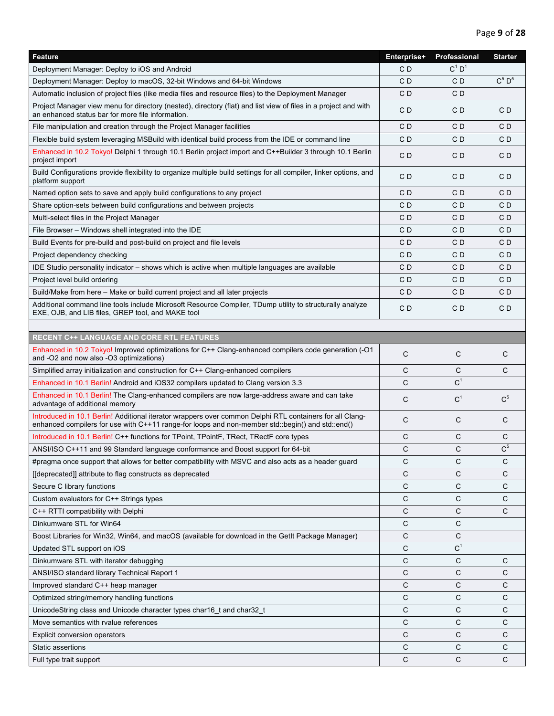| <b>Feature</b>                                                                                                                                                                                               | Enterprise+ | Professional         | <b>Starter</b> |
|--------------------------------------------------------------------------------------------------------------------------------------------------------------------------------------------------------------|-------------|----------------------|----------------|
| Deployment Manager: Deploy to iOS and Android                                                                                                                                                                | CD          | $C^1$ D <sup>1</sup> |                |
| Deployment Manager: Deploy to macOS, 32-bit Windows and 64-bit Windows                                                                                                                                       | CD          | CD                   | $C^5$ $D^5$    |
| Automatic inclusion of project files (like media files and resource files) to the Deployment Manager                                                                                                         | CD          | CD                   |                |
| Project Manager view menu for directory (nested), directory (flat) and list view of files in a project and with<br>an enhanced status bar for more file information.                                         | C D         | CD                   | C <sub>D</sub> |
| File manipulation and creation through the Project Manager facilities                                                                                                                                        | CD          | CD                   | C <sub>D</sub> |
| Flexible build system leveraging MSBuild with identical build process from the IDE or command line                                                                                                           | CD          | CD                   | CD             |
| Enhanced in 10.2 Tokyo! Delphi 1 through 10.1 Berlin project import and C++Builder 3 through 10.1 Berlin<br>project import                                                                                   | CD          | CD                   | CD             |
| Build Configurations provide flexibility to organize multiple build settings for all compiler, linker options, and<br>platform support                                                                       | CD          | CD                   | CD             |
| Named option sets to save and apply build configurations to any project                                                                                                                                      | CD          | CD                   | CD             |
| Share option-sets between build configurations and between projects                                                                                                                                          | CD          | CD                   | CD             |
| Multi-select files in the Project Manager                                                                                                                                                                    | CD          | CD                   | CD             |
| File Browser - Windows shell integrated into the IDE                                                                                                                                                         | CD          | CD                   | CD             |
| Build Events for pre-build and post-build on project and file levels                                                                                                                                         | CD          | CD                   | CD             |
| Project dependency checking                                                                                                                                                                                  | CD          | CD                   | CD             |
| IDE Studio personality indicator – shows which is active when multiple languages are available                                                                                                               | CD          | C D                  | CD             |
| Project level build ordering                                                                                                                                                                                 | CD          | CD                   | CD             |
| Build/Make from here – Make or build current project and all later projects                                                                                                                                  | CD          | CD                   | CD             |
| Additional command line tools include Microsoft Resource Compiler, TDump utility to structurally analyze<br>EXE, OJB, and LIB files, GREP tool, and MAKE tool                                                | CD          | CD                   | CD             |
|                                                                                                                                                                                                              |             |                      |                |
| <b>RECENT C++ LANGUAGE AND CORE RTL FEATURES</b>                                                                                                                                                             |             |                      |                |
| Enhanced in 10.2 Tokyo! Improved optimizations for C++ Clang-enhanced compilers code generation (-O1<br>and -O2 and now also -O3 optimizations)                                                              | C           | C                    | C              |
| Simplified array initialization and construction for C++ Clang-enhanced compilers                                                                                                                            | С           | С                    | C              |
| Enhanced in 10.1 Berlin! Android and iOS32 compilers updated to Clang version 3.3                                                                                                                            | C           | C <sup>1</sup>       |                |
| Enhanced in 10.1 Berlin! The Clang-enhanced compilers are now large-address aware and can take<br>advantage of additional memory                                                                             | C           | C <sup>1</sup>       | $C^5$          |
| Introduced in 10.1 Berlin! Additional iterator wrappers over common Delphi RTL containers for all Clang-<br>enhanced compilers for use with C++11 range-for loops and non-member std::begin() and std::end() | C           | C                    | C              |
| Introduced in 10.1 Berlin! C++ functions for TPoint, TPointF, TRect, TRectF core types                                                                                                                       | C           | C                    | C              |
| ANSI/ISO C++11 and 99 Standard language conformance and Boost support for 64-bit                                                                                                                             | C           | C                    | C <sup>5</sup> |
| #pragma once support that allows for better compatibility with MSVC and also acts as a header guard                                                                                                          | С           | С                    | С              |
| [[deprecated]] attribute to flag constructs as deprecated                                                                                                                                                    | C           | C                    | C              |
| Secure C library functions                                                                                                                                                                                   | C           | C                    | C              |
| Custom evaluators for C++ Strings types                                                                                                                                                                      | С           | С                    | C              |
| C++ RTTI compatibility with Delphi                                                                                                                                                                           | С           | С                    | C              |
| Dinkumware STL for Win64                                                                                                                                                                                     | C           | C                    |                |
| Boost Libraries for Win32, Win64, and macOS (available for download in the GetIt Package Manager)                                                                                                            | С           | C                    |                |
| Updated STL support on iOS                                                                                                                                                                                   | С           | $\mathbf{C}^1$       |                |
| Dinkumware STL with iterator debugging                                                                                                                                                                       | С           | С                    | C              |
| ANSI/ISO standard library Technical Report 1                                                                                                                                                                 | С           | C                    | C              |
| Improved standard C++ heap manager                                                                                                                                                                           | С           | С                    | C              |
| Optimized string/memory handling functions                                                                                                                                                                   | C           | С                    | C              |
| UnicodeString class and Unicode character types char16_t and char32_t                                                                                                                                        | C           | C                    | C              |
| Move semantics with rvalue references                                                                                                                                                                        | С           | C                    | C              |
| <b>Explicit conversion operators</b>                                                                                                                                                                         | С           | C                    | C              |
| <b>Static assertions</b>                                                                                                                                                                                     | С           | С                    | С              |
| Full type trait support                                                                                                                                                                                      | C           | C                    | C              |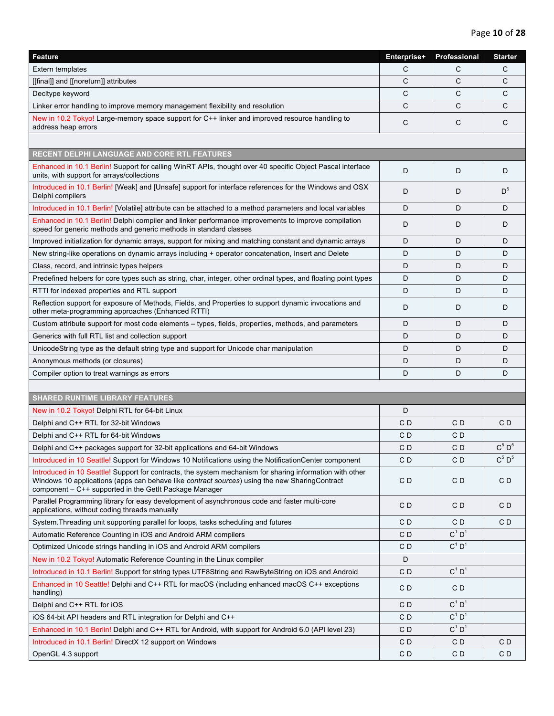| Feature                                                                                                                                                                                                                                                             | Enterprise+          | Professional         | <b>Starter</b>                |
|---------------------------------------------------------------------------------------------------------------------------------------------------------------------------------------------------------------------------------------------------------------------|----------------------|----------------------|-------------------------------|
| <b>Extern templates</b>                                                                                                                                                                                                                                             | C                    | C                    | C                             |
| [[final]] and [[noreturn]] attributes                                                                                                                                                                                                                               | C                    | C                    | C                             |
| Decltype keyword                                                                                                                                                                                                                                                    | C                    | C                    | C                             |
| Linker error handling to improve memory management flexibility and resolution                                                                                                                                                                                       | C                    | C                    | C                             |
| New in 10.2 Tokyo! Large-memory space support for C++ linker and improved resource handling to<br>address heap errors                                                                                                                                               | C                    | C                    | $\mathsf{C}$                  |
|                                                                                                                                                                                                                                                                     |                      |                      |                               |
| <b>RECENT DELPHI LANGUAGE AND CORE RTL FEATURES</b>                                                                                                                                                                                                                 |                      |                      |                               |
| Enhanced in 10.1 Berlin! Support for calling WinRT APIs, thought over 40 specific Object Pascal interface<br>units, with support for arrays/collections                                                                                                             | D                    | D                    | D                             |
| Introduced in 10.1 Berlin! [Weak] and [Unsafe] support for interface references for the Windows and OSX<br>Delphi compilers                                                                                                                                         | D                    | D                    | $D^5$                         |
| Introduced in 10.1 Berlin! [Volatile] attribute can be attached to a method parameters and local variables                                                                                                                                                          | D                    | D                    | D                             |
| Enhanced in 10.1 Berlin! Delphi compiler and linker performance improvements to improve compilation<br>speed for generic methods and generic methods in standard classes                                                                                            | D                    | D                    | D                             |
| Improved initialization for dynamic arrays, support for mixing and matching constant and dynamic arrays                                                                                                                                                             | D                    | D                    | D                             |
| New string-like operations on dynamic arrays including + operator concatenation, Insert and Delete                                                                                                                                                                  | D                    | D                    | D                             |
| Class, record, and intrinsic types helpers                                                                                                                                                                                                                          | D                    | D                    | D                             |
| Predefined helpers for core types such as string, char, integer, other ordinal types, and floating point types                                                                                                                                                      | D                    | D                    | D                             |
| RTTI for indexed properties and RTL support                                                                                                                                                                                                                         | D                    | D                    | D                             |
| Reflection support for exposure of Methods, Fields, and Properties to support dynamic invocations and<br>other meta-programming approaches (Enhanced RTTI)                                                                                                          | D                    | D                    | D                             |
| Custom attribute support for most code elements – types, fields, properties, methods, and parameters                                                                                                                                                                | D                    | D                    | D                             |
| Generics with full RTL list and collection support                                                                                                                                                                                                                  | D                    | D                    | D                             |
| UnicodeString type as the default string type and support for Unicode char manipulation                                                                                                                                                                             | D                    | D                    | D                             |
| Anonymous methods (or closures)                                                                                                                                                                                                                                     | D                    | D                    | D                             |
| Compiler option to treat warnings as errors                                                                                                                                                                                                                         | D                    | D                    | D                             |
|                                                                                                                                                                                                                                                                     |                      |                      |                               |
| <b>SHARED RUNTIME LIBRARY FEATURES</b>                                                                                                                                                                                                                              |                      |                      |                               |
| New in 10.2 Tokyo! Delphi RTL for 64-bit Linux                                                                                                                                                                                                                      | D                    |                      |                               |
| Delphi and C++ RTL for 32-bit Windows                                                                                                                                                                                                                               | CD                   | C D                  | CD                            |
| Delphi and C++ RTL for 64-bit Windows                                                                                                                                                                                                                               | C <sub>D</sub>       | CD                   | $C^5$ $D^5$                   |
| Delphi and C++ packages support for 32-bit applications and 64-bit Windows<br>Introduced in 10 Seattle! Support for Windows 10 Notifications using the NotificationCenter component                                                                                 | CD<br>C <sub>D</sub> | CD<br>CD             | $\mathrm{C}^5$ $\mathrm{D}^5$ |
| Introduced in 10 Seattle! Support for contracts, the system mechanism for sharing information with other<br>Windows 10 applications (apps can behave like contract sources) using the new SharingContract<br>component - C++ supported in the GetIt Package Manager | C <sub>D</sub>       | CD                   | C <sub>D</sub>                |
| Parallel Programming library for easy development of asynchronous code and faster multi-core<br>applications, without coding threads manually                                                                                                                       | CD                   | C D                  | CD                            |
| System. Threading unit supporting parallel for loops, tasks scheduling and futures                                                                                                                                                                                  | CD                   | C D                  | CD                            |
| Automatic Reference Counting in iOS and Android ARM compilers                                                                                                                                                                                                       | CD                   | $C^1$ D <sup>1</sup> |                               |
| Optimized Unicode strings handling in iOS and Android ARM compilers                                                                                                                                                                                                 | CD                   | $C^1$ $D^1$          |                               |
| New in 10.2 Tokyo! Automatic Reference Counting in the Linux compiler                                                                                                                                                                                               | D                    |                      |                               |
| Introduced in 10.1 Berlin! Support for string types UTF8String and RawByteString on iOS and Android                                                                                                                                                                 | CD                   | $C^1 D^1$            |                               |
| Enhanced in 10 Seattle! Delphi and C++ RTL for macOS (including enhanced macOS C++ exceptions<br>handling)                                                                                                                                                          | C D                  | C D                  |                               |
| Delphi and C++ RTL for iOS                                                                                                                                                                                                                                          | CD                   | $C^1$ D <sup>1</sup> |                               |
| iOS 64-bit API headers and RTL integration for Delphi and C++                                                                                                                                                                                                       | CD                   | $C^1$ D <sup>1</sup> |                               |
| Enhanced in 10.1 Berlin! Delphi and C++ RTL for Android, with support for Android 6.0 (API level 23)                                                                                                                                                                | CD                   | $C^1$ D <sup>1</sup> |                               |
| Introduced in 10.1 Berlin! DirectX 12 support on Windows                                                                                                                                                                                                            | CD                   | C D                  | CD                            |
| OpenGL 4.3 support                                                                                                                                                                                                                                                  | C <sub>D</sub>       | C <sub>D</sub>       | C <sub>D</sub>                |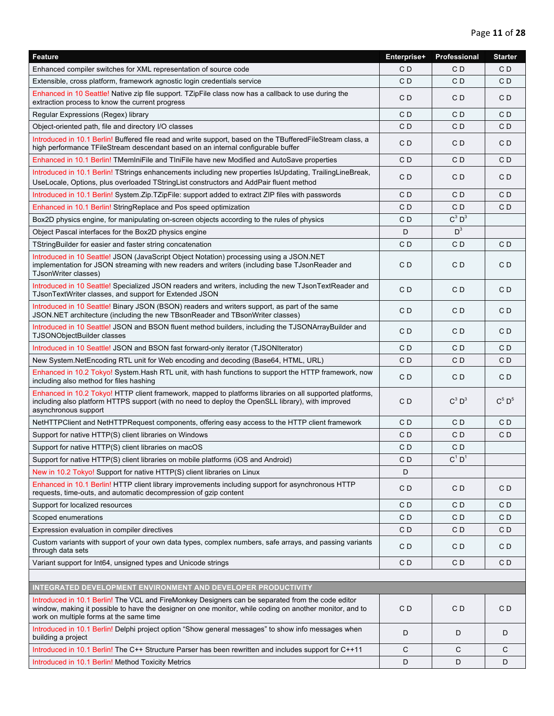| <b>Feature</b>                                                                                                                                                                                                                                          | Enterprise+ | Professional   | <b>Starter</b> |
|---------------------------------------------------------------------------------------------------------------------------------------------------------------------------------------------------------------------------------------------------------|-------------|----------------|----------------|
| Enhanced compiler switches for XML representation of source code                                                                                                                                                                                        | CD          | C D            | CD             |
| Extensible, cross platform, framework agnostic login credentials service                                                                                                                                                                                | CD          | CD             | CD             |
| Enhanced in 10 Seattle! Native zip file support. TZipFile class now has a callback to use during the<br>extraction process to know the current progress                                                                                                 | CD          | C D            | CD             |
| Regular Expressions (Regex) library                                                                                                                                                                                                                     | CD          | C D            | C D            |
| Object-oriented path, file and directory I/O classes                                                                                                                                                                                                    | CD          | C D            | CD             |
| Introduced in 10.1 Berlin! Buffered file read and write support, based on the TBufferedFileStream class, a<br>high performance TFileStream descendant based on an internal configurable buffer                                                          | CD          | C <sub>D</sub> | CD             |
| Enhanced in 10.1 Berlin! TMemIniFile and TIniFile have new Modified and AutoSave properties                                                                                                                                                             | CD          | CD             | CD             |
| Introduced in 10.1 Berlin! TStrings enhancements including new properties IsUpdating, Trailing Line Break,<br>UseLocale, Options, plus overloaded TStringList constructors and AddPair fluent method                                                    | CD          | C D            | CD             |
| Introduced in 10.1 Berlin! System.Zip.TZipFile: support added to extract ZIP files with passwords                                                                                                                                                       | CD          | C D            | CD             |
| Enhanced in 10.1 Berlin! StringReplace and Pos speed optimization                                                                                                                                                                                       | CD          | C <sub>D</sub> | CD             |
| Box2D physics engine, for manipulating on-screen objects according to the rules of physics                                                                                                                                                              | CD          | $C^3$ $D^3$    |                |
| Object Pascal interfaces for the Box2D physics engine                                                                                                                                                                                                   | D           | $D^3$          |                |
| TStringBuilder for easier and faster string concatenation                                                                                                                                                                                               | CD          | C D            | C D            |
| Introduced in 10 Seattle! JSON (JavaScript Object Notation) processing using a JSON.NET<br>implementation for JSON streaming with new readers and writers (including base TJsonReader and<br>TJsonWriter classes)                                       | CD          | C D            | CD             |
| Introduced in 10 Seattle! Specialized JSON readers and writers, including the new TJsonTextReader and<br>TJsonTextWriter classes, and support for Extended JSON                                                                                         | CD          | CD             | CD             |
| Introduced in 10 Seattle! Binary JSON (BSON) readers and writers support, as part of the same<br>JSON.NET architecture (including the new TBsonReader and TBsonWriter classes)                                                                          | CD          | C D            | CD             |
| Introduced in 10 Seattle! JSON and BSON fluent method builders, including the TJSONArrayBuilder and<br>TJSONObjectBuilder classes                                                                                                                       | CD          | C D            | C D            |
| Introduced in 10 Seattle! JSON and BSON fast forward-only iterator (TJSONIterator)                                                                                                                                                                      | CD          | CD             | CD             |
| New System. NetEncoding RTL unit for Web encoding and decoding (Base64, HTML, URL)                                                                                                                                                                      | CD          | C D            | CD             |
| Enhanced in 10.2 Tokyo! System. Hash RTL unit, with hash functions to support the HTTP framework, now<br>including also method for files hashing                                                                                                        | CD          | C <sub>D</sub> | CD             |
| Enhanced in 10.2 Tokyo! HTTP client framework, mapped to platforms libraries on all supported platforms,<br>including also platform HTTPS support (with no need to deploy the OpenSLL library), with improved<br>asynchronous support                   | CD          | $C^3$ $D^3$    | $C^5$ $D^5$    |
| NetHTTPClient and NetHTTPRequest components, offering easy access to the HTTP client framework                                                                                                                                                          | CD          | CD             | CD             |
| Support for native HTTP(S) client libraries on Windows                                                                                                                                                                                                  | CD          | CD             | CD             |
| Support for native HTTP(S) client libraries on macOS                                                                                                                                                                                                    | CD          | C D            |                |
| Support for native HTTP(S) client libraries on mobile platforms (iOS and Android)                                                                                                                                                                       | C D         | $C^1 D^1$      |                |
| New in 10.2 Tokyo! Support for native HTTP(S) client libraries on Linux                                                                                                                                                                                 | D           |                |                |
| Enhanced in 10.1 Berlin! HTTP client library improvements including support for asynchronous HTTP<br>requests, time-outs, and automatic decompression of gzip content                                                                                   | CD          | C D            | CD             |
| Support for localized resources                                                                                                                                                                                                                         | CD          | C D            | C D            |
| Scoped enumerations                                                                                                                                                                                                                                     | CD          | C D            | C D            |
| Expression evaluation in compiler directives                                                                                                                                                                                                            | CD          | C D            | CD             |
| Custom variants with support of your own data types, complex numbers, safe arrays, and passing variants<br>through data sets                                                                                                                            | CD          | C D            | C D            |
| Variant support for Int64, unsigned types and Unicode strings                                                                                                                                                                                           | CD          | CD             | C D            |
|                                                                                                                                                                                                                                                         |             |                |                |
| INTEGRATED DEVELOPMENT ENVIRONMENT AND DEVELOPER PRODUCTIVITY                                                                                                                                                                                           |             |                |                |
| Introduced in 10.1 Berlin! The VCL and FireMonkey Designers can be separated from the code editor<br>window, making it possible to have the designer on one monitor, while coding on another monitor, and to<br>work on multiple forms at the same time | CD          | CD             | CD             |
| Introduced in 10.1 Berlin! Delphi project option "Show general messages" to show info messages when<br>building a project                                                                                                                               | D           | D              | D              |
| Introduced in 10.1 Berlin! The C++ Structure Parser has been rewritten and includes support for C++11                                                                                                                                                   | C           | C              | C              |
| Introduced in 10.1 Berlin! Method Toxicity Metrics                                                                                                                                                                                                      | D           | D              | D              |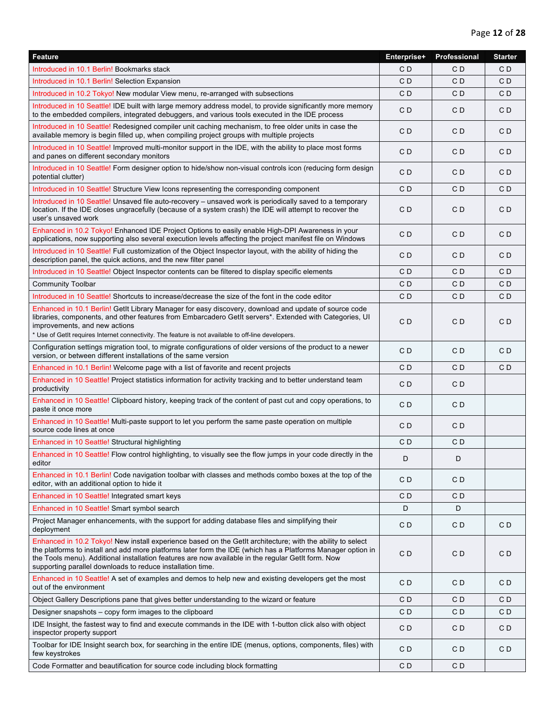| Feature                                                                                                                                                                                                                                                                                                                                                                                       | Enterprise+    | Professional   | <b>Starter</b> |
|-----------------------------------------------------------------------------------------------------------------------------------------------------------------------------------------------------------------------------------------------------------------------------------------------------------------------------------------------------------------------------------------------|----------------|----------------|----------------|
| Introduced in 10.1 Berlin! Bookmarks stack                                                                                                                                                                                                                                                                                                                                                    | C D            | C <sub>D</sub> | CD             |
| Introduced in 10.1 Berlin! Selection Expansion                                                                                                                                                                                                                                                                                                                                                | CD             | CD             | CD             |
| Introduced in 10.2 Tokyo! New modular View menu, re-arranged with subsections                                                                                                                                                                                                                                                                                                                 | C D            | CD             | СD             |
| Introduced in 10 Seattle! IDE built with large memory address model, to provide significantly more memory<br>to the embedded compilers, integrated debuggers, and various tools executed in the IDE process                                                                                                                                                                                   | CD             | C <sub>D</sub> | CD             |
| Introduced in 10 Seattle! Redesigned compiler unit caching mechanism, to free older units in case the<br>available memory is begin filled up, when compiling project groups with multiple projects                                                                                                                                                                                            | C <sub>D</sub> | C <sub>D</sub> | C <sub>D</sub> |
| Introduced in 10 Seattle! Improved multi-monitor support in the IDE, with the ability to place most forms<br>and panes on different secondary monitors                                                                                                                                                                                                                                        | C <sub>D</sub> | CD             | C <sub>D</sub> |
| Introduced in 10 Seattle! Form designer option to hide/show non-visual controls icon (reducing form design<br>potential clutter)                                                                                                                                                                                                                                                              | C <sub>D</sub> | CD             | CD             |
| Introduced in 10 Seattle! Structure View Icons representing the corresponding component                                                                                                                                                                                                                                                                                                       | CD             | C <sub>D</sub> | CD             |
| Introduced in 10 Seattle! Unsaved file auto-recovery – unsaved work is periodically saved to a temporary<br>location. If the IDE closes ungracefully (because of a system crash) the IDE will attempt to recover the<br>user's unsaved work                                                                                                                                                   | C D            | CD             | C <sub>D</sub> |
| Enhanced in 10.2 Tokyo! Enhanced IDE Project Options to easily enable High-DPI Awareness in your<br>applications, now supporting also several execution levels affecting the project manifest file on Windows                                                                                                                                                                                 | CD             | C <sub>D</sub> | C <sub>D</sub> |
| Introduced in 10 Seattle! Full customization of the Object Inspector layout, with the ability of hiding the<br>description panel, the quick actions, and the new filter panel                                                                                                                                                                                                                 | CD             | CD             | CD             |
| Introduced in 10 Seattle! Object Inspector contents can be filtered to display specific elements                                                                                                                                                                                                                                                                                              | C D            | C <sub>D</sub> | CD             |
| <b>Community Toolbar</b>                                                                                                                                                                                                                                                                                                                                                                      | C D            | C <sub>D</sub> | CD             |
| Introduced in 10 Seattle! Shortcuts to increase/decrease the size of the font in the code editor                                                                                                                                                                                                                                                                                              | CD             | CD             | СD             |
| Enhanced in 10.1 Berlin! GetIt Library Manager for easy discovery, download and update of source code<br>libraries, components, and other features from Embarcadero GetIt servers*. Extended with Categories, UI<br>improvements, and new actions<br>* Use of GetIt requires Internet connectivity. The feature is not available to off-line developers.                                      | CD             | C D            | C <sub>D</sub> |
| Configuration settings migration tool, to migrate configurations of older versions of the product to a newer<br>version, or between different installations of the same version                                                                                                                                                                                                               | C <sub>D</sub> | C <sub>D</sub> | CD             |
| Enhanced in 10.1 Berlin! Welcome page with a list of favorite and recent projects                                                                                                                                                                                                                                                                                                             | CD             | C <sub>D</sub> | C D            |
| Enhanced in 10 Seattle! Project statistics information for activity tracking and to better understand team<br>productivity                                                                                                                                                                                                                                                                    | C D            | CD             |                |
| Enhanced in 10 Seattle! Clipboard history, keeping track of the content of past cut and copy operations, to<br>paste it once more                                                                                                                                                                                                                                                             | C <sub>D</sub> | C <sub>D</sub> |                |
| Enhanced in 10 Seattle! Multi-paste support to let you perform the same paste operation on multiple<br>source code lines at once                                                                                                                                                                                                                                                              | C <sub>D</sub> | CD             |                |
| Enhanced in 10 Seattle! Structural highlighting                                                                                                                                                                                                                                                                                                                                               | CD             | C <sub>D</sub> |                |
| Enhanced in 10 Seattle! Flow control highlighting, to visually see the flow jumps in your code directly in the<br>editor                                                                                                                                                                                                                                                                      | D              | D              |                |
| Enhanced in 10.1 Berlin! Code navigation toolbar with classes and methods combo boxes at the top of the<br>editor, with an additional option to hide it                                                                                                                                                                                                                                       | C <sub>D</sub> | CD             |                |
| Enhanced in 10 Seattle! Integrated smart keys                                                                                                                                                                                                                                                                                                                                                 | CD             | CD             |                |
| Enhanced in 10 Seattle! Smart symbol search                                                                                                                                                                                                                                                                                                                                                   | D              | D              |                |
| Project Manager enhancements, with the support for adding database files and simplifying their<br>deployment                                                                                                                                                                                                                                                                                  | CD             | CD             | CD             |
| Enhanced in 10.2 Tokyo! New install experience based on the GetIt architecture; with the ability to select<br>the platforms to install and add more platforms later form the IDE (which has a Platforms Manager option in<br>the Tools menu). Additional installation features are now available in the regular GetIt form. Now<br>supporting parallel downloads to reduce installation time. | C <sub>D</sub> | CD             | C <sub>D</sub> |
| Enhanced in 10 Seattle! A set of examples and demos to help new and existing developers get the most<br>out of the environment                                                                                                                                                                                                                                                                | C <sub>D</sub> | CD             | C <sub>D</sub> |
| Object Gallery Descriptions pane that gives better understanding to the wizard or feature                                                                                                                                                                                                                                                                                                     | CD             | C D            | CD             |
| Designer snapshots – copy form images to the clipboard                                                                                                                                                                                                                                                                                                                                        | C D            | CD             | СD             |
| IDE Insight, the fastest way to find and execute commands in the IDE with 1-button click also with object<br>inspector property support                                                                                                                                                                                                                                                       | C D            | CD             | CD             |
| Toolbar for IDE Insight search box, for searching in the entire IDE (menus, options, components, files) with<br>few keystrokes                                                                                                                                                                                                                                                                | CD             | CD             | CD             |
| Code Formatter and beautification for source code including block formatting                                                                                                                                                                                                                                                                                                                  | CD             | CD             |                |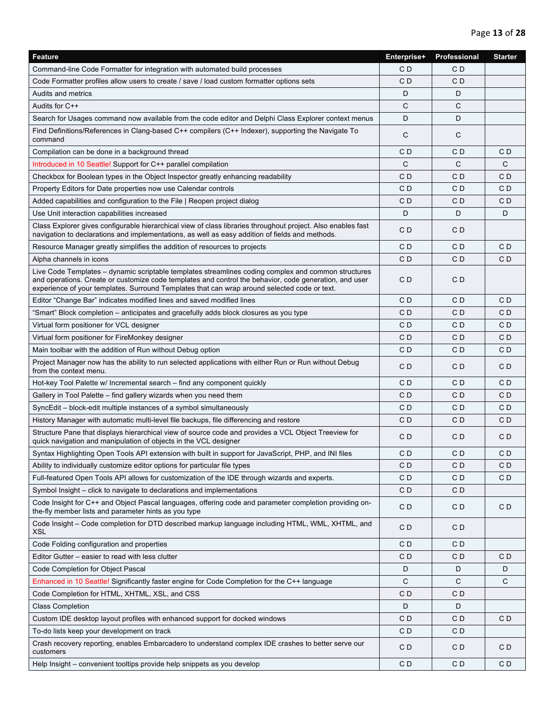| Feature                                                                                                                                                                                                                                                                                                       | Enterprise+    | Professional | <b>Starter</b> |
|---------------------------------------------------------------------------------------------------------------------------------------------------------------------------------------------------------------------------------------------------------------------------------------------------------------|----------------|--------------|----------------|
| Command-line Code Formatter for integration with automated build processes                                                                                                                                                                                                                                    | CD             | CD           |                |
| Code Formatter profiles allow users to create / save / load custom formatter options sets                                                                                                                                                                                                                     | CD             | C D          |                |
| Audits and metrics                                                                                                                                                                                                                                                                                            | D              | D            |                |
| Audits for C++                                                                                                                                                                                                                                                                                                | $\mathsf{C}$   | C            |                |
| Search for Usages command now available from the code editor and Delphi Class Explorer context menus                                                                                                                                                                                                          | D              | D            |                |
| Find Definitions/References in Clang-based C++ compilers (C++ Indexer), supporting the Navigate To<br>command                                                                                                                                                                                                 | C              | С            |                |
| Compilation can be done in a background thread                                                                                                                                                                                                                                                                | CD             | C D          | CD             |
| Introduced in 10 Seattle! Support for C++ parallel compilation                                                                                                                                                                                                                                                | C              | C            | C              |
| Checkbox for Boolean types in the Object Inspector greatly enhancing readability                                                                                                                                                                                                                              | CD             | C D          | C <sub>D</sub> |
| Property Editors for Date properties now use Calendar controls                                                                                                                                                                                                                                                | CD             | C D          | CD             |
| Added capabilities and configuration to the File   Reopen project dialog                                                                                                                                                                                                                                      | CD             | C D          | C <sub>D</sub> |
| Use Unit interaction capabilities increased                                                                                                                                                                                                                                                                   | D              | D            | D              |
| Class Explorer gives configurable hierarchical view of class libraries throughout project. Also enables fast<br>navigation to declarations and implementations, as well as easy addition of fields and methods.                                                                                               | CD             | C D          |                |
| Resource Manager greatly simplifies the addition of resources to projects                                                                                                                                                                                                                                     | CD             | C D          | CD             |
| Alpha channels in icons                                                                                                                                                                                                                                                                                       | CD             | C D          | CD             |
| Live Code Templates – dynamic scriptable templates streamlines coding complex and common structures<br>and operations. Create or customize code templates and control the behavior, code generation, and user<br>experience of your templates. Surround Templates that can wrap around selected code or text. | CD             | C D          |                |
| Editor "Change Bar" indicates modified lines and saved modified lines                                                                                                                                                                                                                                         | CD             | C D          | CD             |
| "Smart" Block completion – anticipates and gracefully adds block closures as you type                                                                                                                                                                                                                         | CD             | C D          | CD             |
| Virtual form positioner for VCL designer                                                                                                                                                                                                                                                                      | CD             | C D          | CD             |
| Virtual form positioner for FireMonkey designer                                                                                                                                                                                                                                                               | CD             | C D          | C <sub>D</sub> |
| Main toolbar with the addition of Run without Debug option                                                                                                                                                                                                                                                    | CD             | C D          | CD             |
| Project Manager now has the ability to run selected applications with either Run or Run without Debug<br>from the context menu.                                                                                                                                                                               | CD             | CD           | C <sub>D</sub> |
| Hot-key Tool Palette w/ Incremental search – find any component quickly                                                                                                                                                                                                                                       | CD             | C D          | CD             |
| Gallery in Tool Palette – find gallery wizards when you need them                                                                                                                                                                                                                                             | CD             | CD           | CD             |
| SyncEdit – block-edit multiple instances of a symbol simultaneously                                                                                                                                                                                                                                           | CD             | C D          | CD             |
| History Manager with automatic multi-level file backups, file differencing and restore                                                                                                                                                                                                                        | CD             | C D          | C <sub>D</sub> |
| Structure Pane that displays hierarchical view of source code and provides a VCL Object Treeview for<br>quick navigation and manipulation of objects in the VCL designer                                                                                                                                      | CD             | C D          | C <sub>D</sub> |
| Syntax Highlighting Open Tools API extension with built in support for JavaScript, PHP, and INI files                                                                                                                                                                                                         | CD             | CD           | C <sub>D</sub> |
| Ability to individually customize editor options for particular file types                                                                                                                                                                                                                                    | CD             | C D          | CD             |
| Full-featured Open Tools API allows for customization of the IDE through wizards and experts.                                                                                                                                                                                                                 | CD             | C D          | C <sub>D</sub> |
| Symbol Insight – click to navigate to declarations and implementations                                                                                                                                                                                                                                        | CD             | C D          |                |
| Code Insight for C++ and Object Pascal languages, offering code and parameter completion providing on-<br>the-fly member lists and parameter hints as you type                                                                                                                                                | CD             | C D          | C <sub>D</sub> |
| Code Insight – Code completion for DTD described markup language including HTML, WML, XHTML, and<br><b>XSL</b>                                                                                                                                                                                                | C <sub>D</sub> | CD           |                |
| Code Folding configuration and properties                                                                                                                                                                                                                                                                     | CD             | C D          |                |
| Editor Gutter – easier to read with less clutter                                                                                                                                                                                                                                                              | CD             | C D          | C D            |
| Code Completion for Object Pascal                                                                                                                                                                                                                                                                             | D              | D            | D              |
| Enhanced in 10 Seattle! Significantly faster engine for Code Completion for the C++ language                                                                                                                                                                                                                  | C              | C            | $\mathsf{C}$   |
| Code Completion for HTML, XHTML, XSL, and CSS                                                                                                                                                                                                                                                                 | CD             | C D          |                |
| <b>Class Completion</b>                                                                                                                                                                                                                                                                                       | D              | D            |                |
| Custom IDE desktop layout profiles with enhanced support for docked windows                                                                                                                                                                                                                                   | CD             | C D          | C <sub>D</sub> |
| To-do lists keep your development on track                                                                                                                                                                                                                                                                    | CD             | C D          |                |
| Crash recovery reporting, enables Embarcadero to understand complex IDE crashes to better serve our<br>customers                                                                                                                                                                                              | CD             | C D          | CD             |
| Help Insight – convenient tooltips provide help snippets as you develop                                                                                                                                                                                                                                       | CD             | C D          | CD             |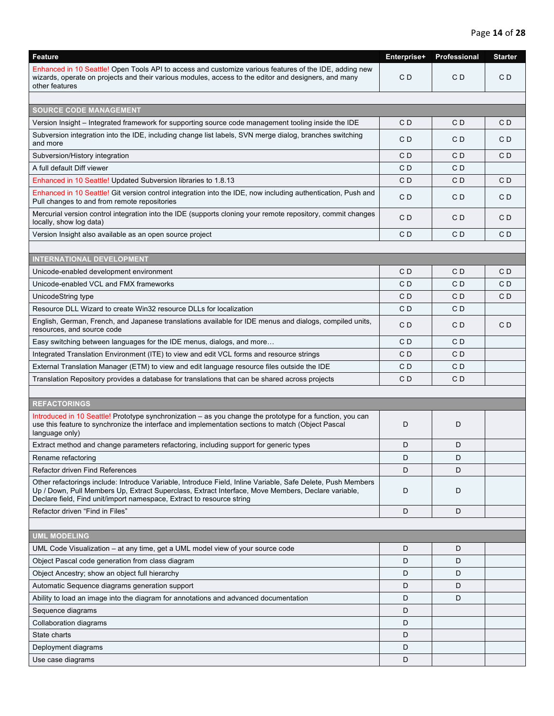| <b>Feature</b>                                                                                                                                                                                                                                                                             | Enterprise+ | Professional | <b>Starter</b> |
|--------------------------------------------------------------------------------------------------------------------------------------------------------------------------------------------------------------------------------------------------------------------------------------------|-------------|--------------|----------------|
| Enhanced in 10 Seattle! Open Tools API to access and customize various features of the IDE, adding new<br>wizards, operate on projects and their various modules, access to the editor and designers, and many<br>other features                                                           | CD          | CD           | CD             |
|                                                                                                                                                                                                                                                                                            |             |              |                |
| <b>SOURCE CODE MANAGEMENT</b>                                                                                                                                                                                                                                                              |             |              |                |
| Version Insight – Integrated framework for supporting source code management tooling inside the IDE                                                                                                                                                                                        | CD          | C D          | CD             |
| Subversion integration into the IDE, including change list labels, SVN merge dialog, branches switching<br>and more                                                                                                                                                                        | CD          | C D          | C D            |
| Subversion/History integration                                                                                                                                                                                                                                                             | CD          | C D          | C D            |
| A full default Diff viewer                                                                                                                                                                                                                                                                 | C D         | C D          |                |
| Enhanced in 10 Seattle! Updated Subversion libraries to 1.8.13                                                                                                                                                                                                                             | CD          | CD           | CD             |
| Enhanced in 10 Seattle! Git version control integration into the IDE, now including authentication, Push and<br>Pull changes to and from remote repositories                                                                                                                               | CD          | CD           | C D            |
| Mercurial version control integration into the IDE (supports cloning your remote repository, commit changes<br>locally, show log data)                                                                                                                                                     | CD          | C D          | CD             |
| Version Insight also available as an open source project                                                                                                                                                                                                                                   | CD          | CD           | CD             |
|                                                                                                                                                                                                                                                                                            |             |              |                |
| <b>INTERNATIONAL DEVELOPMENT</b>                                                                                                                                                                                                                                                           |             |              |                |
| Unicode-enabled development environment                                                                                                                                                                                                                                                    | CD          | CD           | CD             |
| Unicode-enabled VCL and FMX frameworks                                                                                                                                                                                                                                                     | CD          | C D          | CD             |
| UnicodeString type                                                                                                                                                                                                                                                                         | CD          | C D          | CD             |
| Resource DLL Wizard to create Win32 resource DLLs for localization                                                                                                                                                                                                                         | CD          | C D          |                |
| English, German, French, and Japanese translations available for IDE menus and dialogs, compiled units,<br>resources, and source code                                                                                                                                                      | C D         | C D          | CD             |
| Easy switching between languages for the IDE menus, dialogs, and more                                                                                                                                                                                                                      | CD          | C D          |                |
| Integrated Translation Environment (ITE) to view and edit VCL forms and resource strings                                                                                                                                                                                                   | C D         | C D          |                |
| External Translation Manager (ETM) to view and edit language resource files outside the IDE                                                                                                                                                                                                | CD          | C D          |                |
| Translation Repository provides a database for translations that can be shared across projects                                                                                                                                                                                             | CD          | C D          |                |
|                                                                                                                                                                                                                                                                                            |             |              |                |
| <b>REFACTORINGS</b>                                                                                                                                                                                                                                                                        |             |              |                |
| Introduced in 10 Seattle! Prototype synchronization - as you change the prototype for a function, you can<br>use this feature to synchronize the interface and implementation sections to match (Object Pascal<br>language only)                                                           | D           | D            |                |
| Extract method and change parameters refactoring, including support for generic types                                                                                                                                                                                                      | D           | D            |                |
| Rename refactoring                                                                                                                                                                                                                                                                         | D           | D            |                |
| Refactor driven Find References                                                                                                                                                                                                                                                            | D           | D            |                |
| Other refactorings include: Introduce Variable, Introduce Field, Inline Variable, Safe Delete, Push Members<br>Up / Down, Pull Members Up, Extract Superclass, Extract Interface, Move Members, Declare variable,<br>Declare field, Find unit/import namespace, Extract to resource string | D           | D            |                |
| Refactor driven "Find in Files"                                                                                                                                                                                                                                                            | D           | D            |                |
|                                                                                                                                                                                                                                                                                            |             |              |                |
| <b>UML MODELING</b>                                                                                                                                                                                                                                                                        |             |              |                |
| UML Code Visualization – at any time, get a UML model view of your source code                                                                                                                                                                                                             | D           | D            |                |
| Object Pascal code generation from class diagram                                                                                                                                                                                                                                           | D           | D            |                |
| Object Ancestry; show an object full hierarchy                                                                                                                                                                                                                                             | D           | D            |                |
| Automatic Sequence diagrams generation support                                                                                                                                                                                                                                             | D           | D            |                |
| Ability to load an image into the diagram for annotations and advanced documentation                                                                                                                                                                                                       | D           | D            |                |
| Sequence diagrams                                                                                                                                                                                                                                                                          | D           |              |                |
| Collaboration diagrams                                                                                                                                                                                                                                                                     | D           |              |                |
| State charts                                                                                                                                                                                                                                                                               | D           |              |                |
| Deployment diagrams                                                                                                                                                                                                                                                                        | D           |              |                |
| Use case diagrams                                                                                                                                                                                                                                                                          | D           |              |                |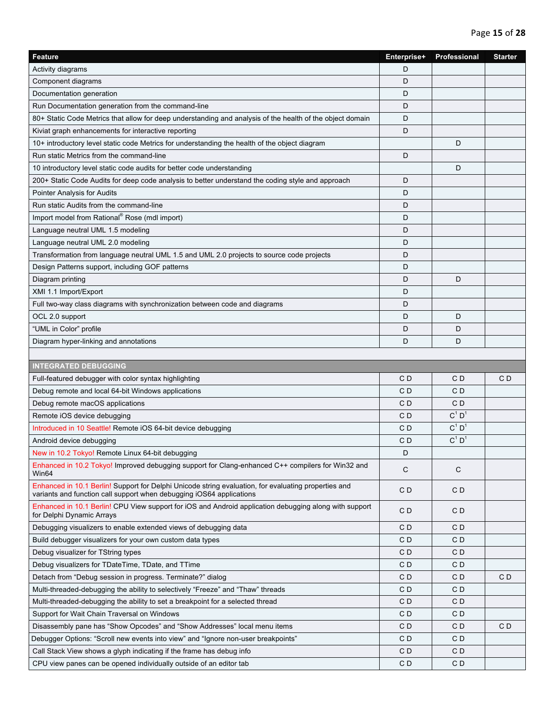| Activity diagrams<br>D<br>D<br>Component diagrams<br>Documentation generation<br>D<br>D<br>Run Documentation generation from the command-line<br>80+ Static Code Metrics that allow for deep understanding and analysis of the health of the object domain<br>D<br>D<br>Kiviat graph enhancements for interactive reporting<br>D<br>10+ introductory level static code Metrics for understanding the health of the object diagram<br>D<br>Run static Metrics from the command-line<br>D<br>10 introductory level static code audits for better code understanding<br>200+ Static Code Audits for deep code analysis to better understand the coding style and approach<br>D<br>D<br>Pointer Analysis for Audits<br>Run static Audits from the command-line<br>D<br>Import model from Rational® Rose (mdl import)<br>D<br>D<br>Language neutral UML 1.5 modeling<br>Language neutral UML 2.0 modeling<br>D<br>Transformation from language neutral UML 1.5 and UML 2.0 projects to source code projects<br>D<br>Design Patterns support, including GOF patterns<br>D<br>D<br>Diagram printing<br>D<br>XMI 1.1 Import/Export<br>D<br>Full two-way class diagrams with synchronization between code and diagrams<br>D<br>OCL 2.0 support<br>D<br>D<br>"UML in Color" profile<br>D<br>D<br>Diagram hyper-linking and annotations<br>D<br>D<br><b>INTEGRATED DEBUGGING</b><br>C <sub>D</sub><br>CD<br>CD<br>Full-featured debugger with color syntax highlighting<br>Debug remote and local 64-bit Windows applications<br>C D<br>CD<br>Debug remote macOS applications<br>C D<br>C D<br>$C^1$ D <sup>1</sup><br>C D<br>Remote iOS device debugging<br>$C^1$ $D^1$<br>Introduced in 10 Seattle! Remote iOS 64-bit device debugging<br>C <sub>D</sub><br>$C^1 D^1$<br>C D<br>Android device debugging<br>New in 10.2 Tokyo! Remote Linux 64-bit debugging<br>D<br>Enhanced in 10.2 Tokyo! Improved debugging support for Clang-enhanced C++ compilers for Win32 and<br>$\mathsf{C}$<br>$\mathsf{C}$<br>Win64<br>Enhanced in 10.1 Berlin! Support for Delphi Unicode string evaluation, for evaluating properties and<br>CD<br>CD<br>variants and function call support when debugging iOS64 applications<br>Enhanced in 10.1 Berlin! CPU View support for iOS and Android application debugging along with support<br>CD<br>CD<br>for Delphi Dynamic Arrays<br>Debugging visualizers to enable extended views of debugging data<br>CD<br>CD<br>CD<br>CD<br>Build debugger visualizers for your own custom data types<br>Debug visualizer for TString types<br>CD<br>CD<br>Debug visualizers for TDateTime, TDate, and TTime<br>CD<br>CD<br>C <sub>D</sub><br>Detach from "Debug session in progress. Terminate?" dialog<br>CD<br>CD<br>Multi-threaded-debugging the ability to selectively "Freeze" and "Thaw" threads<br>CD<br>CD<br>C <sub>D</sub><br>Multi-threaded-debugging the ability to set a breakpoint for a selected thread<br>CD<br>Support for Wait Chain Traversal on Windows<br>CD<br>CD<br>Disassembly pane has "Show Opcodes" and "Show Addresses" local menu items<br>CD<br>CD<br>CD<br>Debugger Options: "Scroll new events into view" and "Ignore non-user breakpoints"<br>CD<br>CD<br>CD<br>Call Stack View shows a glyph indicating if the frame has debug info<br>CD | <b>Feature</b>                                                     | Enterprise+    | Professional   | <b>Starter</b> |
|---------------------------------------------------------------------------------------------------------------------------------------------------------------------------------------------------------------------------------------------------------------------------------------------------------------------------------------------------------------------------------------------------------------------------------------------------------------------------------------------------------------------------------------------------------------------------------------------------------------------------------------------------------------------------------------------------------------------------------------------------------------------------------------------------------------------------------------------------------------------------------------------------------------------------------------------------------------------------------------------------------------------------------------------------------------------------------------------------------------------------------------------------------------------------------------------------------------------------------------------------------------------------------------------------------------------------------------------------------------------------------------------------------------------------------------------------------------------------------------------------------------------------------------------------------------------------------------------------------------------------------------------------------------------------------------------------------------------------------------------------------------------------------------------------------------------------------------------------------------------------------------------------------------------------------------------------------------------------------------------------------------------------------------------------------------------------------------------------------------------------------------------------------------------------------------------------------------------------------------------------------------------------------------------------------------------------------------------------------------------------------------------------------------------------------------------------------------------------------------------------------------------------------------------------------------------------------------------------------------------------------------------------------------------------------------------------------------------------------------------------------------------------------------------------------------------------------------------------------------------------------------------------------------------------------------------------------------------------------------------------------------------------------------------------------------------------------------------------------------------------------------------------------------------------------------------------------------------------------------------------------------------------------------|--------------------------------------------------------------------|----------------|----------------|----------------|
|                                                                                                                                                                                                                                                                                                                                                                                                                                                                                                                                                                                                                                                                                                                                                                                                                                                                                                                                                                                                                                                                                                                                                                                                                                                                                                                                                                                                                                                                                                                                                                                                                                                                                                                                                                                                                                                                                                                                                                                                                                                                                                                                                                                                                                                                                                                                                                                                                                                                                                                                                                                                                                                                                                                                                                                                                                                                                                                                                                                                                                                                                                                                                                                                                                                                                       |                                                                    |                |                |                |
|                                                                                                                                                                                                                                                                                                                                                                                                                                                                                                                                                                                                                                                                                                                                                                                                                                                                                                                                                                                                                                                                                                                                                                                                                                                                                                                                                                                                                                                                                                                                                                                                                                                                                                                                                                                                                                                                                                                                                                                                                                                                                                                                                                                                                                                                                                                                                                                                                                                                                                                                                                                                                                                                                                                                                                                                                                                                                                                                                                                                                                                                                                                                                                                                                                                                                       |                                                                    |                |                |                |
|                                                                                                                                                                                                                                                                                                                                                                                                                                                                                                                                                                                                                                                                                                                                                                                                                                                                                                                                                                                                                                                                                                                                                                                                                                                                                                                                                                                                                                                                                                                                                                                                                                                                                                                                                                                                                                                                                                                                                                                                                                                                                                                                                                                                                                                                                                                                                                                                                                                                                                                                                                                                                                                                                                                                                                                                                                                                                                                                                                                                                                                                                                                                                                                                                                                                                       |                                                                    |                |                |                |
|                                                                                                                                                                                                                                                                                                                                                                                                                                                                                                                                                                                                                                                                                                                                                                                                                                                                                                                                                                                                                                                                                                                                                                                                                                                                                                                                                                                                                                                                                                                                                                                                                                                                                                                                                                                                                                                                                                                                                                                                                                                                                                                                                                                                                                                                                                                                                                                                                                                                                                                                                                                                                                                                                                                                                                                                                                                                                                                                                                                                                                                                                                                                                                                                                                                                                       |                                                                    |                |                |                |
|                                                                                                                                                                                                                                                                                                                                                                                                                                                                                                                                                                                                                                                                                                                                                                                                                                                                                                                                                                                                                                                                                                                                                                                                                                                                                                                                                                                                                                                                                                                                                                                                                                                                                                                                                                                                                                                                                                                                                                                                                                                                                                                                                                                                                                                                                                                                                                                                                                                                                                                                                                                                                                                                                                                                                                                                                                                                                                                                                                                                                                                                                                                                                                                                                                                                                       |                                                                    |                |                |                |
|                                                                                                                                                                                                                                                                                                                                                                                                                                                                                                                                                                                                                                                                                                                                                                                                                                                                                                                                                                                                                                                                                                                                                                                                                                                                                                                                                                                                                                                                                                                                                                                                                                                                                                                                                                                                                                                                                                                                                                                                                                                                                                                                                                                                                                                                                                                                                                                                                                                                                                                                                                                                                                                                                                                                                                                                                                                                                                                                                                                                                                                                                                                                                                                                                                                                                       |                                                                    |                |                |                |
|                                                                                                                                                                                                                                                                                                                                                                                                                                                                                                                                                                                                                                                                                                                                                                                                                                                                                                                                                                                                                                                                                                                                                                                                                                                                                                                                                                                                                                                                                                                                                                                                                                                                                                                                                                                                                                                                                                                                                                                                                                                                                                                                                                                                                                                                                                                                                                                                                                                                                                                                                                                                                                                                                                                                                                                                                                                                                                                                                                                                                                                                                                                                                                                                                                                                                       |                                                                    |                |                |                |
|                                                                                                                                                                                                                                                                                                                                                                                                                                                                                                                                                                                                                                                                                                                                                                                                                                                                                                                                                                                                                                                                                                                                                                                                                                                                                                                                                                                                                                                                                                                                                                                                                                                                                                                                                                                                                                                                                                                                                                                                                                                                                                                                                                                                                                                                                                                                                                                                                                                                                                                                                                                                                                                                                                                                                                                                                                                                                                                                                                                                                                                                                                                                                                                                                                                                                       |                                                                    |                |                |                |
|                                                                                                                                                                                                                                                                                                                                                                                                                                                                                                                                                                                                                                                                                                                                                                                                                                                                                                                                                                                                                                                                                                                                                                                                                                                                                                                                                                                                                                                                                                                                                                                                                                                                                                                                                                                                                                                                                                                                                                                                                                                                                                                                                                                                                                                                                                                                                                                                                                                                                                                                                                                                                                                                                                                                                                                                                                                                                                                                                                                                                                                                                                                                                                                                                                                                                       |                                                                    |                |                |                |
|                                                                                                                                                                                                                                                                                                                                                                                                                                                                                                                                                                                                                                                                                                                                                                                                                                                                                                                                                                                                                                                                                                                                                                                                                                                                                                                                                                                                                                                                                                                                                                                                                                                                                                                                                                                                                                                                                                                                                                                                                                                                                                                                                                                                                                                                                                                                                                                                                                                                                                                                                                                                                                                                                                                                                                                                                                                                                                                                                                                                                                                                                                                                                                                                                                                                                       |                                                                    |                |                |                |
|                                                                                                                                                                                                                                                                                                                                                                                                                                                                                                                                                                                                                                                                                                                                                                                                                                                                                                                                                                                                                                                                                                                                                                                                                                                                                                                                                                                                                                                                                                                                                                                                                                                                                                                                                                                                                                                                                                                                                                                                                                                                                                                                                                                                                                                                                                                                                                                                                                                                                                                                                                                                                                                                                                                                                                                                                                                                                                                                                                                                                                                                                                                                                                                                                                                                                       |                                                                    |                |                |                |
|                                                                                                                                                                                                                                                                                                                                                                                                                                                                                                                                                                                                                                                                                                                                                                                                                                                                                                                                                                                                                                                                                                                                                                                                                                                                                                                                                                                                                                                                                                                                                                                                                                                                                                                                                                                                                                                                                                                                                                                                                                                                                                                                                                                                                                                                                                                                                                                                                                                                                                                                                                                                                                                                                                                                                                                                                                                                                                                                                                                                                                                                                                                                                                                                                                                                                       |                                                                    |                |                |                |
|                                                                                                                                                                                                                                                                                                                                                                                                                                                                                                                                                                                                                                                                                                                                                                                                                                                                                                                                                                                                                                                                                                                                                                                                                                                                                                                                                                                                                                                                                                                                                                                                                                                                                                                                                                                                                                                                                                                                                                                                                                                                                                                                                                                                                                                                                                                                                                                                                                                                                                                                                                                                                                                                                                                                                                                                                                                                                                                                                                                                                                                                                                                                                                                                                                                                                       |                                                                    |                |                |                |
|                                                                                                                                                                                                                                                                                                                                                                                                                                                                                                                                                                                                                                                                                                                                                                                                                                                                                                                                                                                                                                                                                                                                                                                                                                                                                                                                                                                                                                                                                                                                                                                                                                                                                                                                                                                                                                                                                                                                                                                                                                                                                                                                                                                                                                                                                                                                                                                                                                                                                                                                                                                                                                                                                                                                                                                                                                                                                                                                                                                                                                                                                                                                                                                                                                                                                       |                                                                    |                |                |                |
|                                                                                                                                                                                                                                                                                                                                                                                                                                                                                                                                                                                                                                                                                                                                                                                                                                                                                                                                                                                                                                                                                                                                                                                                                                                                                                                                                                                                                                                                                                                                                                                                                                                                                                                                                                                                                                                                                                                                                                                                                                                                                                                                                                                                                                                                                                                                                                                                                                                                                                                                                                                                                                                                                                                                                                                                                                                                                                                                                                                                                                                                                                                                                                                                                                                                                       |                                                                    |                |                |                |
|                                                                                                                                                                                                                                                                                                                                                                                                                                                                                                                                                                                                                                                                                                                                                                                                                                                                                                                                                                                                                                                                                                                                                                                                                                                                                                                                                                                                                                                                                                                                                                                                                                                                                                                                                                                                                                                                                                                                                                                                                                                                                                                                                                                                                                                                                                                                                                                                                                                                                                                                                                                                                                                                                                                                                                                                                                                                                                                                                                                                                                                                                                                                                                                                                                                                                       |                                                                    |                |                |                |
|                                                                                                                                                                                                                                                                                                                                                                                                                                                                                                                                                                                                                                                                                                                                                                                                                                                                                                                                                                                                                                                                                                                                                                                                                                                                                                                                                                                                                                                                                                                                                                                                                                                                                                                                                                                                                                                                                                                                                                                                                                                                                                                                                                                                                                                                                                                                                                                                                                                                                                                                                                                                                                                                                                                                                                                                                                                                                                                                                                                                                                                                                                                                                                                                                                                                                       |                                                                    |                |                |                |
|                                                                                                                                                                                                                                                                                                                                                                                                                                                                                                                                                                                                                                                                                                                                                                                                                                                                                                                                                                                                                                                                                                                                                                                                                                                                                                                                                                                                                                                                                                                                                                                                                                                                                                                                                                                                                                                                                                                                                                                                                                                                                                                                                                                                                                                                                                                                                                                                                                                                                                                                                                                                                                                                                                                                                                                                                                                                                                                                                                                                                                                                                                                                                                                                                                                                                       |                                                                    |                |                |                |
|                                                                                                                                                                                                                                                                                                                                                                                                                                                                                                                                                                                                                                                                                                                                                                                                                                                                                                                                                                                                                                                                                                                                                                                                                                                                                                                                                                                                                                                                                                                                                                                                                                                                                                                                                                                                                                                                                                                                                                                                                                                                                                                                                                                                                                                                                                                                                                                                                                                                                                                                                                                                                                                                                                                                                                                                                                                                                                                                                                                                                                                                                                                                                                                                                                                                                       |                                                                    |                |                |                |
|                                                                                                                                                                                                                                                                                                                                                                                                                                                                                                                                                                                                                                                                                                                                                                                                                                                                                                                                                                                                                                                                                                                                                                                                                                                                                                                                                                                                                                                                                                                                                                                                                                                                                                                                                                                                                                                                                                                                                                                                                                                                                                                                                                                                                                                                                                                                                                                                                                                                                                                                                                                                                                                                                                                                                                                                                                                                                                                                                                                                                                                                                                                                                                                                                                                                                       |                                                                    |                |                |                |
|                                                                                                                                                                                                                                                                                                                                                                                                                                                                                                                                                                                                                                                                                                                                                                                                                                                                                                                                                                                                                                                                                                                                                                                                                                                                                                                                                                                                                                                                                                                                                                                                                                                                                                                                                                                                                                                                                                                                                                                                                                                                                                                                                                                                                                                                                                                                                                                                                                                                                                                                                                                                                                                                                                                                                                                                                                                                                                                                                                                                                                                                                                                                                                                                                                                                                       |                                                                    |                |                |                |
|                                                                                                                                                                                                                                                                                                                                                                                                                                                                                                                                                                                                                                                                                                                                                                                                                                                                                                                                                                                                                                                                                                                                                                                                                                                                                                                                                                                                                                                                                                                                                                                                                                                                                                                                                                                                                                                                                                                                                                                                                                                                                                                                                                                                                                                                                                                                                                                                                                                                                                                                                                                                                                                                                                                                                                                                                                                                                                                                                                                                                                                                                                                                                                                                                                                                                       |                                                                    |                |                |                |
|                                                                                                                                                                                                                                                                                                                                                                                                                                                                                                                                                                                                                                                                                                                                                                                                                                                                                                                                                                                                                                                                                                                                                                                                                                                                                                                                                                                                                                                                                                                                                                                                                                                                                                                                                                                                                                                                                                                                                                                                                                                                                                                                                                                                                                                                                                                                                                                                                                                                                                                                                                                                                                                                                                                                                                                                                                                                                                                                                                                                                                                                                                                                                                                                                                                                                       |                                                                    |                |                |                |
|                                                                                                                                                                                                                                                                                                                                                                                                                                                                                                                                                                                                                                                                                                                                                                                                                                                                                                                                                                                                                                                                                                                                                                                                                                                                                                                                                                                                                                                                                                                                                                                                                                                                                                                                                                                                                                                                                                                                                                                                                                                                                                                                                                                                                                                                                                                                                                                                                                                                                                                                                                                                                                                                                                                                                                                                                                                                                                                                                                                                                                                                                                                                                                                                                                                                                       |                                                                    |                |                |                |
|                                                                                                                                                                                                                                                                                                                                                                                                                                                                                                                                                                                                                                                                                                                                                                                                                                                                                                                                                                                                                                                                                                                                                                                                                                                                                                                                                                                                                                                                                                                                                                                                                                                                                                                                                                                                                                                                                                                                                                                                                                                                                                                                                                                                                                                                                                                                                                                                                                                                                                                                                                                                                                                                                                                                                                                                                                                                                                                                                                                                                                                                                                                                                                                                                                                                                       |                                                                    |                |                |                |
|                                                                                                                                                                                                                                                                                                                                                                                                                                                                                                                                                                                                                                                                                                                                                                                                                                                                                                                                                                                                                                                                                                                                                                                                                                                                                                                                                                                                                                                                                                                                                                                                                                                                                                                                                                                                                                                                                                                                                                                                                                                                                                                                                                                                                                                                                                                                                                                                                                                                                                                                                                                                                                                                                                                                                                                                                                                                                                                                                                                                                                                                                                                                                                                                                                                                                       |                                                                    |                |                |                |
|                                                                                                                                                                                                                                                                                                                                                                                                                                                                                                                                                                                                                                                                                                                                                                                                                                                                                                                                                                                                                                                                                                                                                                                                                                                                                                                                                                                                                                                                                                                                                                                                                                                                                                                                                                                                                                                                                                                                                                                                                                                                                                                                                                                                                                                                                                                                                                                                                                                                                                                                                                                                                                                                                                                                                                                                                                                                                                                                                                                                                                                                                                                                                                                                                                                                                       |                                                                    |                |                |                |
|                                                                                                                                                                                                                                                                                                                                                                                                                                                                                                                                                                                                                                                                                                                                                                                                                                                                                                                                                                                                                                                                                                                                                                                                                                                                                                                                                                                                                                                                                                                                                                                                                                                                                                                                                                                                                                                                                                                                                                                                                                                                                                                                                                                                                                                                                                                                                                                                                                                                                                                                                                                                                                                                                                                                                                                                                                                                                                                                                                                                                                                                                                                                                                                                                                                                                       |                                                                    |                |                |                |
|                                                                                                                                                                                                                                                                                                                                                                                                                                                                                                                                                                                                                                                                                                                                                                                                                                                                                                                                                                                                                                                                                                                                                                                                                                                                                                                                                                                                                                                                                                                                                                                                                                                                                                                                                                                                                                                                                                                                                                                                                                                                                                                                                                                                                                                                                                                                                                                                                                                                                                                                                                                                                                                                                                                                                                                                                                                                                                                                                                                                                                                                                                                                                                                                                                                                                       |                                                                    |                |                |                |
|                                                                                                                                                                                                                                                                                                                                                                                                                                                                                                                                                                                                                                                                                                                                                                                                                                                                                                                                                                                                                                                                                                                                                                                                                                                                                                                                                                                                                                                                                                                                                                                                                                                                                                                                                                                                                                                                                                                                                                                                                                                                                                                                                                                                                                                                                                                                                                                                                                                                                                                                                                                                                                                                                                                                                                                                                                                                                                                                                                                                                                                                                                                                                                                                                                                                                       |                                                                    |                |                |                |
|                                                                                                                                                                                                                                                                                                                                                                                                                                                                                                                                                                                                                                                                                                                                                                                                                                                                                                                                                                                                                                                                                                                                                                                                                                                                                                                                                                                                                                                                                                                                                                                                                                                                                                                                                                                                                                                                                                                                                                                                                                                                                                                                                                                                                                                                                                                                                                                                                                                                                                                                                                                                                                                                                                                                                                                                                                                                                                                                                                                                                                                                                                                                                                                                                                                                                       |                                                                    |                |                |                |
|                                                                                                                                                                                                                                                                                                                                                                                                                                                                                                                                                                                                                                                                                                                                                                                                                                                                                                                                                                                                                                                                                                                                                                                                                                                                                                                                                                                                                                                                                                                                                                                                                                                                                                                                                                                                                                                                                                                                                                                                                                                                                                                                                                                                                                                                                                                                                                                                                                                                                                                                                                                                                                                                                                                                                                                                                                                                                                                                                                                                                                                                                                                                                                                                                                                                                       |                                                                    |                |                |                |
|                                                                                                                                                                                                                                                                                                                                                                                                                                                                                                                                                                                                                                                                                                                                                                                                                                                                                                                                                                                                                                                                                                                                                                                                                                                                                                                                                                                                                                                                                                                                                                                                                                                                                                                                                                                                                                                                                                                                                                                                                                                                                                                                                                                                                                                                                                                                                                                                                                                                                                                                                                                                                                                                                                                                                                                                                                                                                                                                                                                                                                                                                                                                                                                                                                                                                       |                                                                    |                |                |                |
|                                                                                                                                                                                                                                                                                                                                                                                                                                                                                                                                                                                                                                                                                                                                                                                                                                                                                                                                                                                                                                                                                                                                                                                                                                                                                                                                                                                                                                                                                                                                                                                                                                                                                                                                                                                                                                                                                                                                                                                                                                                                                                                                                                                                                                                                                                                                                                                                                                                                                                                                                                                                                                                                                                                                                                                                                                                                                                                                                                                                                                                                                                                                                                                                                                                                                       |                                                                    |                |                |                |
|                                                                                                                                                                                                                                                                                                                                                                                                                                                                                                                                                                                                                                                                                                                                                                                                                                                                                                                                                                                                                                                                                                                                                                                                                                                                                                                                                                                                                                                                                                                                                                                                                                                                                                                                                                                                                                                                                                                                                                                                                                                                                                                                                                                                                                                                                                                                                                                                                                                                                                                                                                                                                                                                                                                                                                                                                                                                                                                                                                                                                                                                                                                                                                                                                                                                                       |                                                                    |                |                |                |
|                                                                                                                                                                                                                                                                                                                                                                                                                                                                                                                                                                                                                                                                                                                                                                                                                                                                                                                                                                                                                                                                                                                                                                                                                                                                                                                                                                                                                                                                                                                                                                                                                                                                                                                                                                                                                                                                                                                                                                                                                                                                                                                                                                                                                                                                                                                                                                                                                                                                                                                                                                                                                                                                                                                                                                                                                                                                                                                                                                                                                                                                                                                                                                                                                                                                                       |                                                                    |                |                |                |
|                                                                                                                                                                                                                                                                                                                                                                                                                                                                                                                                                                                                                                                                                                                                                                                                                                                                                                                                                                                                                                                                                                                                                                                                                                                                                                                                                                                                                                                                                                                                                                                                                                                                                                                                                                                                                                                                                                                                                                                                                                                                                                                                                                                                                                                                                                                                                                                                                                                                                                                                                                                                                                                                                                                                                                                                                                                                                                                                                                                                                                                                                                                                                                                                                                                                                       |                                                                    |                |                |                |
|                                                                                                                                                                                                                                                                                                                                                                                                                                                                                                                                                                                                                                                                                                                                                                                                                                                                                                                                                                                                                                                                                                                                                                                                                                                                                                                                                                                                                                                                                                                                                                                                                                                                                                                                                                                                                                                                                                                                                                                                                                                                                                                                                                                                                                                                                                                                                                                                                                                                                                                                                                                                                                                                                                                                                                                                                                                                                                                                                                                                                                                                                                                                                                                                                                                                                       |                                                                    |                |                |                |
|                                                                                                                                                                                                                                                                                                                                                                                                                                                                                                                                                                                                                                                                                                                                                                                                                                                                                                                                                                                                                                                                                                                                                                                                                                                                                                                                                                                                                                                                                                                                                                                                                                                                                                                                                                                                                                                                                                                                                                                                                                                                                                                                                                                                                                                                                                                                                                                                                                                                                                                                                                                                                                                                                                                                                                                                                                                                                                                                                                                                                                                                                                                                                                                                                                                                                       |                                                                    |                |                |                |
|                                                                                                                                                                                                                                                                                                                                                                                                                                                                                                                                                                                                                                                                                                                                                                                                                                                                                                                                                                                                                                                                                                                                                                                                                                                                                                                                                                                                                                                                                                                                                                                                                                                                                                                                                                                                                                                                                                                                                                                                                                                                                                                                                                                                                                                                                                                                                                                                                                                                                                                                                                                                                                                                                                                                                                                                                                                                                                                                                                                                                                                                                                                                                                                                                                                                                       |                                                                    |                |                |                |
|                                                                                                                                                                                                                                                                                                                                                                                                                                                                                                                                                                                                                                                                                                                                                                                                                                                                                                                                                                                                                                                                                                                                                                                                                                                                                                                                                                                                                                                                                                                                                                                                                                                                                                                                                                                                                                                                                                                                                                                                                                                                                                                                                                                                                                                                                                                                                                                                                                                                                                                                                                                                                                                                                                                                                                                                                                                                                                                                                                                                                                                                                                                                                                                                                                                                                       |                                                                    |                |                |                |
|                                                                                                                                                                                                                                                                                                                                                                                                                                                                                                                                                                                                                                                                                                                                                                                                                                                                                                                                                                                                                                                                                                                                                                                                                                                                                                                                                                                                                                                                                                                                                                                                                                                                                                                                                                                                                                                                                                                                                                                                                                                                                                                                                                                                                                                                                                                                                                                                                                                                                                                                                                                                                                                                                                                                                                                                                                                                                                                                                                                                                                                                                                                                                                                                                                                                                       |                                                                    |                |                |                |
|                                                                                                                                                                                                                                                                                                                                                                                                                                                                                                                                                                                                                                                                                                                                                                                                                                                                                                                                                                                                                                                                                                                                                                                                                                                                                                                                                                                                                                                                                                                                                                                                                                                                                                                                                                                                                                                                                                                                                                                                                                                                                                                                                                                                                                                                                                                                                                                                                                                                                                                                                                                                                                                                                                                                                                                                                                                                                                                                                                                                                                                                                                                                                                                                                                                                                       |                                                                    |                |                |                |
|                                                                                                                                                                                                                                                                                                                                                                                                                                                                                                                                                                                                                                                                                                                                                                                                                                                                                                                                                                                                                                                                                                                                                                                                                                                                                                                                                                                                                                                                                                                                                                                                                                                                                                                                                                                                                                                                                                                                                                                                                                                                                                                                                                                                                                                                                                                                                                                                                                                                                                                                                                                                                                                                                                                                                                                                                                                                                                                                                                                                                                                                                                                                                                                                                                                                                       |                                                                    |                |                |                |
|                                                                                                                                                                                                                                                                                                                                                                                                                                                                                                                                                                                                                                                                                                                                                                                                                                                                                                                                                                                                                                                                                                                                                                                                                                                                                                                                                                                                                                                                                                                                                                                                                                                                                                                                                                                                                                                                                                                                                                                                                                                                                                                                                                                                                                                                                                                                                                                                                                                                                                                                                                                                                                                                                                                                                                                                                                                                                                                                                                                                                                                                                                                                                                                                                                                                                       |                                                                    |                |                |                |
|                                                                                                                                                                                                                                                                                                                                                                                                                                                                                                                                                                                                                                                                                                                                                                                                                                                                                                                                                                                                                                                                                                                                                                                                                                                                                                                                                                                                                                                                                                                                                                                                                                                                                                                                                                                                                                                                                                                                                                                                                                                                                                                                                                                                                                                                                                                                                                                                                                                                                                                                                                                                                                                                                                                                                                                                                                                                                                                                                                                                                                                                                                                                                                                                                                                                                       |                                                                    |                |                |                |
|                                                                                                                                                                                                                                                                                                                                                                                                                                                                                                                                                                                                                                                                                                                                                                                                                                                                                                                                                                                                                                                                                                                                                                                                                                                                                                                                                                                                                                                                                                                                                                                                                                                                                                                                                                                                                                                                                                                                                                                                                                                                                                                                                                                                                                                                                                                                                                                                                                                                                                                                                                                                                                                                                                                                                                                                                                                                                                                                                                                                                                                                                                                                                                                                                                                                                       | CPU view panes can be opened individually outside of an editor tab | C <sub>D</sub> | C <sub>D</sub> |                |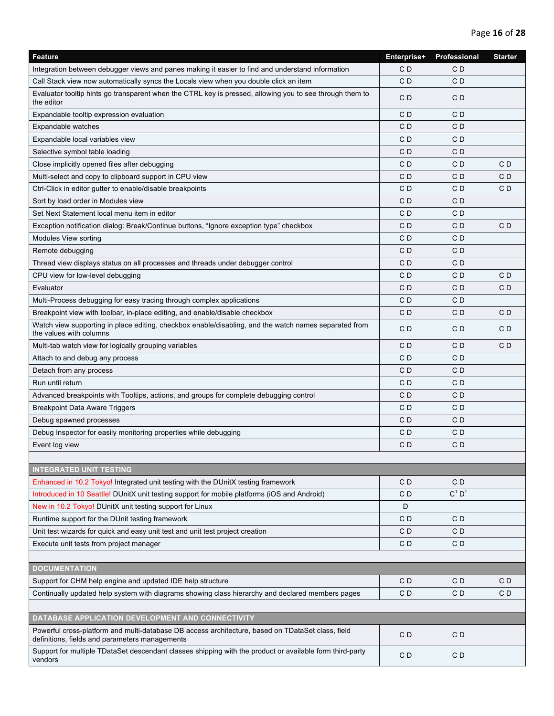| <b>Feature</b>                                                                                                                                      | Enterprise+    | Professional         | <b>Starter</b> |
|-----------------------------------------------------------------------------------------------------------------------------------------------------|----------------|----------------------|----------------|
| Integration between debugger views and panes making it easier to find and understand information                                                    | C <sub>D</sub> | CD                   |                |
| Call Stack view now automatically syncs the Locals view when you double click an item                                                               | C <sub>D</sub> | CD                   |                |
| Evaluator tooltip hints go transparent when the CTRL key is pressed, allowing you to see through them to<br>the editor                              | CD             | CD                   |                |
| Expandable tooltip expression evaluation                                                                                                            | C <sub>D</sub> | CD                   |                |
| Expandable watches                                                                                                                                  | C D            | CD                   |                |
| Expandable local variables view                                                                                                                     | CD             | CD                   |                |
| Selective symbol table loading                                                                                                                      | CD             | CD                   |                |
| Close implicitly opened files after debugging                                                                                                       | CD             | CD                   | CD             |
| Multi-select and copy to clipboard support in CPU view                                                                                              | C D            | CD                   | CD             |
| Ctrl-Click in editor gutter to enable/disable breakpoints                                                                                           | CD             | CD                   | CD             |
| Sort by load order in Modules view                                                                                                                  | C <sub>D</sub> | CD                   |                |
| Set Next Statement local menu item in editor                                                                                                        | CD             | CD                   |                |
| Exception notification dialog: Break/Continue buttons, "Ignore exception type" checkbox                                                             | CD             | CD                   | CD             |
| Modules View sorting                                                                                                                                | CD             | CD                   |                |
| Remote debugging                                                                                                                                    | CD             | CD                   |                |
| Thread view displays status on all processes and threads under debugger control                                                                     | C D            | CD                   |                |
| CPU view for low-level debugging                                                                                                                    | CD             | CD                   | CD             |
| Evaluator                                                                                                                                           | C <sub>D</sub> | CD                   | C <sub>D</sub> |
| Multi-Process debugging for easy tracing through complex applications                                                                               | CD             | CD                   |                |
| Breakpoint view with toolbar, in-place editing, and enable/disable checkbox                                                                         | CD             | CD                   | CD             |
| Watch view supporting in place editing, checkbox enable/disabling, and the watch names separated from<br>the values with columns                    | CD             | CD                   | CD             |
| Multi-tab watch view for logically grouping variables                                                                                               | CD             | CD                   | C <sub>D</sub> |
| Attach to and debug any process                                                                                                                     | C <sub>D</sub> | CD                   |                |
| Detach from any process                                                                                                                             | CD             | CD                   |                |
| Run until return                                                                                                                                    | CD             | CD                   |                |
| Advanced breakpoints with Tooltips, actions, and groups for complete debugging control                                                              | C <sub>D</sub> | CD                   |                |
| <b>Breakpoint Data Aware Triggers</b>                                                                                                               | CD             | CD                   |                |
| Debug spawned processes                                                                                                                             | CD             | CD                   |                |
| Debug Inspector for easily monitoring properties while debugging                                                                                    | CD             | CD                   |                |
| Event log view                                                                                                                                      | CD             | CD                   |                |
|                                                                                                                                                     |                |                      |                |
| <b>INTEGRATED UNIT TESTING</b>                                                                                                                      |                |                      |                |
| Enhanced in 10.2 Tokyo! Integrated unit testing with the DUnitX testing framework                                                                   | CD             | C D                  |                |
| Introduced in 10 Seattle! DUnitX unit testing support for mobile platforms (iOS and Android)                                                        | CD             | $C^1$ D <sup>1</sup> |                |
| New in 10.2 Tokyo! DUnitX unit testing support for Linux                                                                                            | D              |                      |                |
| Runtime support for the DUnit testing framework                                                                                                     | CD             | CD                   |                |
| Unit test wizards for quick and easy unit test and unit test project creation                                                                       | C <sub>D</sub> | CD                   |                |
| Execute unit tests from project manager                                                                                                             | CD             | CD                   |                |
|                                                                                                                                                     |                |                      |                |
| <b>DOCUMENTATION</b>                                                                                                                                |                |                      |                |
| Support for CHM help engine and updated IDE help structure                                                                                          | CD             | CD                   | CD             |
| Continually updated help system with diagrams showing class hierarchy and declared members pages                                                    | CD             | CD                   | C D            |
|                                                                                                                                                     |                |                      |                |
| DATABASE APPLICATION DEVELOPMENT AND CONNECTIVITY                                                                                                   |                |                      |                |
| Powerful cross-platform and multi-database DB access architecture, based on TDataSet class, field<br>definitions, fields and parameters managements | C <sub>D</sub> | CD                   |                |
| Support for multiple TDataSet descendant classes shipping with the product or available form third-party<br>vendors                                 | CD             | CD                   |                |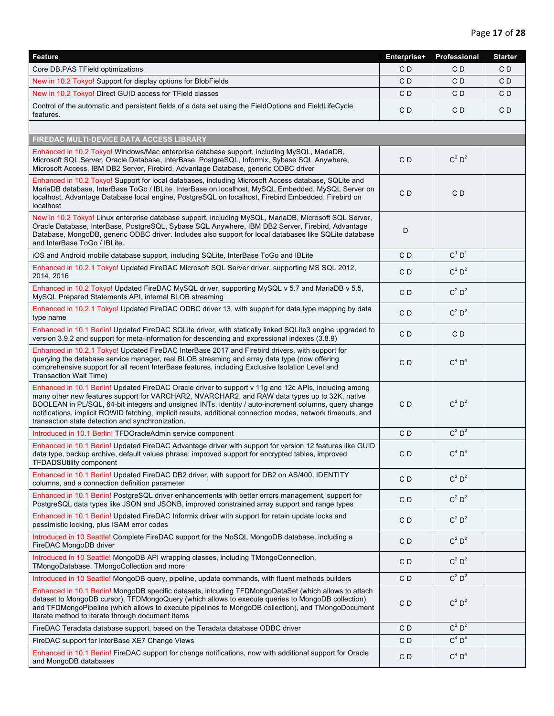| <b>Feature</b>                                                                                                                                                                                                                                                                                                                                                                                                                                                                      | Enterprise+    | Professional         | <b>Starter</b> |
|-------------------------------------------------------------------------------------------------------------------------------------------------------------------------------------------------------------------------------------------------------------------------------------------------------------------------------------------------------------------------------------------------------------------------------------------------------------------------------------|----------------|----------------------|----------------|
| Core DB.PAS TField optimizations                                                                                                                                                                                                                                                                                                                                                                                                                                                    | CD             | CD                   | CD             |
| New in 10.2 Tokyo! Support for display options for BlobFields                                                                                                                                                                                                                                                                                                                                                                                                                       | C <sub>D</sub> | CD                   | CD             |
| New in 10.2 Tokyo! Direct GUID access for TField classes                                                                                                                                                                                                                                                                                                                                                                                                                            | C <sub>D</sub> | C D                  | CD             |
| Control of the automatic and persistent fields of a data set using the FieldOptions and FieldLifeCycle<br>features.                                                                                                                                                                                                                                                                                                                                                                 | CD             | CD                   | CD             |
|                                                                                                                                                                                                                                                                                                                                                                                                                                                                                     |                |                      |                |
| FIREDAC MULTI-DEVICE DATA ACCESS LIBRARY                                                                                                                                                                                                                                                                                                                                                                                                                                            |                |                      |                |
| Enhanced in 10.2 Tokyo! Windows/Mac enterprise database support, including MySQL, MariaDB,<br>Microsoft SQL Server, Oracle Database, InterBase, PostgreSQL, Informix, Sybase SQL Anywhere,<br>Microsoft Access, IBM DB2 Server, Firebird, Advantage Database, generic ODBC driver                                                                                                                                                                                                   | CD             | $C^2 D^2$            |                |
| Enhanced in 10.2 Tokyo! Support for local databases, including Microsoft Access database, SQLite and<br>MariaDB database, InterBase ToGo / IBLite, InterBase on localhost, MySQL Embedded, MySQL Server on<br>localhost, Advantage Database local engine, PostgreSQL on localhost, Firebird Embedded, Firebird on<br>localhost                                                                                                                                                      | C <sub>D</sub> | CD                   |                |
| New in 10.2 Tokyo! Linux enterprise database support, including MySQL, MariaDB, Microsoft SQL Server,<br>Oracle Database, InterBase, PostgreSQL, Sybase SQL Anywhere, IBM DB2 Server, Firebird, Advantage<br>Database, MongoDB, generic ODBC driver. Includes also support for local databases like SQLite database<br>and InterBase ToGo / IBLite.                                                                                                                                 | D              |                      |                |
| iOS and Android mobile database support, including SQLite, InterBase ToGo and IBLite                                                                                                                                                                                                                                                                                                                                                                                                | C <sub>D</sub> | $C^1 D^1$            |                |
| Enhanced in 10.2.1 Tokyo! Updated FireDAC Microsoft SQL Server driver, supporting MS SQL 2012,<br>2014, 2016                                                                                                                                                                                                                                                                                                                                                                        | CD             | $C^2 D^2$            |                |
| Enhanced in 10.2 Tokyo! Updated FireDAC MySQL driver, supporting MySQL v 5.7 and MariaDB v 5.5,<br>MySQL Prepared Statements API, internal BLOB streaming                                                                                                                                                                                                                                                                                                                           | C <sub>D</sub> | $C^2$ D <sup>2</sup> |                |
| Enhanced in 10.2.1 Tokyo! Updated FireDAC ODBC driver 13, with support for data type mapping by data<br>type name                                                                                                                                                                                                                                                                                                                                                                   | CD             | $C^2 D^2$            |                |
| Enhanced in 10.1 Berlin! Updated FireDAC SQLite driver, with statically linked SQLite3 engine upgraded to<br>version 3.9.2 and support for meta-information for descending and expressional indexes (3.8.9)                                                                                                                                                                                                                                                                         | CD             | CD                   |                |
| Enhanced in 10.2.1 Tokyo! Updated FireDAC InterBase 2017 and Firebird drivers, with support for<br>querying the database service manager, real BLOB streaming and array data type (now offering<br>comprehensive support for all recent InterBase features, including Exclusive Isolation Level and<br>Transaction Wait Time)                                                                                                                                                       | C <sub>D</sub> | $C^4$ $D^4$          |                |
| Enhanced in 10.1 Berlin! Updated FireDAC Oracle driver to support v 11g and 12c APIs, including among<br>many other new features support for VARCHAR2, NVARCHAR2, and RAW data types up to 32K, native<br>BOOLEAN in PL/SQL, 64-bit integers and unsigned INTs, identity / auto-increment columns, query change<br>notifications, implicit ROWID fetching, implicit results, additional connection modes, network timeouts, and<br>transaction state detection and synchronization. | C <sub>D</sub> | $C^2 D^2$            |                |
| Introduced in 10.1 Berlin! TFDOracleAdmin service component                                                                                                                                                                                                                                                                                                                                                                                                                         | C <sub>D</sub> | $C^2$ D <sup>2</sup> |                |
| Enhanced in 10.1 Berlin! Updated FireDAC Advantage driver with support for version 12 features like GUID<br>data type, backup archive, default values phrase; improved support for encrypted tables, improved<br><b>TFDADSUtility component</b>                                                                                                                                                                                                                                     | CD             | $C^4$ D <sup>4</sup> |                |
| Enhanced in 10.1 Berlin! Updated FireDAC DB2 driver, with support for DB2 on AS/400, IDENTITY<br>columns, and a connection definition parameter                                                                                                                                                                                                                                                                                                                                     | C <sub>D</sub> | $C^2 D^2$            |                |
| Enhanced in 10.1 Berlin! PostgreSQL driver enhancements with better errors management, support for<br>PostgreSQL data types like JSON and JSONB, improved constrained array support and range types                                                                                                                                                                                                                                                                                 | CD             | $C^2 D^2$            |                |
| Enhanced in 10.1 Berlin! Updated FireDAC Informix driver with support for retain update locks and<br>pessimistic locking, plus ISAM error codes                                                                                                                                                                                                                                                                                                                                     | CD             | $C^2 D^2$            |                |
| Introduced in 10 Seattle! Complete FireDAC support for the NoSQL MongoDB database, including a<br>FireDAC MongoDB driver                                                                                                                                                                                                                                                                                                                                                            | C <sub>D</sub> | $C^2 D^2$            |                |
| Introduced in 10 Seattle! MongoDB API wrapping classes, including TMongoConnection,<br>TMongoDatabase, TMongoCollection and more                                                                                                                                                                                                                                                                                                                                                    | CD             | $C^2 D^2$            |                |
| Introduced in 10 Seattle! MongoDB query, pipeline, update commands, with fluent methods builders                                                                                                                                                                                                                                                                                                                                                                                    | CD             | $C^2 D^2$            |                |
| Enhanced in 10.1 Berlin! MongoDB specific datasets, inlcuding TFDMongoDataSet (which allows to attach<br>dataset to MongoDB cursor), TFDMongoQuery (which allows to execute queries to MongoDB collection)<br>and TFDMongoPipeline (which allows to execute pipelines to MongoDB collection), and TMongoDocument<br>Iterate method to iterate through document items                                                                                                                | C <sub>D</sub> | $C^2 D^2$            |                |
| FireDAC Teradata database support, based on the Teradata database ODBC driver                                                                                                                                                                                                                                                                                                                                                                                                       | C <sub>D</sub> | $C^2$ D <sup>2</sup> |                |
| FireDAC support for InterBase XE7 Change Views                                                                                                                                                                                                                                                                                                                                                                                                                                      | CD             | $C^4$ D <sup>4</sup> |                |
| Enhanced in 10.1 Berlin! FireDAC support for change notifications, now with additional support for Oracle<br>and MongoDB databases                                                                                                                                                                                                                                                                                                                                                  | CD             | $C^4$ D <sup>4</sup> |                |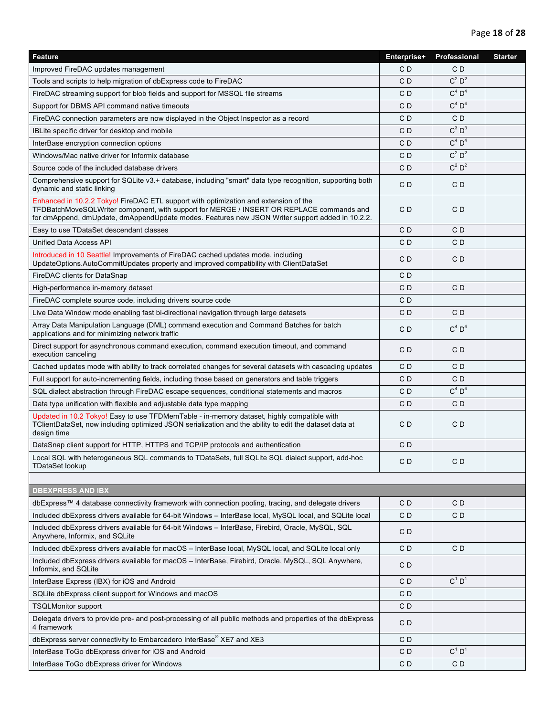| Feature                                                                                                                                                                                                                                                                             | Enterprise+    | Professional         | <b>Starter</b> |
|-------------------------------------------------------------------------------------------------------------------------------------------------------------------------------------------------------------------------------------------------------------------------------------|----------------|----------------------|----------------|
| Improved FireDAC updates management                                                                                                                                                                                                                                                 | C D            | CD                   |                |
| Tools and scripts to help migration of dbExpress code to FireDAC                                                                                                                                                                                                                    | CD             | $C^2$ D <sup>2</sup> |                |
| FireDAC streaming support for blob fields and support for MSSQL file streams                                                                                                                                                                                                        | CD             | $C^4$ D <sup>4</sup> |                |
| Support for DBMS API command native timeouts                                                                                                                                                                                                                                        | C D            | $C^4$ D <sup>4</sup> |                |
| FireDAC connection parameters are now displayed in the Object Inspector as a record                                                                                                                                                                                                 | C D            | CD                   |                |
| IBLite specific driver for desktop and mobile                                                                                                                                                                                                                                       | CD             | $C^3$ $D^3$          |                |
| InterBase encryption connection options                                                                                                                                                                                                                                             | CD             | $C^4$ D <sup>4</sup> |                |
| Windows/Mac native driver for Informix database                                                                                                                                                                                                                                     | CD             | $C^2 D^2$            |                |
| Source code of the included database drivers                                                                                                                                                                                                                                        | CD             | $C^2 D^2$            |                |
| Comprehensive support for SQLite v3.+ database, including "smart" data type recognition, supporting both<br>dynamic and static linking                                                                                                                                              | CD             | C <sub>D</sub>       |                |
| Enhanced in 10.2.2 Tokyo! FireDAC ETL support with optimization and extension of the<br>TFDBatchMoveSQLWriter component, with support for MERGE / INSERT OR REPLACE commands and<br>for dmAppend, dmUpdate, dmAppendUpdate modes. Features new JSON Writer support added in 10.2.2. | C D            | CD                   |                |
| Easy to use TDataSet descendant classes                                                                                                                                                                                                                                             | CD             | C <sub>D</sub>       |                |
| Unified Data Access API                                                                                                                                                                                                                                                             | CD             | CD                   |                |
| Introduced in 10 Seattle! Improvements of FireDAC cached updates mode, including<br>UpdateOptions.AutoCommitUpdates property and improved compatibility with ClientDataSet                                                                                                          | C D            | CD                   |                |
| FireDAC clients for DataSnap                                                                                                                                                                                                                                                        | CD             |                      |                |
| High-performance in-memory dataset                                                                                                                                                                                                                                                  | CD             | CD                   |                |
| FireDAC complete source code, including drivers source code                                                                                                                                                                                                                         | C D            |                      |                |
| Live Data Window mode enabling fast bi-directional navigation through large datasets                                                                                                                                                                                                | C D            | CD                   |                |
| Array Data Manipulation Language (DML) command execution and Command Batches for batch<br>applications and for minimizing network traffic                                                                                                                                           | C D            | $C^4$ D <sup>4</sup> |                |
| Direct support for asynchronous command execution, command execution timeout, and command<br>execution canceling                                                                                                                                                                    | C D            | CD                   |                |
| Cached updates mode with ability to track correlated changes for several datasets with cascading updates                                                                                                                                                                            | CD             | CD                   |                |
| Full support for auto-incrementing fields, including those based on generators and table triggers                                                                                                                                                                                   | C D            | CD                   |                |
| SQL dialect abstraction through FireDAC escape sequences, conditional statements and macros                                                                                                                                                                                         | CD             | $C^4$ D <sup>4</sup> |                |
| Data type unification with flexible and adjustable data type mapping                                                                                                                                                                                                                | C D            | CD                   |                |
| Updated in 10.2 Tokyo! Easy to use TFDMemTable - in-memory dataset, highly compatible with<br>TClientDataSet, now including optimized JSON serialization and the ability to edit the dataset data at<br>design time                                                                 | C D            | CD                   |                |
| DataSnap client support for HTTP, HTTPS and TCP/IP protocols and authentication                                                                                                                                                                                                     | CD             |                      |                |
| Local SQL with heterogeneous SQL commands to TDataSets, full SQLite SQL dialect support, add-hoc<br>TDataSet lookup                                                                                                                                                                 | CD             | C <sub>D</sub>       |                |
|                                                                                                                                                                                                                                                                                     |                |                      |                |
| <b>DBEXPRESS AND IBX</b>                                                                                                                                                                                                                                                            |                |                      |                |
| dbExpress™ 4 database connectivity framework with connection pooling, tracing, and delegate drivers                                                                                                                                                                                 | CD             | CD                   |                |
| Included dbExpress drivers available for 64-bit Windows - InterBase local, MySQL local, and SQLite local                                                                                                                                                                            | CD             | CD                   |                |
| Included dbExpress drivers available for 64-bit Windows - InterBase, Firebird, Oracle, MySQL, SQL<br>Anywhere, Informix, and SQLite                                                                                                                                                 | CD             |                      |                |
| Included dbExpress drivers available for macOS - InterBase local, MySQL local, and SQLite local only                                                                                                                                                                                | CD             | CD                   |                |
| Included dbExpress drivers available for macOS - InterBase, Firebird, Oracle, MySQL, SQL Anywhere,<br>Informix, and SQLite                                                                                                                                                          | CD             |                      |                |
| InterBase Express (IBX) for iOS and Android                                                                                                                                                                                                                                         | C D            | $C^1$ D <sup>1</sup> |                |
| SQLite dbExpress client support for Windows and macOS                                                                                                                                                                                                                               | CD             |                      |                |
| <b>TSQLMonitor support</b>                                                                                                                                                                                                                                                          | C <sub>D</sub> |                      |                |
| Delegate drivers to provide pre- and post-processing of all public methods and properties of the dbExpress<br>4 framework                                                                                                                                                           | CD             |                      |                |
| dbExpress server connectivity to Embarcadero InterBase® XE7 and XE3                                                                                                                                                                                                                 | CD             |                      |                |
| InterBase ToGo dbExpress driver for iOS and Android                                                                                                                                                                                                                                 | CD             | $C^1$ $D^1$          |                |
| InterBase ToGo dbExpress driver for Windows                                                                                                                                                                                                                                         | CD             | CD                   |                |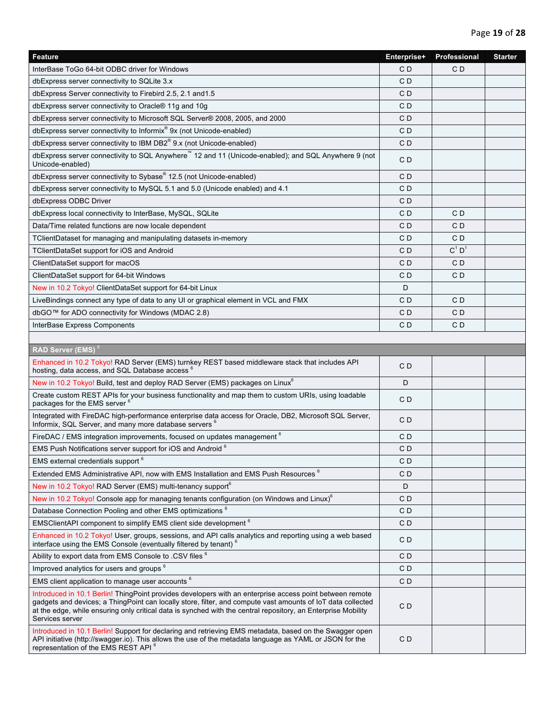| Feature                                                                                                                                                                                                                                                                                                                                                     | Enterprise+    | Professional         | <b>Starter</b> |
|-------------------------------------------------------------------------------------------------------------------------------------------------------------------------------------------------------------------------------------------------------------------------------------------------------------------------------------------------------------|----------------|----------------------|----------------|
| InterBase ToGo 64-bit ODBC driver for Windows                                                                                                                                                                                                                                                                                                               | C D            | CD                   |                |
| dbExpress server connectivity to SQLite 3.x                                                                                                                                                                                                                                                                                                                 | C <sub>D</sub> |                      |                |
| dbExpress Server connectivity to Firebird 2.5, 2.1 and 1.5                                                                                                                                                                                                                                                                                                  | CD             |                      |                |
| dbExpress server connectivity to Oracle® 11g and 10g                                                                                                                                                                                                                                                                                                        | CD             |                      |                |
| dbExpress server connectivity to Microsoft SQL Server® 2008, 2005, and 2000                                                                                                                                                                                                                                                                                 | CD             |                      |                |
| dbExpress server connectivity to Informix <sup>®</sup> 9x (not Unicode-enabled)                                                                                                                                                                                                                                                                             | CD             |                      |                |
| dbExpress server connectivity to IBM DB2 <sup>®</sup> 9.x (not Unicode-enabled)                                                                                                                                                                                                                                                                             | CD             |                      |                |
| dbExpress server connectivity to SQL Anywhere™ 12 and 11 (Unicode-enabled); and SQL Anywhere 9 (not<br>Unicode-enabled)                                                                                                                                                                                                                                     | CD             |                      |                |
| dbExpress server connectivity to Sybase® 12.5 (not Unicode-enabled)                                                                                                                                                                                                                                                                                         | CD             |                      |                |
| dbExpress server connectivity to MySQL 5.1 and 5.0 (Unicode enabled) and 4.1                                                                                                                                                                                                                                                                                | CD             |                      |                |
| dbExpress ODBC Driver                                                                                                                                                                                                                                                                                                                                       | CD             |                      |                |
| dbExpress local connectivity to InterBase, MySQL, SQLite                                                                                                                                                                                                                                                                                                    | CD             | C D                  |                |
| Data/Time related functions are now locale dependent                                                                                                                                                                                                                                                                                                        | CD             | CD                   |                |
| TClientDataset for managing and manipulating datasets in-memory                                                                                                                                                                                                                                                                                             | CD             | CD                   |                |
| TClientDataSet support for iOS and Android                                                                                                                                                                                                                                                                                                                  | CD             | $C^1$ D <sup>1</sup> |                |
| ClientDataSet support for macOS                                                                                                                                                                                                                                                                                                                             | CD             | CD                   |                |
| ClientDataSet support for 64-bit Windows                                                                                                                                                                                                                                                                                                                    | CD             | CD                   |                |
| New in 10.2 Tokyo! ClientDataSet support for 64-bit Linux                                                                                                                                                                                                                                                                                                   | D              |                      |                |
| LiveBindings connect any type of data to any UI or graphical element in VCL and FMX                                                                                                                                                                                                                                                                         | CD             | C D                  |                |
| dbGO™ for ADO connectivity for Windows (MDAC 2.8)                                                                                                                                                                                                                                                                                                           | CD             | CD                   |                |
| InterBase Express Components                                                                                                                                                                                                                                                                                                                                | CD             | CD                   |                |
|                                                                                                                                                                                                                                                                                                                                                             |                |                      |                |
| RAD Server (EMS) <sup>6</sup>                                                                                                                                                                                                                                                                                                                               |                |                      |                |
| Enhanced in 10.2 Tokyo! RAD Server (EMS) turnkey REST based middleware stack that includes API<br>hosting, data access, and SQL Database access <sup>6</sup>                                                                                                                                                                                                | CD             |                      |                |
| New in 10.2 Tokyo! Build, test and deploy RAD Server (EMS) packages on Linux <sup>6</sup>                                                                                                                                                                                                                                                                   | D              |                      |                |
| Create custom REST APIs for your business functionality and map them to custom URIs, using loadable<br>packages for the EMS server <sup>6</sup>                                                                                                                                                                                                             | CD             |                      |                |
| Integrated with FireDAC high-performance enterprise data access for Oracle, DB2, Microsoft SQL Server,<br>Informix, SQL Server, and many more database servers <sup>6</sup>                                                                                                                                                                                 | CD             |                      |                |
| FireDAC / EMS integration improvements, focused on updates management <sup>6</sup>                                                                                                                                                                                                                                                                          | C <sub>D</sub> |                      |                |
| EMS Push Notifications server support for iOS and Android 6                                                                                                                                                                                                                                                                                                 | CD             |                      |                |
| EMS external credentials support <sup>6</sup>                                                                                                                                                                                                                                                                                                               | C <sub>D</sub> |                      |                |
| Extended EMS Administrative API, now with EMS Installation and EMS Push Resources <sup>6</sup>                                                                                                                                                                                                                                                              | CD             |                      |                |
| New in 10.2 Tokyo! RAD Server (EMS) multi-tenancy support <sup>6</sup>                                                                                                                                                                                                                                                                                      | D              |                      |                |
| New in 10.2 Tokyo! Console app for managing tenants configuration (on Windows and Linux) <sup>6</sup>                                                                                                                                                                                                                                                       | CD             |                      |                |
| Database Connection Pooling and other EMS optimizations <sup>6</sup>                                                                                                                                                                                                                                                                                        | CD             |                      |                |
| EMSClientAPI component to simplify EMS client side development <sup>6</sup>                                                                                                                                                                                                                                                                                 | CD             |                      |                |
| Enhanced in 10.2 Tokyo! User, groups, sessions, and API calls analytics and reporting using a web based<br>interface using the EMS Console (eventually filtered by tenant) <sup>6</sup>                                                                                                                                                                     | CD             |                      |                |
| Ability to export data from EMS Console to .CSV files $^6$                                                                                                                                                                                                                                                                                                  | CD             |                      |                |
| Improved analytics for users and groups <sup>6</sup>                                                                                                                                                                                                                                                                                                        | CD             |                      |                |
| EMS client application to manage user accounts <sup>6</sup>                                                                                                                                                                                                                                                                                                 | CD             |                      |                |
| Introduced in 10.1 Berlin! ThingPoint provides developers with an enterprise access point between remote<br>gadgets and devices; a ThingPoint can locally store, filter, and compute vast amounts of loT data collected<br>at the edge, while ensuring only critical data is synched with the central repository, an Enterprise Mobility<br>Services server | CD             |                      |                |
| Introduced in 10.1 Berlin! Support for declaring and retrieving EMS metadata, based on the Swagger open<br>API initiative (http://swagger.io). This allows the use of the metadata language as YAML or JSON for the<br>representation of the EMS REST API <sup>6</sup>                                                                                      | CD             |                      |                |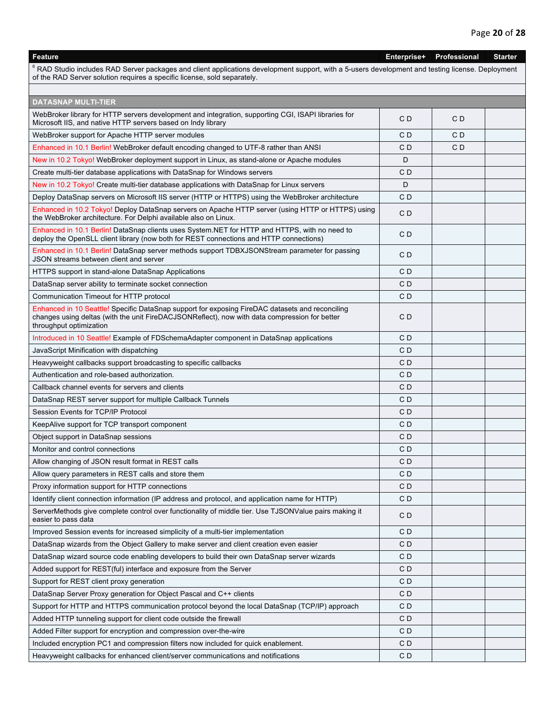## **Feature Enterprise+ Professional Starter**  $^6$  RAD Studio includes RAD Server packages and client applications development support, with a 5-users development and testing license. Deployment of the RAD Server solution requires a specific license, sold separately. **DATASNAP MULTI-TIER** WebBroker library for HTTP servers development and integration, supporting CGI, ISAPI libraries for Webblower library for First Pretvers development and integration, supporting COI, ISAFT libraries for CD CD CD CD CD WebBroker support for Apache HTTP server modules C D C D Enhanced in 10.1 Berlin! WebBroker default encoding changed to UTF-8 rather than ANSI C D C D C D C D New in 10.2 Tokyo! WebBroker deployment support in Linux, as stand-alone or Apache modules <br>D Create multi-tier database applications with DataSnap for Windows servers C D C D New in 10.2 Tokyo! Create multi-tier database applications with DataSnap for Linux servers <br>D Deploy DataSnap servers on Microsoft IIS server (HTTP or HTTPS) using the WebBroker architecture C D Enhanced in 10.2 Tokyo! Deploy DataSnap servers on Apache HTTP server (using HTTP or HTTPS) using Emanced in TU.2 Tokyo! Deploy DataShap servers on Apache HTTP server (using HTTP or HTTPS) using C D<br>the WebBroker architecture. For Delphi available also on Linux. Enhanced in 10.1 Berlin! DataSnap clients uses System.NET for HTTP and HTTPS, with no need to Enhanced in To. Thenini DataShap clients uses System.NET for HTTP and HTTP connections)<br>deploy the OpenSLL client library (now both for REST connections and HTTP connections) Enhanced in 10.1 Berlin! DataSnap server methods support TDBXJSONStream parameter for passing Efficial Celi in 10.1 Berlin: DataShap Server Hiemous Support TDBAJSONStream parameter for passing C D<br>JSON streams between client and server HTTPS support in stand-alone DataSnap Applications C D DataSnap server ability to terminate socket connection C D Communication Timeout for HTTP protocol COMERCIAL COMMUNICATION COMMUNICATION COMMUNICATION COMMUNICATION COMMUNICATION Enhanced in 10 Seattle! Specific DataSnap support for exposing FireDAC datasets and reconciling changes using deltas (with the unit FireDACJSONReflect), now with data compression for better throughput optimization  $C<sub>D</sub>$ Introduced in 10 Seattle! Example of FDSchemaAdapter component in DataSnap applications C D JavaScript Minification with dispatching C D Heavyweight callbacks support broadcasting to specific callbacks C D C D Authentication and role-based authorization. C D Callback channel events for servers and clients C D DataSnap REST server support for multiple Callback Tunnels C D C D Session Events for TCP/IP Protocol C D KeepAlive support for TCP transport component C D Object support in DataSnap sessions C D Monitor and control connections C D Allow changing of JSON result format in REST calls C D Allow query parameters in REST calls and store them C D Proxy information support for HTTP connections C D Identify client connection information (IP address and protocol, and application name for HTTP) C D ServerMethods give complete control over functionality of middle tier. Use TJSONValue pairs making it C D<br>easier to pass data Improved Session events for increased simplicity of a multi-tier implementation C D DataSnap wizards from the Object Gallery to make server and client creation even easier **C D** C D DataSnap wizard source code enabling developers to build their own DataSnap server wizards C D Added support for REST(ful) interface and exposure from the Server C D C D Support for REST client proxy generation **C D**  $\Box$  C D DataSnap Server Proxy generation for Object Pascal and C++ clients C D C D C D Support for HTTP and HTTPS communication protocol beyond the local DataSnap (TCP/IP) approach C D Added HTTP tunneling support for client code outside the firewall example of the control of D C D Added Filter support for encryption and compression over-the-wire C D C D Included encryption PC1 and compression filters now included for quick enablement.  $\Box$ Heavyweight callbacks for enhanced client/server communications and notifications **CD** CD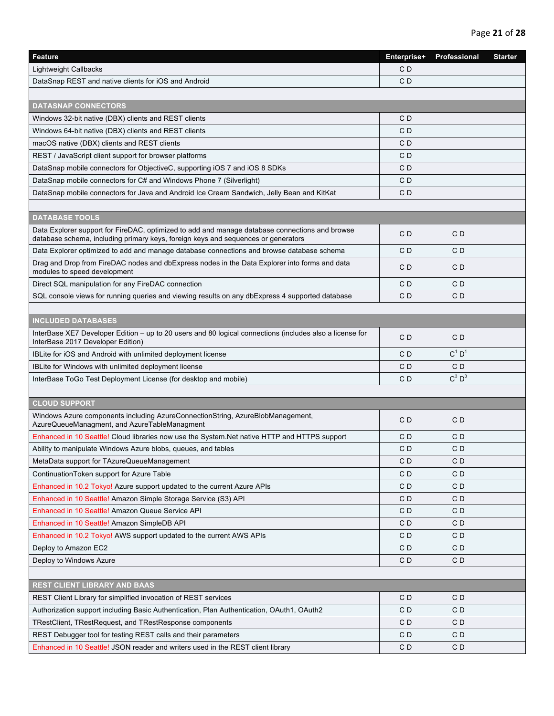| <b>Feature</b>                                                                                                                                                                      | Enterprise+    | Professional         | <b>Starter</b> |
|-------------------------------------------------------------------------------------------------------------------------------------------------------------------------------------|----------------|----------------------|----------------|
| <b>Lightweight Callbacks</b>                                                                                                                                                        | CD             |                      |                |
| DataSnap REST and native clients for iOS and Android                                                                                                                                | CD             |                      |                |
|                                                                                                                                                                                     |                |                      |                |
| <b>DATASNAP CONNECTORS</b>                                                                                                                                                          |                |                      |                |
| Windows 32-bit native (DBX) clients and REST clients                                                                                                                                | CD             |                      |                |
| Windows 64-bit native (DBX) clients and REST clients                                                                                                                                | C D            |                      |                |
| macOS native (DBX) clients and REST clients                                                                                                                                         | CD             |                      |                |
| REST / JavaScript client support for browser platforms                                                                                                                              | C <sub>D</sub> |                      |                |
| DataSnap mobile connectors for ObjectiveC, supporting iOS 7 and iOS 8 SDKs                                                                                                          | CD             |                      |                |
| DataSnap mobile connectors for C# and Windows Phone 7 (Silverlight)                                                                                                                 | CD             |                      |                |
| DataSnap mobile connectors for Java and Android Ice Cream Sandwich, Jelly Bean and KitKat                                                                                           | CD             |                      |                |
|                                                                                                                                                                                     |                |                      |                |
| <b>DATABASE TOOLS</b>                                                                                                                                                               |                |                      |                |
| Data Explorer support for FireDAC, optimized to add and manage database connections and browse<br>database schema, including primary keys, foreign keys and sequences or generators | CD             | CD                   |                |
| Data Explorer optimized to add and manage database connections and browse database schema                                                                                           | CD             | CD                   |                |
| Drag and Drop from FireDAC nodes and dbExpress nodes in the Data Explorer into forms and data<br>modules to speed development                                                       | CD             | CD                   |                |
| Direct SQL manipulation for any FireDAC connection                                                                                                                                  | CD             | CD                   |                |
| SQL console views for running queries and viewing results on any dbExpress 4 supported database                                                                                     | CD             | CD                   |                |
|                                                                                                                                                                                     |                |                      |                |
| <b>INCLUDED DATABASES</b>                                                                                                                                                           |                |                      |                |
| InterBase XE7 Developer Edition - up to 20 users and 80 logical connections (includes also a license for<br>InterBase 2017 Developer Edition)                                       | CD             | CD                   |                |
| IBLite for iOS and Android with unlimited deployment license                                                                                                                        | CD             | $C^1$ D <sup>1</sup> |                |
| IBLite for Windows with unlimited deployment license                                                                                                                                | CD             | CD                   |                |
| InterBase ToGo Test Deployment License (for desktop and mobile)                                                                                                                     | CD             | $C^3$ $D^3$          |                |
|                                                                                                                                                                                     |                |                      |                |
| <b>CLOUD SUPPORT</b>                                                                                                                                                                |                |                      |                |
| Windows Azure components including AzureConnectionString, AzureBlobManagement,<br>AzureQueueManagment, and AzureTableManagment                                                      | CD             | CD                   |                |
| Enhanced in 10 Seattle! Cloud libraries now use the System.Net native HTTP and HTTPS support                                                                                        | CD             | CD                   |                |
| Ability to manipulate Windows Azure blobs, queues, and tables                                                                                                                       | CD             | CD                   |                |
| MetaData support for TAzureQueueManagement                                                                                                                                          | CD             | CD                   |                |
| Continuation Token support for Azure Table                                                                                                                                          | CD             | C <sub>D</sub>       |                |
| Enhanced in 10.2 Tokyo! Azure support updated to the current Azure APIs                                                                                                             | CD             | CD                   |                |
| Enhanced in 10 Seattle! Amazon Simple Storage Service (S3) API                                                                                                                      | CD             | CD                   |                |
| Enhanced in 10 Seattle! Amazon Queue Service API                                                                                                                                    | CD             | CD                   |                |
| Enhanced in 10 Seattle! Amazon SimpleDB API                                                                                                                                         | CD             | CD                   |                |
| Enhanced in 10.2 Tokyo! AWS support updated to the current AWS APIs                                                                                                                 | CD             | CD                   |                |
| Deploy to Amazon EC2                                                                                                                                                                | CD             | CD                   |                |
| Deploy to Windows Azure                                                                                                                                                             | C <sub>D</sub> | C <sub>D</sub>       |                |
|                                                                                                                                                                                     |                |                      |                |
| <b>REST CLIENT LIBRARY AND BAAS</b>                                                                                                                                                 |                |                      |                |
| REST Client Library for simplified invocation of REST services                                                                                                                      | CD             | CD                   |                |
| Authorization support including Basic Authentication, Plan Authentication, OAuth1, OAuth2                                                                                           | CD             | CD                   |                |
| TRestClient, TRestRequest, and TRestResponse components                                                                                                                             | CD             | CD                   |                |
| REST Debugger tool for testing REST calls and their parameters                                                                                                                      | CD             | CD                   |                |
| Enhanced in 10 Seattle! JSON reader and writers used in the REST client library                                                                                                     | C <sub>D</sub> | C <sub>D</sub>       |                |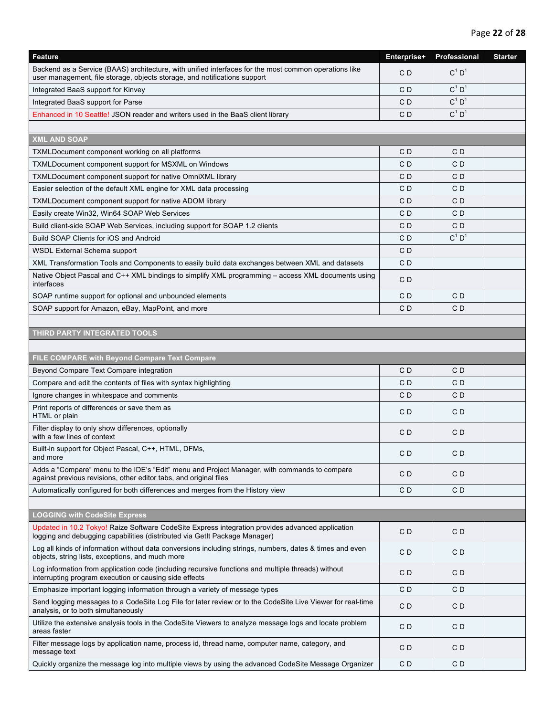| Feature                                                                                                                                                                            | Enterprise+    | Professional         | <b>Starter</b> |
|------------------------------------------------------------------------------------------------------------------------------------------------------------------------------------|----------------|----------------------|----------------|
| Backend as a Service (BAAS) architecture, with unified interfaces for the most common operations like<br>user management, file storage, objects storage, and notifications support | CD             | $C^1$ D <sup>1</sup> |                |
| Integrated BaaS support for Kinvey                                                                                                                                                 | CD             | $C^1$ D <sup>1</sup> |                |
| Integrated BaaS support for Parse                                                                                                                                                  | CD             | $C^1$ D <sup>1</sup> |                |
| Enhanced in 10 Seattle! JSON reader and writers used in the BaaS client library                                                                                                    | C <sub>D</sub> | $C^1$ $D^1$          |                |
|                                                                                                                                                                                    |                |                      |                |
| <b>XML AND SOAP</b>                                                                                                                                                                |                |                      |                |
| TXMLDocument component working on all platforms                                                                                                                                    | C <sub>D</sub> | C <sub>D</sub>       |                |
| TXMLDocument component support for MSXML on Windows                                                                                                                                | C <sub>D</sub> | CD                   |                |
| TXMLDocument component support for native OmniXML library                                                                                                                          | CD             | CD                   |                |
| Easier selection of the default XML engine for XML data processing                                                                                                                 | CD             | CD                   |                |
| TXMLDocument component support for native ADOM library                                                                                                                             | C <sub>D</sub> | CD                   |                |
| Easily create Win32, Win64 SOAP Web Services                                                                                                                                       | CD             | CD                   |                |
| Build client-side SOAP Web Services, including support for SOAP 1.2 clients                                                                                                        | CD             | CD                   |                |
| Build SOAP Clients for iOS and Android                                                                                                                                             | C <sub>D</sub> | $C^1$ $D^1$          |                |
| <b>WSDL External Schema support</b>                                                                                                                                                | CD             |                      |                |
| XML Transformation Tools and Components to easily build data exchanges between XML and datasets                                                                                    | CD             |                      |                |
| Native Object Pascal and C++ XML bindings to simplify XML programming - access XML documents using<br>interfaces                                                                   | CD             |                      |                |
| SOAP runtime support for optional and unbounded elements                                                                                                                           | C <sub>D</sub> | CD                   |                |
| SOAP support for Amazon, eBay, MapPoint, and more                                                                                                                                  | CD             | CD                   |                |
|                                                                                                                                                                                    |                |                      |                |
| THIRD PARTY INTEGRATED TOOLS                                                                                                                                                       |                |                      |                |
|                                                                                                                                                                                    |                |                      |                |
| FILE COMPARE with Beyond Compare Text Compare                                                                                                                                      |                |                      |                |
| Beyond Compare Text Compare integration                                                                                                                                            | C <sub>D</sub> | CD                   |                |
| Compare and edit the contents of files with syntax highlighting                                                                                                                    | C <sub>D</sub> | CD                   |                |
| Ignore changes in whitespace and comments                                                                                                                                          | CD             | CD                   |                |
| Print reports of differences or save them as<br>HTML or plain                                                                                                                      | C <sub>D</sub> | CD                   |                |
| Filter display to only show differences, optionally<br>with a few lines of context                                                                                                 | C <sub>D</sub> | CD                   |                |
| Built-in support for Object Pascal, C++, HTML, DFMs,<br>and more                                                                                                                   | CD             | CD                   |                |
| Adds a "Compare" menu to the IDE's "Edit" menu and Project Manager, with commands to compare<br>against previous revisions, other editor tabs, and original files                  | CD             | CD                   |                |
| Automatically configured for both differences and merges from the History view                                                                                                     | CD             | CD                   |                |
|                                                                                                                                                                                    |                |                      |                |
| <b>LOGGING with CodeSite Express</b>                                                                                                                                               |                |                      |                |
| Updated in 10.2 Tokyo! Raize Software CodeSite Express integration provides advanced application<br>logging and debugging capabilities (distributed via GetIt Package Manager)     | C <sub>D</sub> | CD                   |                |
| Log all kinds of information without data conversions including strings, numbers, dates & times and even<br>objects, string lists, exceptions, and much more                       | CD             | CD                   |                |
| Log information from application code (including recursive functions and multiple threads) without<br>interrupting program execution or causing side effects                       | CD             | CD                   |                |
| Emphasize important logging information through a variety of message types                                                                                                         | CD             | CD                   |                |
| Send logging messages to a CodeSite Log File for later review or to the CodeSite Live Viewer for real-time<br>analysis, or to both simultaneously                                  | C <sub>D</sub> | CD                   |                |
| Utilize the extensive analysis tools in the CodeSite Viewers to analyze message logs and locate problem<br>areas faster                                                            | CD             | CD                   |                |
| Filter message logs by application name, process id, thread name, computer name, category, and<br>message text                                                                     | CD             | CD                   |                |
| Quickly organize the message log into multiple views by using the advanced CodeSite Message Organizer                                                                              | C <sub>D</sub> | CD                   |                |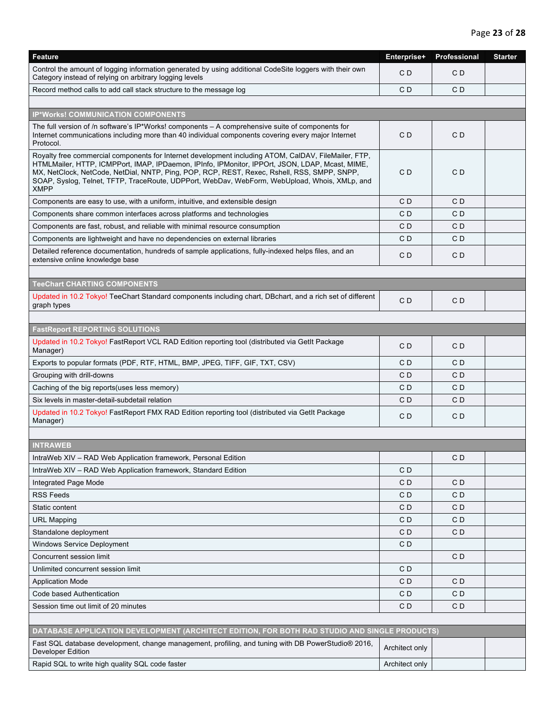| Feature                                                                                                                                                                                                                                                                                                                                                                                                                | Enterprise+    | Professional | <b>Starter</b> |
|------------------------------------------------------------------------------------------------------------------------------------------------------------------------------------------------------------------------------------------------------------------------------------------------------------------------------------------------------------------------------------------------------------------------|----------------|--------------|----------------|
| Control the amount of logging information generated by using additional CodeSite loggers with their own<br>Category instead of relying on arbitrary logging levels                                                                                                                                                                                                                                                     | CD             | CD           |                |
| Record method calls to add call stack structure to the message log                                                                                                                                                                                                                                                                                                                                                     | CD             | CD           |                |
|                                                                                                                                                                                                                                                                                                                                                                                                                        |                |              |                |
| <b>IP*Works! COMMUNICATION COMPONENTS</b>                                                                                                                                                                                                                                                                                                                                                                              |                |              |                |
| The full version of /n software's IP*Works! components - A comprehensive suite of components for<br>Internet communications including more than 40 individual components covering every major Internet<br>Protocol.                                                                                                                                                                                                    | CD             | CD           |                |
| Royalty free commercial components for Internet development including ATOM, CalDAV, FileMailer, FTP,<br>HTMLMailer, HTTP, ICMPPort, IMAP, IPDaemon, IPInfo, IPMonitor, IPPOrt, JSON, LDAP, Mcast, MIME,<br>MX, NetClock, NetCode, NetDial, NNTP, Ping, POP, RCP, REST, Rexec, Rshell, RSS, SMPP, SNPP,<br>SOAP, Syslog, Telnet, TFTP, TraceRoute, UDPPort, WebDav, WebForm, WebUpload, Whois, XMLp, and<br><b>XMPP</b> | CD             | CD           |                |
| Components are easy to use, with a uniform, intuitive, and extensible design                                                                                                                                                                                                                                                                                                                                           | CD             | CD           |                |
| Components share common interfaces across platforms and technologies                                                                                                                                                                                                                                                                                                                                                   | CD             | CD           |                |
| Components are fast, robust, and reliable with minimal resource consumption                                                                                                                                                                                                                                                                                                                                            | C D            | CD           |                |
| Components are lightweight and have no dependencies on external libraries                                                                                                                                                                                                                                                                                                                                              | C <sub>D</sub> | CD           |                |
| Detailed reference documentation, hundreds of sample applications, fully-indexed helps files, and an<br>extensive online knowledge base                                                                                                                                                                                                                                                                                | CD             | CD           |                |
|                                                                                                                                                                                                                                                                                                                                                                                                                        |                |              |                |
| <b>TeeChart CHARTING COMPONENTS</b>                                                                                                                                                                                                                                                                                                                                                                                    |                |              |                |
| Updated in 10.2 Tokyo! TeeChart Standard components including chart, DBchart, and a rich set of different<br>graph types                                                                                                                                                                                                                                                                                               | CD             | CD           |                |
|                                                                                                                                                                                                                                                                                                                                                                                                                        |                |              |                |
| <b>FastReport REPORTING SOLUTIONS</b>                                                                                                                                                                                                                                                                                                                                                                                  |                |              |                |
| Updated in 10.2 Tokyo! FastReport VCL RAD Edition reporting tool (distributed via GetIt Package<br>Manager)                                                                                                                                                                                                                                                                                                            | CD             | CD           |                |
| Exports to popular formats (PDF, RTF, HTML, BMP, JPEG, TIFF, GIF, TXT, CSV)                                                                                                                                                                                                                                                                                                                                            | C D            | CD           |                |
| Grouping with drill-downs                                                                                                                                                                                                                                                                                                                                                                                              | C D            | CD           |                |
| Caching of the big reports (uses less memory)                                                                                                                                                                                                                                                                                                                                                                          | CD             | CD           |                |
| Six levels in master-detail-subdetail relation                                                                                                                                                                                                                                                                                                                                                                         | CD             | CD           |                |
| Updated in 10.2 Tokyo! FastReport FMX RAD Edition reporting tool (distributed via GetIt Package<br>Manager)                                                                                                                                                                                                                                                                                                            | CD             | CD           |                |
|                                                                                                                                                                                                                                                                                                                                                                                                                        |                |              |                |
| <b>INTRAWEB</b>                                                                                                                                                                                                                                                                                                                                                                                                        |                |              |                |
| IntraWeb XIV - RAD Web Application framework, Personal Edition                                                                                                                                                                                                                                                                                                                                                         |                | CD           |                |
| IntraWeb XIV - RAD Web Application framework, Standard Edition                                                                                                                                                                                                                                                                                                                                                         | CD             |              |                |
| <b>Integrated Page Mode</b>                                                                                                                                                                                                                                                                                                                                                                                            | CD             | CD           |                |
| <b>RSS Feeds</b>                                                                                                                                                                                                                                                                                                                                                                                                       | C D            | CD           |                |
| Static content                                                                                                                                                                                                                                                                                                                                                                                                         | CD             | CD           |                |
| <b>URL Mapping</b>                                                                                                                                                                                                                                                                                                                                                                                                     | CD             | CD           |                |
| Standalone deployment                                                                                                                                                                                                                                                                                                                                                                                                  | CD             | CD           |                |
| <b>Windows Service Deployment</b>                                                                                                                                                                                                                                                                                                                                                                                      | CD             |              |                |
| Concurrent session limit                                                                                                                                                                                                                                                                                                                                                                                               |                | CD           |                |
| Unlimited concurrent session limit                                                                                                                                                                                                                                                                                                                                                                                     | CD             |              |                |
| <b>Application Mode</b>                                                                                                                                                                                                                                                                                                                                                                                                | CD             | CD           |                |
| Code based Authentication                                                                                                                                                                                                                                                                                                                                                                                              | CD             | CD           |                |
| Session time out limit of 20 minutes                                                                                                                                                                                                                                                                                                                                                                                   | CD             | CD           |                |
|                                                                                                                                                                                                                                                                                                                                                                                                                        |                |              |                |
| DATABASE APPLICATION DEVELOPMENT (ARCHITECT EDITION, FOR BOTH RAD STUDIO AND SINGLE PRODUCTS)                                                                                                                                                                                                                                                                                                                          |                |              |                |
| Fast SQL database development, change management, profiling, and tuning with DB PowerStudio <sup>®</sup> 2016,<br>Developer Edition                                                                                                                                                                                                                                                                                    | Architect only |              |                |
| Rapid SQL to write high quality SQL code faster                                                                                                                                                                                                                                                                                                                                                                        | Architect only |              |                |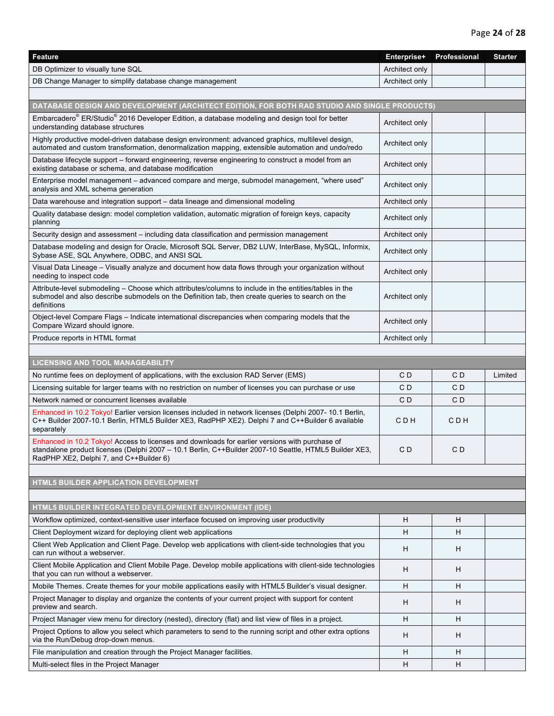| <b>Feature</b>                                                                                                                                                                                                                                      | Enterprise+    | Professional | <b>Starter</b> |
|-----------------------------------------------------------------------------------------------------------------------------------------------------------------------------------------------------------------------------------------------------|----------------|--------------|----------------|
| DB Optimizer to visually tune SQL                                                                                                                                                                                                                   | Architect only |              |                |
| DB Change Manager to simplify database change management                                                                                                                                                                                            | Architect only |              |                |
|                                                                                                                                                                                                                                                     |                |              |                |
| DATABASE DESIGN AND DEVELOPMENT (ARCHITECT EDITION, FOR BOTH RAD STUDIO AND SINGLE PRODUCTS)                                                                                                                                                        |                |              |                |
| Embarcadero® ER/Studio® 2016 Developer Edition, a database modeling and design tool for better<br>understanding database structures                                                                                                                 | Architect only |              |                |
| Highly productive model-driven database design environment: advanced graphics, multilevel design,<br>automated and custom transformation, denormalization mapping, extensible automation and undo/redo                                              | Architect only |              |                |
| Database lifecycle support – forward engineering, reverse engineering to construct a model from an<br>existing database or schema, and database modification                                                                                        | Architect only |              |                |
| Enterprise model management – advanced compare and merge, submodel management, "where used"<br>analysis and XML schema generation                                                                                                                   | Architect only |              |                |
| Data warehouse and integration support – data lineage and dimensional modeling                                                                                                                                                                      | Architect only |              |                |
| Quality database design: model completion validation, automatic migration of foreign keys, capacity<br>planning                                                                                                                                     | Architect only |              |                |
| Security design and assessment – including data classification and permission management                                                                                                                                                            | Architect only |              |                |
| Database modeling and design for Oracle, Microsoft SQL Server, DB2 LUW, InterBase, MySQL, Informix,<br>Sybase ASE, SQL Anywhere, ODBC, and ANSI SQL                                                                                                 | Architect only |              |                |
| Visual Data Lineage - Visually analyze and document how data flows through your organization without<br>needing to inspect code                                                                                                                     | Architect only |              |                |
| Attribute-level submodeling – Choose which attributes/columns to include in the entities/tables in the<br>submodel and also describe submodels on the Definition tab, then create queries to search on the<br>definitions                           | Architect only |              |                |
| Object-level Compare Flags – Indicate international discrepancies when comparing models that the<br>Compare Wizard should ignore.                                                                                                                   | Architect only |              |                |
| Produce reports in HTML format                                                                                                                                                                                                                      | Architect only |              |                |
|                                                                                                                                                                                                                                                     |                |              |                |
| <b>LICENSING AND TOOL MANAGEABILITY</b>                                                                                                                                                                                                             |                |              |                |
| No runtime fees on deployment of applications, with the exclusion RAD Server (EMS)                                                                                                                                                                  | C D            | C D          | Limited        |
| Licensing suitable for larger teams with no restriction on number of licenses you can purchase or use                                                                                                                                               | CD             | CD           |                |
| Network named or concurrent licenses available                                                                                                                                                                                                      | CD             | CD           |                |
| Enhanced in 10.2 Tokyo! Earlier version licenses included in network licenses (Delphi 2007-10.1 Berlin,<br>C++ Builder 2007-10.1 Berlin, HTML5 Builder XE3, RadPHP XE2). Delphi 7 and C++Builder 6 available<br>separately                          | C D H          | C D H        |                |
| Enhanced in 10.2 Tokyo! Access to licenses and downloads for earlier versions with purchase of<br>standalone product licenses (Delphi 2007 - 10.1 Berlin, C++Builder 2007-10 Seattle, HTML5 Builder XE3,<br>RadPHP XE2, Delphi 7, and C++Builder 6) | C D            | C D          |                |
|                                                                                                                                                                                                                                                     |                |              |                |
| HTML5 BUILDER APPLICATION DEVELOPMENT                                                                                                                                                                                                               |                |              |                |
| HTML5 BUILDER INTEGRATED DEVELOPMENT ENVIRONMENT (IDE)                                                                                                                                                                                              |                |              |                |
| Workflow optimized, context-sensitive user interface focused on improving user productivity                                                                                                                                                         | H              | H            |                |
| Client Deployment wizard for deploying client web applications                                                                                                                                                                                      | H              | Н            |                |
| Client Web Application and Client Page. Develop web applications with client-side technologies that you<br>can run without a webserver.                                                                                                             | H              | H            |                |
| Client Mobile Application and Client Mobile Page. Develop mobile applications with client-side technologies<br>that you can run without a webserver.                                                                                                | H              | H            |                |
| Mobile Themes. Create themes for your mobile applications easily with HTML5 Builder's visual designer.                                                                                                                                              | H              | Н            |                |
| Project Manager to display and organize the contents of your current project with support for content<br>preview and search.                                                                                                                        | H              | H            |                |
|                                                                                                                                                                                                                                                     |                |              |                |
| Project Manager view menu for directory (nested), directory (flat) and list view of files in a project.                                                                                                                                             | H              | Н            |                |
| Project Options to allow you select which parameters to send to the running script and other extra options<br>via the Run/Debug drop-down menus.                                                                                                    | H              | H            |                |
| File manipulation and creation through the Project Manager facilities.                                                                                                                                                                              | H              | H            |                |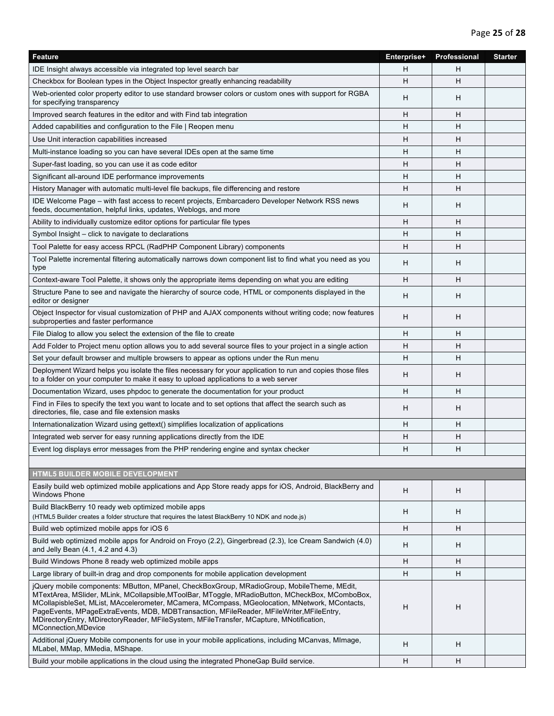| Feature                                                                                                                                                                                                                                                                                                                                                                                                                                                                                                              | Enterprise+ | Professional | <b>Starter</b> |
|----------------------------------------------------------------------------------------------------------------------------------------------------------------------------------------------------------------------------------------------------------------------------------------------------------------------------------------------------------------------------------------------------------------------------------------------------------------------------------------------------------------------|-------------|--------------|----------------|
| IDE Insight always accessible via integrated top level search bar                                                                                                                                                                                                                                                                                                                                                                                                                                                    | H           | H            |                |
| Checkbox for Boolean types in the Object Inspector greatly enhancing readability                                                                                                                                                                                                                                                                                                                                                                                                                                     | H           | н            |                |
| Web-oriented color property editor to use standard browser colors or custom ones with support for RGBA<br>for specifying transparency                                                                                                                                                                                                                                                                                                                                                                                | H           | H            |                |
| Improved search features in the editor and with Find tab integration                                                                                                                                                                                                                                                                                                                                                                                                                                                 | H           | н            |                |
| Added capabilities and configuration to the File   Reopen menu                                                                                                                                                                                                                                                                                                                                                                                                                                                       | H           | Н            |                |
| Use Unit interaction capabilities increased                                                                                                                                                                                                                                                                                                                                                                                                                                                                          | H           | H            |                |
| Multi-instance loading so you can have several IDEs open at the same time                                                                                                                                                                                                                                                                                                                                                                                                                                            | H           | Н            |                |
| Super-fast loading, so you can use it as code editor                                                                                                                                                                                                                                                                                                                                                                                                                                                                 | H           | H            |                |
| Significant all-around IDE performance improvements                                                                                                                                                                                                                                                                                                                                                                                                                                                                  | H           | H            |                |
| History Manager with automatic multi-level file backups, file differencing and restore                                                                                                                                                                                                                                                                                                                                                                                                                               | H           | H            |                |
| IDE Welcome Page – with fast access to recent projects, Embarcadero Developer Network RSS news<br>feeds, documentation, helpful links, updates, Weblogs, and more                                                                                                                                                                                                                                                                                                                                                    | H           | H            |                |
| Ability to individually customize editor options for particular file types                                                                                                                                                                                                                                                                                                                                                                                                                                           | н           | Н            |                |
| Symbol Insight – click to navigate to declarations                                                                                                                                                                                                                                                                                                                                                                                                                                                                   | H           | H            |                |
| Tool Palette for easy access RPCL (RadPHP Component Library) components                                                                                                                                                                                                                                                                                                                                                                                                                                              | H           | H            |                |
| Tool Palette incremental filtering automatically narrows down component list to find what you need as you<br>type                                                                                                                                                                                                                                                                                                                                                                                                    | H           | H            |                |
| Context-aware Tool Palette, it shows only the appropriate items depending on what you are editing                                                                                                                                                                                                                                                                                                                                                                                                                    | H           | н            |                |
| Structure Pane to see and navigate the hierarchy of source code, HTML or components displayed in the<br>editor or designer                                                                                                                                                                                                                                                                                                                                                                                           | H           | Н            |                |
| Object Inspector for visual customization of PHP and AJAX components without writing code; now features<br>subproperties and faster performance                                                                                                                                                                                                                                                                                                                                                                      | H           | H            |                |
| File Dialog to allow you select the extension of the file to create                                                                                                                                                                                                                                                                                                                                                                                                                                                  | H           | H            |                |
| Add Folder to Project menu option allows you to add several source files to your project in a single action                                                                                                                                                                                                                                                                                                                                                                                                          | H           | H            |                |
| Set your default browser and multiple browsers to appear as options under the Run menu                                                                                                                                                                                                                                                                                                                                                                                                                               | H           | Н            |                |
| Deployment Wizard helps you isolate the files necessary for your application to run and copies those files<br>to a folder on your computer to make it easy to upload applications to a web server                                                                                                                                                                                                                                                                                                                    | H           | н            |                |
| Documentation Wizard, uses phpdoc to generate the documentation for your product                                                                                                                                                                                                                                                                                                                                                                                                                                     | H           | H            |                |
| Find in Files to specify the text you want to locate and to set options that affect the search such as<br>directories, file, case and file extension masks                                                                                                                                                                                                                                                                                                                                                           | H           | H            |                |
| Internationalization Wizard using gettext() simplifies localization of applications                                                                                                                                                                                                                                                                                                                                                                                                                                  | H           | H            |                |
| Integrated web server for easy running applications directly from the IDE                                                                                                                                                                                                                                                                                                                                                                                                                                            | H           | H            |                |
| Event log displays error messages from the PHP rendering engine and syntax checker                                                                                                                                                                                                                                                                                                                                                                                                                                   | H           | H            |                |
|                                                                                                                                                                                                                                                                                                                                                                                                                                                                                                                      |             |              |                |
| <b>HTML5 BUILDER MOBILE DEVELOPMENT</b>                                                                                                                                                                                                                                                                                                                                                                                                                                                                              |             |              |                |
| Easily build web optimized mobile applications and App Store ready apps for iOS, Android, BlackBerry and<br><b>Windows Phone</b>                                                                                                                                                                                                                                                                                                                                                                                     | H           | н            |                |
| Build BlackBerry 10 ready web optimized mobile apps<br>(HTML5 Builder creates a folder structure that requires the latest BlackBerry 10 NDK and node.js)                                                                                                                                                                                                                                                                                                                                                             | H           | н            |                |
| Build web optimized mobile apps for iOS 6                                                                                                                                                                                                                                                                                                                                                                                                                                                                            | H           | H            |                |
| Build web optimized mobile apps for Android on Froyo (2.2), Gingerbread (2.3), Ice Cream Sandwich (4.0)<br>and Jelly Bean (4.1, 4.2 and 4.3)                                                                                                                                                                                                                                                                                                                                                                         | H           | н            |                |
| Build Windows Phone 8 ready web optimized mobile apps                                                                                                                                                                                                                                                                                                                                                                                                                                                                | H           | н            |                |
| Large library of built-in drag and drop components for mobile application development                                                                                                                                                                                                                                                                                                                                                                                                                                | H           | н            |                |
| jQuery mobile components: MButton, MPanel, CheckBoxGroup, MRadioGroup, MobileTheme, MEdit,<br>MTextArea, MSlider, MLink, MCollapsible, MToolBar, MToggle, MRadioButton, MCheckBox, MComboBox,<br>MCollapisbleSet, MList, MAccelerometer, MCamera, MCompass, MGeolocation, MNetwork, MContacts,<br>PageEvents, MPageExtraEvents, MDB, MDBTransaction, MFileReader, MFileWriter, MFileEntry,<br>MDirectoryEntry, MDirectoryReader, MFileSystem, MFileTransfer, MCapture, MNotification,<br><b>MConnection, MDevice</b> | н           | H            |                |
| Additional jQuery Mobile components for use in your mobile applications, including MCanvas, MImage,<br>MLabel, MMap, MMedia, MShape.                                                                                                                                                                                                                                                                                                                                                                                 | H           | н            |                |
| Build your mobile applications in the cloud using the integrated PhoneGap Build service.                                                                                                                                                                                                                                                                                                                                                                                                                             | H           | H            |                |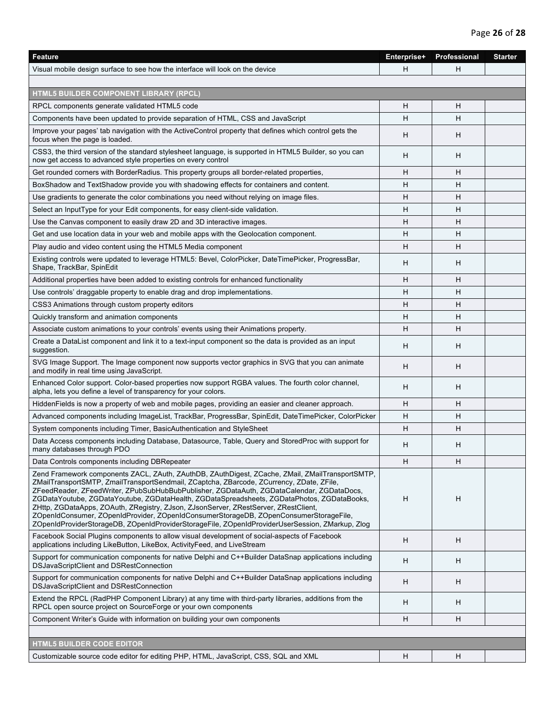| H<br>Visual mobile design surface to see how the interface will look on the device                                                                                                                                                                                                                                                                                                                                                                                                                                                                                                                                                                                             | H |  |
|--------------------------------------------------------------------------------------------------------------------------------------------------------------------------------------------------------------------------------------------------------------------------------------------------------------------------------------------------------------------------------------------------------------------------------------------------------------------------------------------------------------------------------------------------------------------------------------------------------------------------------------------------------------------------------|---|--|
|                                                                                                                                                                                                                                                                                                                                                                                                                                                                                                                                                                                                                                                                                |   |  |
|                                                                                                                                                                                                                                                                                                                                                                                                                                                                                                                                                                                                                                                                                |   |  |
| HTML5 BUILDER COMPONENT LIBRARY (RPCL)                                                                                                                                                                                                                                                                                                                                                                                                                                                                                                                                                                                                                                         |   |  |
| RPCL components generate validated HTML5 code<br>H                                                                                                                                                                                                                                                                                                                                                                                                                                                                                                                                                                                                                             | H |  |
| H<br>Components have been updated to provide separation of HTML, CSS and JavaScript                                                                                                                                                                                                                                                                                                                                                                                                                                                                                                                                                                                            | H |  |
| Improve your pages' tab navigation with the ActiveControl property that defines which control gets the<br>H<br>focus when the page is loaded.                                                                                                                                                                                                                                                                                                                                                                                                                                                                                                                                  | H |  |
| CSS3, the third version of the standard stylesheet language, is supported in HTML5 Builder, so you can<br>H<br>now get access to advanced style properties on every control                                                                                                                                                                                                                                                                                                                                                                                                                                                                                                    | H |  |
| Get rounded corners with BorderRadius. This property groups all border-related properties,<br>H                                                                                                                                                                                                                                                                                                                                                                                                                                                                                                                                                                                | H |  |
| BoxShadow and TextShadow provide you with shadowing effects for containers and content.<br>H                                                                                                                                                                                                                                                                                                                                                                                                                                                                                                                                                                                   | н |  |
| Use gradients to generate the color combinations you need without relying on image files.<br>H                                                                                                                                                                                                                                                                                                                                                                                                                                                                                                                                                                                 | H |  |
| Select an InputType for your Edit components, for easy client-side validation.<br>H                                                                                                                                                                                                                                                                                                                                                                                                                                                                                                                                                                                            | H |  |
| H<br>Use the Canvas component to easily draw 2D and 3D interactive images.                                                                                                                                                                                                                                                                                                                                                                                                                                                                                                                                                                                                     | H |  |
|                                                                                                                                                                                                                                                                                                                                                                                                                                                                                                                                                                                                                                                                                | H |  |
| н<br>Get and use location data in your web and mobile apps with the Geolocation component.                                                                                                                                                                                                                                                                                                                                                                                                                                                                                                                                                                                     |   |  |
| Play audio and video content using the HTML5 Media component<br>H                                                                                                                                                                                                                                                                                                                                                                                                                                                                                                                                                                                                              | H |  |
| Existing controls were updated to leverage HTML5: Bevel, ColorPicker, DateTimePicker, ProgressBar,<br>H<br>Shape, TrackBar, SpinEdit                                                                                                                                                                                                                                                                                                                                                                                                                                                                                                                                           | H |  |
| Additional properties have been added to existing controls for enhanced functionality<br>H                                                                                                                                                                                                                                                                                                                                                                                                                                                                                                                                                                                     | H |  |
| H<br>Use controls' draggable property to enable drag and drop implementations.                                                                                                                                                                                                                                                                                                                                                                                                                                                                                                                                                                                                 | H |  |
| H<br>CSS3 Animations through custom property editors                                                                                                                                                                                                                                                                                                                                                                                                                                                                                                                                                                                                                           | н |  |
| H<br>Quickly transform and animation components                                                                                                                                                                                                                                                                                                                                                                                                                                                                                                                                                                                                                                | H |  |
| H<br>Associate custom animations to your controls' events using their Animations property.                                                                                                                                                                                                                                                                                                                                                                                                                                                                                                                                                                                     | H |  |
| Create a DataList component and link it to a text-input component so the data is provided as an input<br>H<br>suggestion.                                                                                                                                                                                                                                                                                                                                                                                                                                                                                                                                                      | H |  |
| SVG Image Support. The Image component now supports vector graphics in SVG that you can animate<br>H<br>and modify in real time using JavaScript.                                                                                                                                                                                                                                                                                                                                                                                                                                                                                                                              | H |  |
| Enhanced Color support. Color-based properties now support RGBA values. The fourth color channel,<br>H<br>alpha, lets you define a level of transparency for your colors.                                                                                                                                                                                                                                                                                                                                                                                                                                                                                                      | H |  |
| HiddenFields is now a property of web and mobile pages, providing an easier and cleaner approach.<br>H                                                                                                                                                                                                                                                                                                                                                                                                                                                                                                                                                                         | н |  |
| Advanced components including ImageList, TrackBar, ProgressBar, SpinEdit, DateTimePicker, ColorPicker<br>H                                                                                                                                                                                                                                                                                                                                                                                                                                                                                                                                                                     | H |  |
| System components including Timer, BasicAuthentication and StyleSheet<br>H                                                                                                                                                                                                                                                                                                                                                                                                                                                                                                                                                                                                     | H |  |
| Data Access components including Database, Datasource, Table, Query and StoredProc with support for<br>H<br>many databases through PDO                                                                                                                                                                                                                                                                                                                                                                                                                                                                                                                                         | Н |  |
| Data Controls components including DBRepeater<br>H                                                                                                                                                                                                                                                                                                                                                                                                                                                                                                                                                                                                                             | H |  |
| Zend Framework components ZACL, ZAuth, ZAuthDB, ZAuthDigest, ZCache, ZMail, ZMailTransportSMTP,<br>ZMailTransportSMTP, ZmailTransportSendmail, ZCaptcha, ZBarcode, ZCurrency, ZDate, ZFile,<br>ZFeedReader, ZFeedWriter, ZPubSubHubBubPublisher, ZGDataAuth, ZGDataCalendar, ZGDataDocs,<br>H<br>ZGDataYoutube, ZGDataYoutube, ZGDataHealth, ZGDataSpreadsheets, ZGDataPhotos, ZGDataBooks,<br>ZHttp, ZGDataApps, ZOAuth, ZRegistry, ZJson, ZJsonServer, ZRestServer, ZRestClient,<br>ZOpenIdConsumer, ZOpenIdProvider, ZOpenIdConsumerStorageDB, ZOpenConsumerStorageFile,<br>ZOpenIdProviderStorageDB, ZOpenIdProviderStorageFile, ZOpenIdProviderUserSession, ZMarkup, Zlog | H |  |
| Facebook Social Plugins components to allow visual development of social-aspects of Facebook<br>H<br>applications including LikeButton, LikeBox, ActivityFeed, and LiveStream                                                                                                                                                                                                                                                                                                                                                                                                                                                                                                  | H |  |
| Support for communication components for native Delphi and C++Builder DataSnap applications including<br>H<br>DSJavaScriptClient and DSRestConnection                                                                                                                                                                                                                                                                                                                                                                                                                                                                                                                          | Н |  |
| Support for communication components for native Delphi and C++Builder DataSnap applications including<br>H<br>DSJavaScriptClient and DSRestConnection                                                                                                                                                                                                                                                                                                                                                                                                                                                                                                                          | H |  |
| Extend the RPCL (RadPHP Component Library) at any time with third-party libraries, additions from the<br>H<br>RPCL open source project on SourceForge or your own components                                                                                                                                                                                                                                                                                                                                                                                                                                                                                                   | H |  |
| Component Writer's Guide with information on building your own components<br>H                                                                                                                                                                                                                                                                                                                                                                                                                                                                                                                                                                                                 | H |  |
|                                                                                                                                                                                                                                                                                                                                                                                                                                                                                                                                                                                                                                                                                |   |  |
| <b>HTML5 BUILDER CODE EDITOR</b>                                                                                                                                                                                                                                                                                                                                                                                                                                                                                                                                                                                                                                               |   |  |
| Customizable source code editor for editing PHP, HTML, JavaScript, CSS, SQL and XML<br>H                                                                                                                                                                                                                                                                                                                                                                                                                                                                                                                                                                                       | H |  |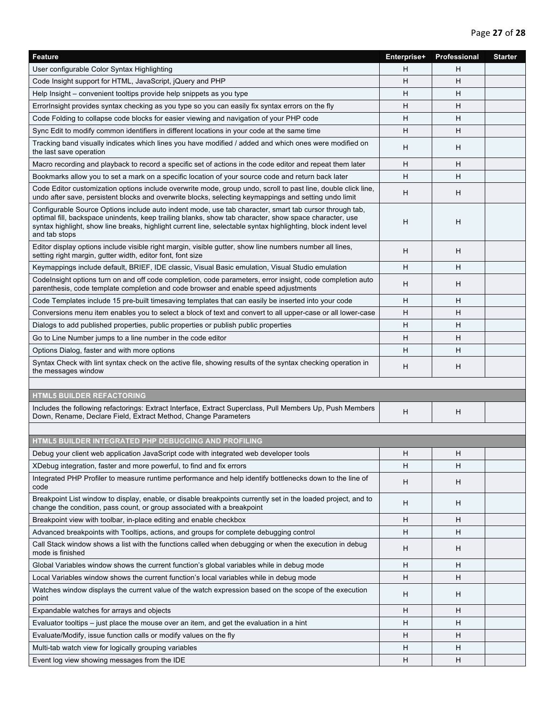| Feature                                                                                                                                                                                                                                                                                                                                             | Enterprise+ | Professional | <b>Starter</b> |
|-----------------------------------------------------------------------------------------------------------------------------------------------------------------------------------------------------------------------------------------------------------------------------------------------------------------------------------------------------|-------------|--------------|----------------|
| User configurable Color Syntax Highlighting                                                                                                                                                                                                                                                                                                         | H           | н            |                |
| Code Insight support for HTML, JavaScript, jQuery and PHP                                                                                                                                                                                                                                                                                           | H           | H            |                |
| Help Insight – convenient tooltips provide help snippets as you type                                                                                                                                                                                                                                                                                | Н           | H            |                |
| Errorlnsight provides syntax checking as you type so you can easily fix syntax errors on the fly                                                                                                                                                                                                                                                    | H           | H            |                |
| Code Folding to collapse code blocks for easier viewing and navigation of your PHP code                                                                                                                                                                                                                                                             | H           | Н            |                |
| Sync Edit to modify common identifiers in different locations in your code at the same time                                                                                                                                                                                                                                                         | H           | H            |                |
| Tracking band visually indicates which lines you have modified / added and which ones were modified on<br>the last save operation                                                                                                                                                                                                                   | н           | Н            |                |
| Macro recording and playback to record a specific set of actions in the code editor and repeat them later                                                                                                                                                                                                                                           | H           | H            |                |
| Bookmarks allow you to set a mark on a specific location of your source code and return back later                                                                                                                                                                                                                                                  | H           | Н            |                |
| Code Editor customization options include overwrite mode, group undo, scroll to past line, double click line,<br>undo after save, persistent blocks and overwrite blocks, selecting keymappings and setting undo limit                                                                                                                              | H           | H            |                |
| Configurable Source Options include auto indent mode, use tab character, smart tab cursor through tab,<br>optimal fill, backspace unindents, keep trailing blanks, show tab character, show space character, use<br>syntax highlight, show line breaks, highlight current line, selectable syntax highlighting, block indent level<br>and tab stops | н           | н            |                |
| Editor display options include visible right margin, visible gutter, show line numbers number all lines,<br>setting right margin, gutter width, editor font, font size                                                                                                                                                                              | H           | H            |                |
| Keymappings include default, BRIEF, IDE classic, Visual Basic emulation, Visual Studio emulation                                                                                                                                                                                                                                                    | Н           | H            |                |
| Codelnsight options turn on and off code completion, code parameters, error insight, code completion auto<br>parenthesis, code template completion and code browser and enable speed adjustments                                                                                                                                                    | H           | H            |                |
| Code Templates include 15 pre-built timesaving templates that can easily be inserted into your code                                                                                                                                                                                                                                                 | H           | H            |                |
| Conversions menu item enables you to select a block of text and convert to all upper-case or all lower-case                                                                                                                                                                                                                                         | H           | H            |                |
| Dialogs to add published properties, public properties or publish public properties                                                                                                                                                                                                                                                                 | H           | H            |                |
| Go to Line Number jumps to a line number in the code editor                                                                                                                                                                                                                                                                                         | н           | Н            |                |
| Options Dialog, faster and with more options                                                                                                                                                                                                                                                                                                        | H           | н            |                |
| Syntax Check with lint syntax check on the active file, showing results of the syntax checking operation in<br>the messages window                                                                                                                                                                                                                  | H           | H            |                |
|                                                                                                                                                                                                                                                                                                                                                     |             |              |                |
| <b>HTML5 BUILDER REFACTORING</b>                                                                                                                                                                                                                                                                                                                    |             |              |                |
| Includes the following refactorings: Extract Interface, Extract Superclass, Pull Members Up, Push Members<br>Down, Rename, Declare Field, Extract Method, Change Parameters                                                                                                                                                                         | н           | н            |                |
|                                                                                                                                                                                                                                                                                                                                                     |             |              |                |
| HTML5 BUILDER INTEGRATED PHP DEBUGGING AND PROFILING                                                                                                                                                                                                                                                                                                |             |              |                |
| Debug your client web application JavaScript code with integrated web developer tools                                                                                                                                                                                                                                                               | H           | H            |                |
| XDebug integration, faster and more powerful, to find and fix errors                                                                                                                                                                                                                                                                                | H           | н            |                |
| Integrated PHP Profiler to measure runtime performance and help identify bottlenecks down to the line of<br>code                                                                                                                                                                                                                                    | H           | H            |                |
| Breakpoint List window to display, enable, or disable breakpoints currently set in the loaded project, and to<br>change the condition, pass count, or group associated with a breakpoint                                                                                                                                                            | H           | H            |                |
| Breakpoint view with toolbar, in-place editing and enable checkbox                                                                                                                                                                                                                                                                                  | н           | H            |                |
| Advanced breakpoints with Tooltips, actions, and groups for complete debugging control                                                                                                                                                                                                                                                              | н           | H            |                |
| Call Stack window shows a list with the functions called when debugging or when the execution in debug<br>mode is finished                                                                                                                                                                                                                          | н           | H            |                |
| Global Variables window shows the current function's global variables while in debug mode                                                                                                                                                                                                                                                           | н           | Н            |                |
| Local Variables window shows the current function's local variables while in debug mode                                                                                                                                                                                                                                                             | H           | H            |                |
| Watches window displays the current value of the watch expression based on the scope of the execution<br>point                                                                                                                                                                                                                                      | H           | Н            |                |
| Expandable watches for arrays and objects                                                                                                                                                                                                                                                                                                           | н           | H            |                |
| Evaluator tooltips – just place the mouse over an item, and get the evaluation in a hint                                                                                                                                                                                                                                                            | Н           | H            |                |
| Evaluate/Modify, issue function calls or modify values on the fly                                                                                                                                                                                                                                                                                   | н           | H            |                |
| Multi-tab watch view for logically grouping variables                                                                                                                                                                                                                                                                                               | Н           | H            |                |
| Event log view showing messages from the IDE                                                                                                                                                                                                                                                                                                        | н           | H            |                |